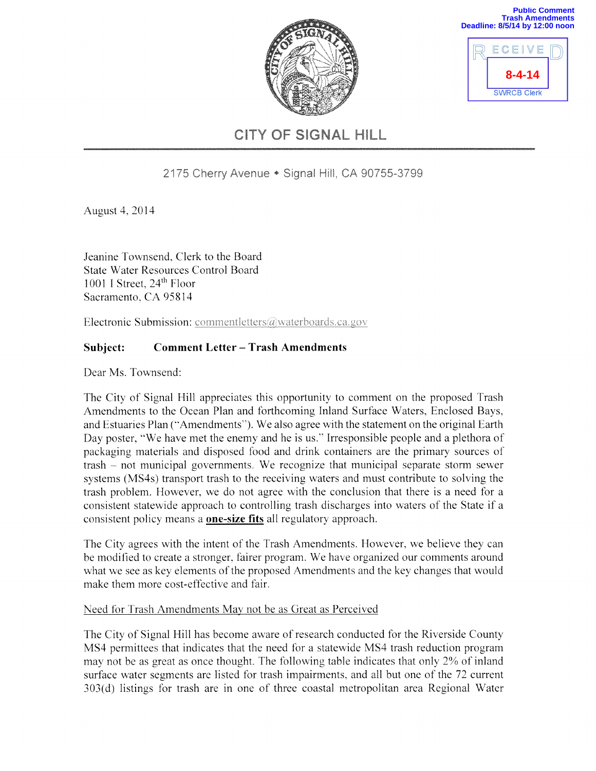

| <b>Trash Amendment</b><br>Deadline: 8/5/14 by 12:00 noo |  |
|---------------------------------------------------------|--|
| ECEIVE                                                  |  |
| $8 - 4 - 14$                                            |  |
| <b>SWRCB Clerk</b>                                      |  |

**Public Comment** 

# CITY OF SIGNAL HILL

# 2175 Cherry Avenue • Signal Hill, CA 90755-3799

August 4, 2014

Jeanine Townsend, Clerk to the Board **State Water Resources Control Board** 1001 I Street, 24<sup>th</sup> Floor Sacramento, CA 95814

Electronic Submission: commentletters@waterboards.ca.gov

#### Subject: **Comment Letter - Trash Amendments**

Dear Ms. Townsend:

The City of Signal Hill appreciates this opportunity to comment on the proposed Trash Amendments to the Ocean Plan and forthcoming Inland Surface Waters, Enclosed Bays, and Estuaries Plan ("Amendments"). We also agree with the statement on the original Earth Day poster, "We have met the enemy and he is us." Irresponsible people and a plethora of packaging materials and disposed food and drink containers are the primary sources of trash – not municipal governments. We recognize that municipal separate storm sewer systems (MS4s) transport trash to the receiving waters and must contribute to solving the trash problem. However, we do not agree with the conclusion that there is a need for a consistent statewide approach to controlling trash discharges into waters of the State if a consistent policy means a **one-size fits** all regulatory approach.

The City agrees with the intent of the Trash Amendments. However, we believe they can be modified to create a stronger, fairer program. We have organized our comments around what we see as key elements of the proposed Amendments and the key changes that would make them more cost-effective and fair.

#### Need for Trash Amendments May not be as Great as Perceived

The City of Signal Hill has become aware of research conducted for the Riverside County MS4 permittees that indicates that the need for a statewide MS4 trash reduction program may not be as great as once thought. The following table indicates that only 2% of inland surface water segments are listed for trash impairments, and all but one of the 72 current 303(d) listings for trash are in one of three coastal metropolitan area Regional Water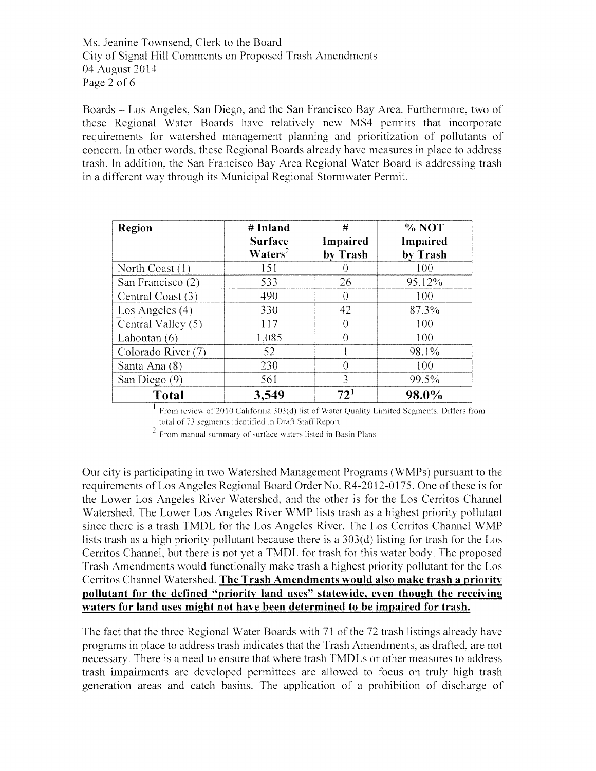Ms. Jeanine Townsend, Clerk to the Board City of Signal Hill Comments on Proposed Trash Amendments 04 August 2014 Page 2 of 6

Boards – Los Angeles, San Diego, and the San Francisco Bay Area. Furthermore, two of these Regional Water Boards have relatively new MS4 permits that incorporate requirements for watershed management planning and prioritization of pollutants of concern. In other words, these Regional Boards already have measures in place to address trash. In addition, the San Francisco Bay Area Regional Water Board is addressing trash in a different way through its Municipal Regional Stormwater Permit.

| <b>Region</b>      | # Inland<br><b>Surface</b><br>$\mathbf{W}\text{aters}^2$ | #<br>Impaired<br>by Trash | % NOT<br>Impaired<br>by Trash |
|--------------------|----------------------------------------------------------|---------------------------|-------------------------------|
| North Coast $(1)$  | 151                                                      | $\left( \right)$          | 100                           |
| San Francisco (2)  | 533                                                      | 26                        | 95.12%                        |
| Central Coast (3)  | 490                                                      | 0                         | 100                           |
| Los Angeles $(4)$  | 330                                                      | 42                        | 87.3%                         |
| Central Valley (5) | 117                                                      | 0                         | 100                           |
| Lahontan $(6)$     | 1,085                                                    | $\theta$                  | 100                           |
| Colorado River (7) | 52                                                       |                           | 98.1%                         |
| Santa Ana (8)      | 230                                                      | $\theta$                  | 100                           |
| San Diego (9)      | 561                                                      | 3                         | 99.5%                         |
| <b>Total</b>       | 3,549                                                    | 72 <sup>1</sup>           | 98.0%                         |

<sup>1</sup> From review of 2010 California 303(d) list of Water Quality Limited Segments. Differs from total of 73 segments identified in Draft Staff Report

<sup>2</sup> From manual summary of surface waters listed in Basin Plans

Our city is participating in two Watershed Management Programs (WMPs) pursuant to the requirements of Los Angeles Regional Board Order No. R4-2012-0175. One of these is for the Lower Los Angeles River Watershed, and the other is for the Los Cerritos Channel Watershed. The Lower Los Angeles River WMP lists trash as a highest priority pollutant since there is a trash TMDL for the Los Angeles River. The Los Cerritos Channel WMP lists trash as a high priority pollutant because there is a 303(d) listing for trash for the Los Cerritos Channel, but there is not yet a TMDL for trash for this water body. The proposed Trash Amendments would functionally make trash a highest priority pollutant for the Los Cerritos Channel Watershed. The Trash Amendments would also make trash a priority pollutant for the defined "priority land uses" statewide, even though the receiving waters for land uses might not have been determined to be impaired for trash.

The fact that the three Regional Water Boards with 71 of the 72 trash listings already have programs in place to address trash indicates that the Trash Amendments, as drafted, are not necessary. There is a need to ensure that where trash TMDLs or other measures to address trash impairments are developed permittees are allowed to focus on truly high trash generation areas and catch basins. The application of a prohibition of discharge of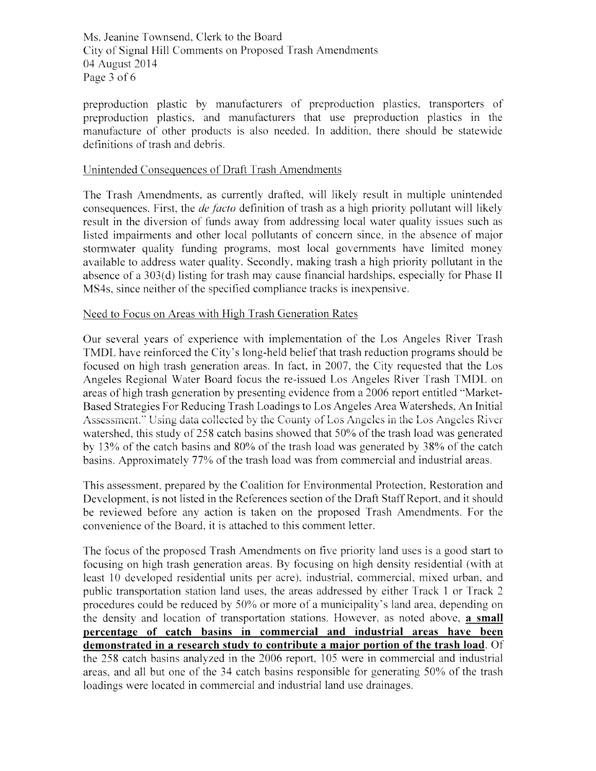Ms. Jeanine Townsend, Clerk to the Board City of Signal Hill Comments on Proposed Trash Amendments 04 August 2014 Page 3 of 6

preproduction plastic by manufacturers of preproduction plastics, transporters of preproduction plastics, and manufacturers that use preproduction plastics in the manufacture of other products is also needed. In addition, there should be statewide definitions of trash and debris.

#### Unintended Consequences of Draft Trash Amendments

The Trash Amendments, as currently drafted, will likely result in multiple unintended consequences. First, the *de facto* definition of trash as a high priority pollutant will likely result in the diversion of funds away from addressing local water quality issues such as listed impairments and other local pollutants of concern since, in the absence of major stormwater quality funding programs, most local governments have limited money available to address water quality. Secondly, making trash a high priority pollutant in the absence of a 303(d) listing for trash may cause financial hardships, especially for Phase II MS4s, since neither of the specified compliance tracks is inexpensive.

#### Need to Focus on Areas with High Trash Generation Rates

Our several years of experience with implementation of the Los Angeles River Trash TMDL have reinforced the City's long-held belief that trash reduction programs should be focused on high trash generation areas. In fact, in 2007, the City requested that the Los Angeles Regional Water Board focus the re-issued Los Angeles River Trash TMDL on areas of high trash generation by presenting evidence from a 2006 report entitled "Market-Based Strategies For Reducing Trash Loadings to Los Angeles Area Watersheds, An Initial Assessment." Using data collected by the County of Los Angeles in the Los Angeles River watershed, this study of 258 catch basins showed that 50% of the trash load was generated by 13% of the catch basins and 80% of the trash load was generated by 38% of the catch basins. Approximately 77% of the trash load was from commercial and industrial areas.

This assessment, prepared by the Coalition for Environmental Protection, Restoration and Development, is not listed in the References section of the Draft Staff Report, and it should be reviewed before any action is taken on the proposed Trash Amendments. For the convenience of the Board, it is attached to this comment letter.

The focus of the proposed Trash Amendments on five priority land uses is a good start to focusing on high trash generation areas. By focusing on high density residential (with at least 10 developed residential units per acre), industrial, commercial, mixed urban, and public transportation station land uses, the areas addressed by either Track 1 or Track 2 procedures could be reduced by 50% or more of a municipality's land area, depending on the density and location of transportation stations. However, as noted above, a small percentage of catch basins in commercial and industrial areas have been demonstrated in a research study to contribute a major portion of the trash load. Of the 258 catch basins analyzed in the 2006 report, 105 were in commercial and industrial areas, and all but one of the 34 catch basins responsible for generating 50% of the trash loadings were located in commercial and industrial land use drainages.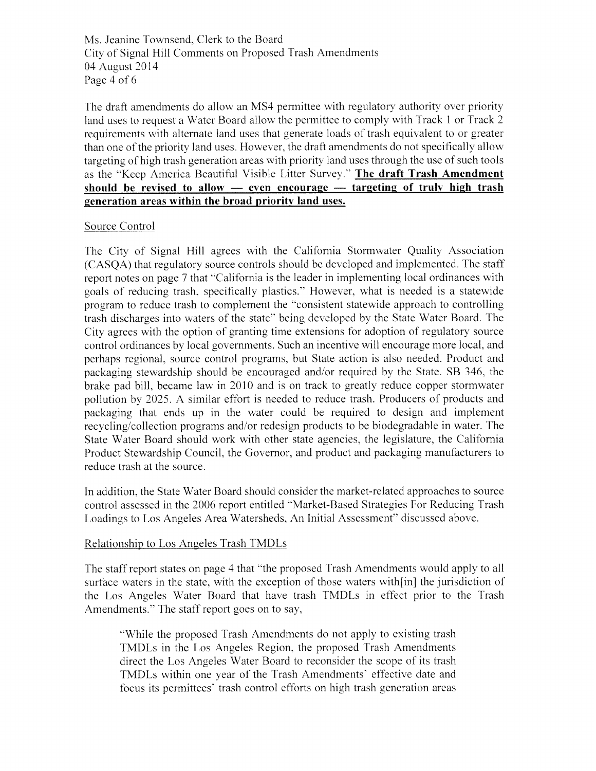Ms. Jeanine Townsend, Clerk to the Board City of Signal Hill Comments on Proposed Trash Amendments 04 August 2014 Page 4 of 6

The draft amendments do allow an MS4 permittee with regulatory authority over priority land uses to request a Water Board allow the permittee to comply with Track 1 or Track 2 requirements with alternate land uses that generate loads of trash equivalent to or greater than one of the priority land uses. However, the draft amendments do not specifically allow targeting of high trash generation areas with priority land uses through the use of such tools as the "Keep America Beautiful Visible Litter Survey." The draft Trash Amendment should be revised to allow  $-$  even encourage  $-$  targeting of truly high trash generation areas within the broad priority land uses.

#### Source Control

The City of Signal Hill agrees with the California Stormwater Quality Association (CASOA) that regulatory source controls should be developed and implemented. The staff report notes on page 7 that "California is the leader in implementing local ordinances with goals of reducing trash, specifically plastics." However, what is needed is a statewide program to reduce trash to complement the "consistent statewide approach to controlling trash discharges into waters of the state" being developed by the State Water Board. The City agrees with the option of granting time extensions for adoption of regulatory source control ordinances by local governments. Such an incentive will encourage more local, and perhaps regional, source control programs, but State action is also needed. Product and packaging stewardship should be encouraged and/or required by the State. SB 346, the brake pad bill, became law in 2010 and is on track to greatly reduce copper stormwater pollution by 2025. A similar effort is needed to reduce trash. Producers of products and packaging that ends up in the water could be required to design and implement recycling/collection programs and/or redesign products to be biodegradable in water. The State Water Board should work with other state agencies, the legislature, the California Product Stewardship Council, the Governor, and product and packaging manufacturers to reduce trash at the source.

In addition, the State Water Board should consider the market-related approaches to source control assessed in the 2006 report entitled "Market-Based Strategies For Reducing Trash Loadings to Los Angeles Area Watersheds, An Initial Assessment" discussed above.

#### Relationship to Los Angeles Trash TMDLs

The staff report states on page 4 that "the proposed Trash Amendments would apply to all surface waters in the state, with the exception of those waters with [in] the jurisdiction of the Los Angeles Water Board that have trash TMDLs in effect prior to the Trash Amendments." The staff report goes on to say,

"While the proposed Trash Amendments do not apply to existing trash TMDLs in the Los Angeles Region, the proposed Trash Amendments direct the Los Angeles Water Board to reconsider the scope of its trash TMDLs within one year of the Trash Amendments' effective date and focus its permittees' trash control efforts on high trash generation areas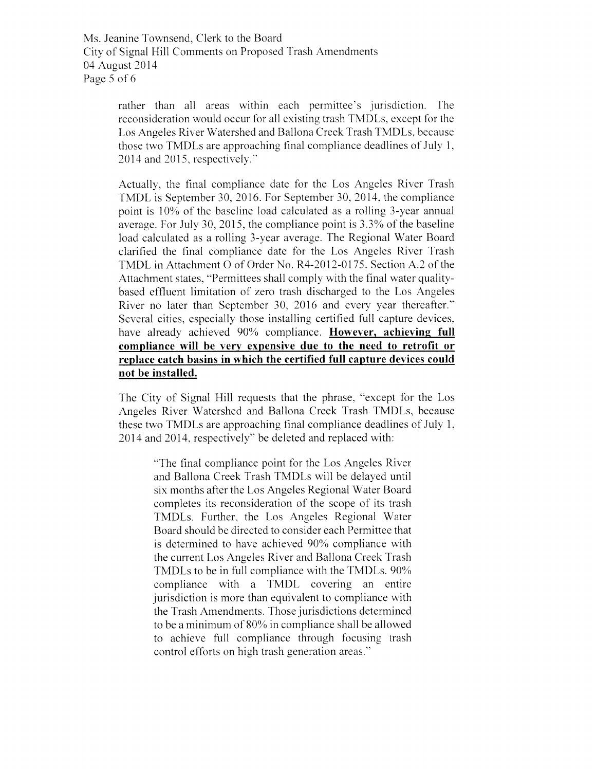Ms. Jeanine Townsend, Clerk to the Board City of Signal Hill Comments on Proposed Trash Amendments 04 August 2014 Page 5 of 6

> rather than all areas within each permittee's jurisdiction. The reconsideration would occur for all existing trash TMDLs, except for the Los Angeles River Watershed and Ballona Creek Trash TMDLs, because those two TMDLs are approaching final compliance deadlines of July 1, 2014 and 2015, respectively."

> Actually, the final compliance date for the Los Angeles River Trash TMDL is September 30, 2016. For September 30, 2014, the compliance point is 10% of the baseline load calculated as a rolling 3-year annual average. For July 30, 2015, the compliance point is 3.3% of the baseline load calculated as a rolling 3-year average. The Regional Water Board clarified the final compliance date for the Los Angeles River Trash TMDL in Attachment O of Order No. R4-2012-0175. Section A.2 of the Attachment states, "Permittees shall comply with the final water qualitybased effluent limitation of zero trash discharged to the Los Angeles River no later than September 30, 2016 and every year thereafter." Several cities, especially those installing certified full capture devices, have already achieved 90% compliance. However, achieving full compliance will be very expensive due to the need to retrofit or replace catch basins in which the certified full capture devices could not be installed.

> The City of Signal Hill requests that the phrase, "except for the Los Angeles River Watershed and Ballona Creek Trash TMDLs, because these two TMDLs are approaching final compliance deadlines of July 1, 2014 and 2014, respectively" be deleted and replaced with:

> > "The final compliance point for the Los Angeles River and Ballona Creek Trash TMDLs will be delayed until six months after the Los Angeles Regional Water Board completes its reconsideration of the scope of its trash TMDLs. Further, the Los Angeles Regional Water Board should be directed to consider each Permittee that is determined to have achieved 90% compliance with the current Los Angeles River and Ballona Creek Trash TMDLs to be in full compliance with the TMDLs. 90% compliance with a TMDL covering an entire jurisdiction is more than equivalent to compliance with the Trash Amendments. Those jurisdictions determined to be a minimum of 80% in compliance shall be allowed to achieve full compliance through focusing trash control efforts on high trash generation areas."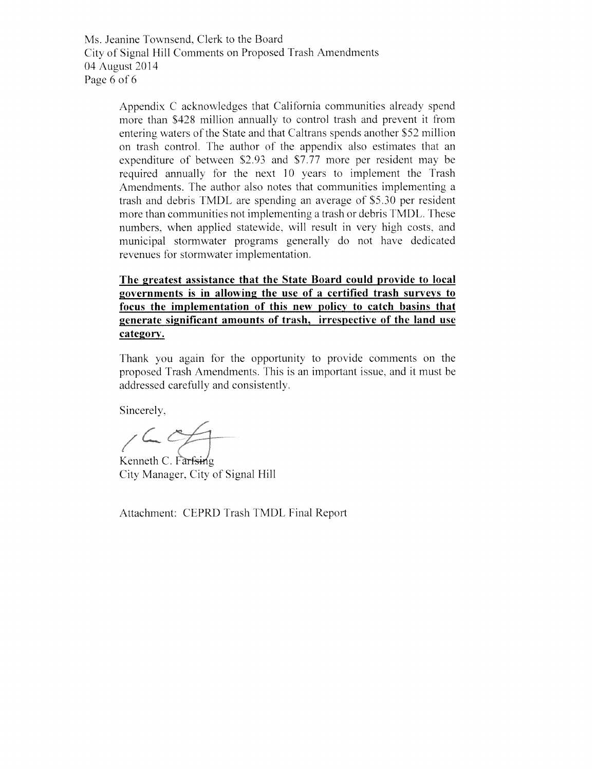Ms. Jeanine Townsend, Clerk to the Board City of Signal Hill Comments on Proposed Trash Amendments 04 August 2014 Page 6 of 6

> Appendix C acknowledges that California communities already spend more than \$428 million annually to control trash and prevent it from entering waters of the State and that Caltrans spends another \$52 million on trash control. The author of the appendix also estimates that an expenditure of between \$2.93 and \$7.77 more per resident may be required annually for the next 10 years to implement the Trash Amendments. The author also notes that communities implementing a trash and debris TMDL are spending an average of \$5.30 per resident more than communities not implementing a trash or debris TMDL. These numbers, when applied statewide, will result in very high costs, and municipal stormwater programs generally do not have dedicated revenues for stormwater implementation.

> The greatest assistance that the State Board could provide to local governments is in allowing the use of a certified trash surveys to focus the implementation of this new policy to catch basins that generate significant amounts of trash, irrespective of the land use category.

> Thank you again for the opportunity to provide comments on the proposed Trash Amendments. This is an important issue, and it must be addressed carefully and consistently.

Sincerely,

 $160$ 

Kenneth C. Farfsing City Manager, City of Signal Hill

Attachment: CEPRD Trash TMDL Final Report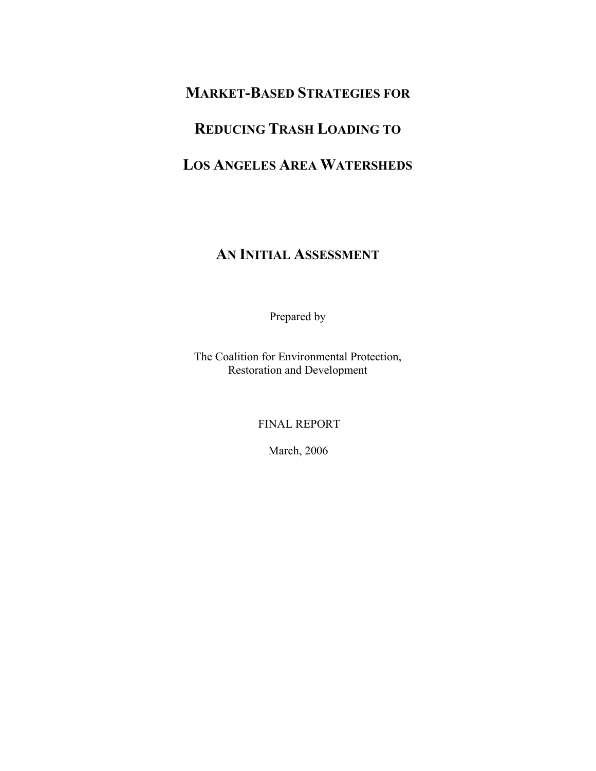# **MARKET-BASED STRATEGIES FOR**

# **REDUCING TRASH LOADING TO**

# **LOS ANGELES AREA WATERSHEDS**

# **AN INITIAL ASSESSMENT**

Prepared by

The Coalition for Environmental Protection, Restoration and Development

FINAL REPORT

March, 2006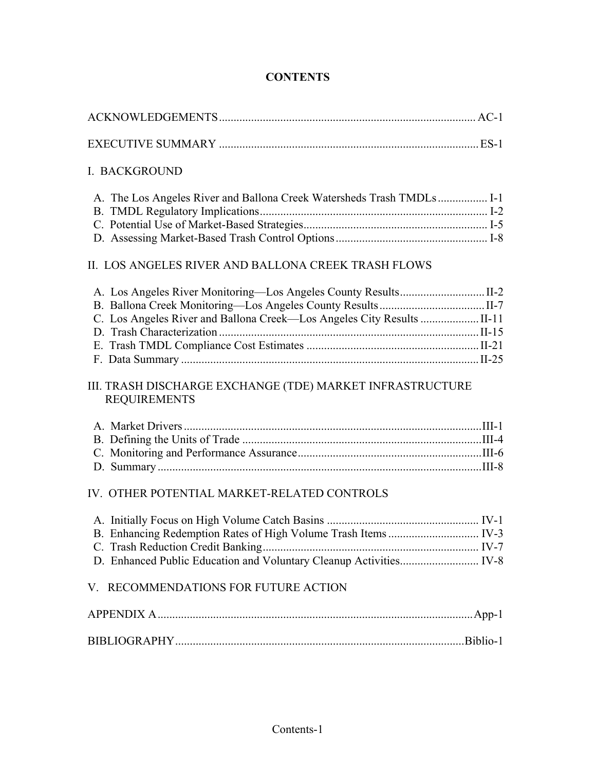# **CONTENTS**

|--|--|

# EXECUTIVE SUMMARY ......................................................................................... ES-1

### I. BACKGROUND

### II. LOS ANGELES RIVER AND BALLONA CREEK TRASH FLOWS

### III. TRASH DISCHARGE EXCHANGE (TDE) MARKET INFRASTRUCTURE REQUIREMENTS

# IV. OTHER POTENTIAL MARKET-RELATED CONTROLS

# V. RECOMMENDATIONS FOR FUTURE ACTION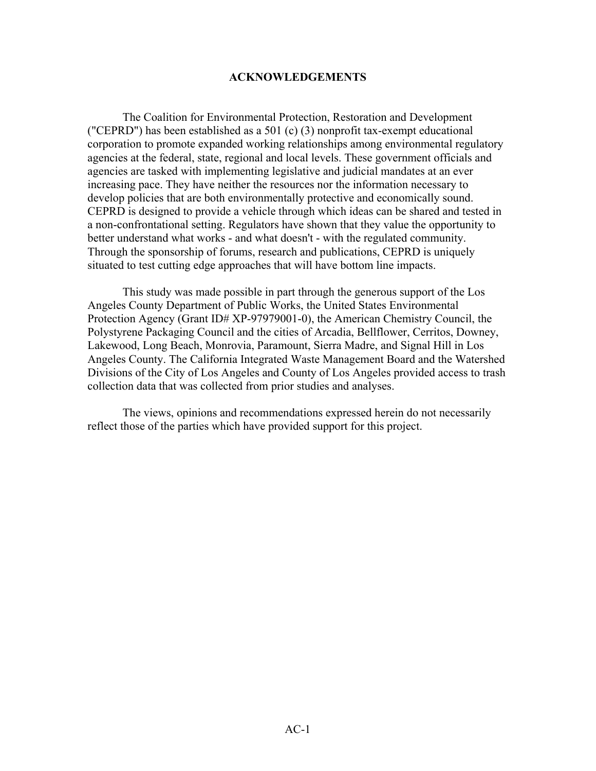#### **ACKNOWLEDGEMENTS**

The Coalition for Environmental Protection, Restoration and Development ("CEPRD") has been established as a 501 (c) (3) nonprofit tax-exempt educational corporation to promote expanded working relationships among environmental regulatory agencies at the federal, state, regional and local levels. These government officials and agencies are tasked with implementing legislative and judicial mandates at an ever increasing pace. They have neither the resources nor the information necessary to develop policies that are both environmentally protective and economically sound. CEPRD is designed to provide a vehicle through which ideas can be shared and tested in a non-confrontational setting. Regulators have shown that they value the opportunity to better understand what works - and what doesn't - with the regulated community. Through the sponsorship of forums, research and publications, CEPRD is uniquely situated to test cutting edge approaches that will have bottom line impacts.

This study was made possible in part through the generous support of the Los Angeles County Department of Public Works, the United States Environmental Protection Agency (Grant ID# XP-97979001-0), the American Chemistry Council, the Polystyrene Packaging Council and the cities of Arcadia, Bellflower, Cerritos, Downey, Lakewood, Long Beach, Monrovia, Paramount, Sierra Madre, and Signal Hill in Los Angeles County. The California Integrated Waste Management Board and the Watershed Divisions of the City of Los Angeles and County of Los Angeles provided access to trash collection data that was collected from prior studies and analyses.

 The views, opinions and recommendations expressed herein do not necessarily reflect those of the parties which have provided support for this project.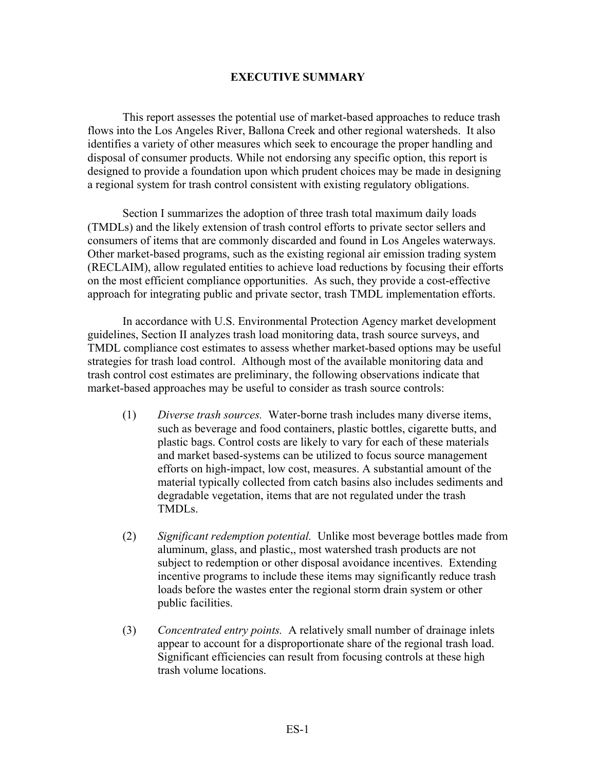#### **EXECUTIVE SUMMARY**

 This report assesses the potential use of market-based approaches to reduce trash flows into the Los Angeles River, Ballona Creek and other regional watersheds. It also identifies a variety of other measures which seek to encourage the proper handling and disposal of consumer products. While not endorsing any specific option, this report is designed to provide a foundation upon which prudent choices may be made in designing a regional system for trash control consistent with existing regulatory obligations.

Section I summarizes the adoption of three trash total maximum daily loads (TMDLs) and the likely extension of trash control efforts to private sector sellers and consumers of items that are commonly discarded and found in Los Angeles waterways. Other market-based programs, such as the existing regional air emission trading system (RECLAIM), allow regulated entities to achieve load reductions by focusing their efforts on the most efficient compliance opportunities. As such, they provide a cost-effective approach for integrating public and private sector, trash TMDL implementation efforts.

 In accordance with U.S. Environmental Protection Agency market development guidelines, Section II analyzes trash load monitoring data, trash source surveys, and TMDL compliance cost estimates to assess whether market-based options may be useful strategies for trash load control. Although most of the available monitoring data and trash control cost estimates are preliminary, the following observations indicate that market-based approaches may be useful to consider as trash source controls:

- (1) *Diverse trash sources.* Water-borne trash includes many diverse items, such as beverage and food containers, plastic bottles, cigarette butts, and plastic bags. Control costs are likely to vary for each of these materials and market based-systems can be utilized to focus source management efforts on high-impact, low cost, measures. A substantial amount of the material typically collected from catch basins also includes sediments and degradable vegetation, items that are not regulated under the trash TMDLs.
- (2) *Significant redemption potential.* Unlike most beverage bottles made from aluminum, glass, and plastic,, most watershed trash products are not subject to redemption or other disposal avoidance incentives. Extending incentive programs to include these items may significantly reduce trash loads before the wastes enter the regional storm drain system or other public facilities.
- (3) *Concentrated entry points.* A relatively small number of drainage inlets appear to account for a disproportionate share of the regional trash load. Significant efficiencies can result from focusing controls at these high trash volume locations.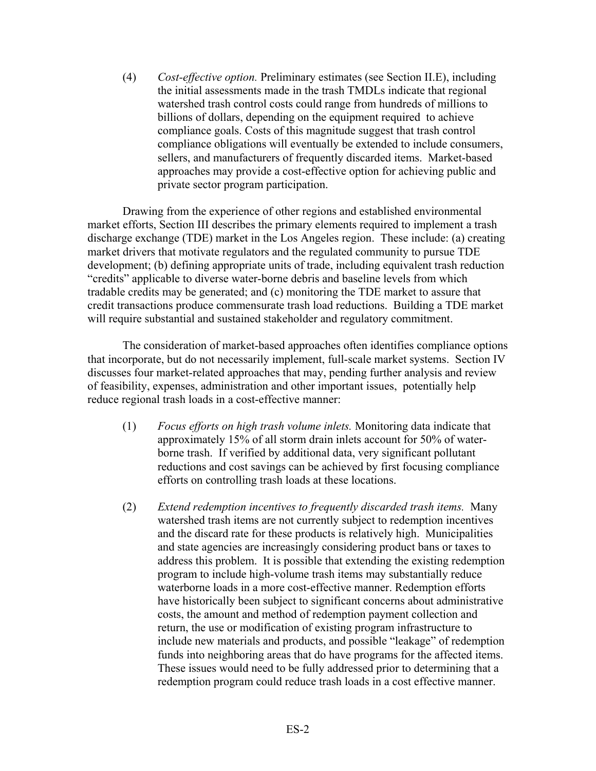(4) *Cost-effective option.* Preliminary estimates (see Section II.E), including the initial assessments made in the trash TMDLs indicate that regional watershed trash control costs could range from hundreds of millions to billions of dollars, depending on the equipment required to achieve compliance goals. Costs of this magnitude suggest that trash control compliance obligations will eventually be extended to include consumers, sellers, and manufacturers of frequently discarded items. Market-based approaches may provide a cost-effective option for achieving public and private sector program participation.

Drawing from the experience of other regions and established environmental market efforts, Section III describes the primary elements required to implement a trash discharge exchange (TDE) market in the Los Angeles region. These include: (a) creating market drivers that motivate regulators and the regulated community to pursue TDE development; (b) defining appropriate units of trade, including equivalent trash reduction "credits" applicable to diverse water-borne debris and baseline levels from which tradable credits may be generated; and (c) monitoring the TDE market to assure that credit transactions produce commensurate trash load reductions. Building a TDE market will require substantial and sustained stakeholder and regulatory commitment.

The consideration of market-based approaches often identifies compliance options that incorporate, but do not necessarily implement, full-scale market systems. Section IV discusses four market-related approaches that may, pending further analysis and review of feasibility, expenses, administration and other important issues, potentially help reduce regional trash loads in a cost-effective manner:

- (1) *Focus efforts on high trash volume inlets.* Monitoring data indicate that approximately 15% of all storm drain inlets account for 50% of waterborne trash. If verified by additional data, very significant pollutant reductions and cost savings can be achieved by first focusing compliance efforts on controlling trash loads at these locations.
- (2) *Extend redemption incentives to frequently discarded trash items.* Many watershed trash items are not currently subject to redemption incentives and the discard rate for these products is relatively high. Municipalities and state agencies are increasingly considering product bans or taxes to address this problem. It is possible that extending the existing redemption program to include high-volume trash items may substantially reduce waterborne loads in a more cost-effective manner. Redemption efforts have historically been subject to significant concerns about administrative costs, the amount and method of redemption payment collection and return, the use or modification of existing program infrastructure to include new materials and products, and possible "leakage" of redemption funds into neighboring areas that do have programs for the affected items. These issues would need to be fully addressed prior to determining that a redemption program could reduce trash loads in a cost effective manner.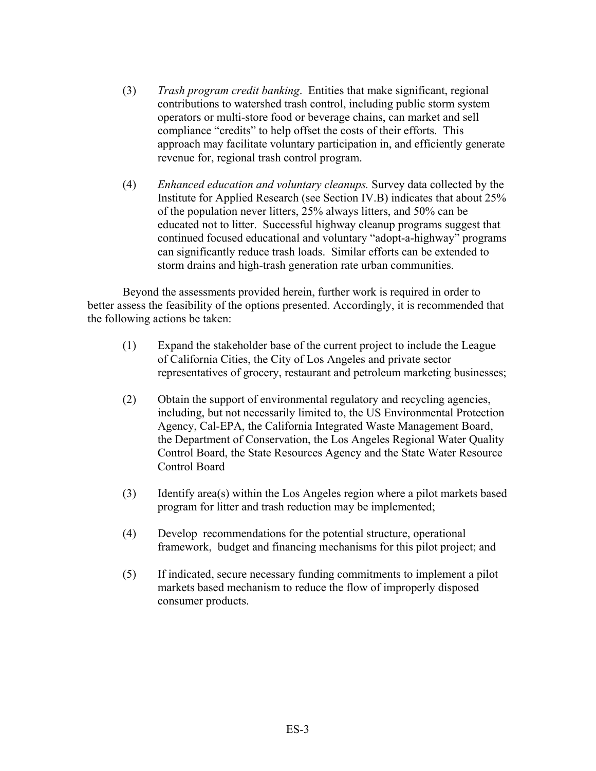- (3) *Trash program credit banking*. Entities that make significant, regional contributions to watershed trash control, including public storm system operators or multi-store food or beverage chains, can market and sell compliance "credits" to help offset the costs of their efforts. This approach may facilitate voluntary participation in, and efficiently generate revenue for, regional trash control program.
- (4) *Enhanced education and voluntary cleanups.* Survey data collected by the Institute for Applied Research (see Section IV.B) indicates that about 25% of the population never litters, 25% always litters, and 50% can be educated not to litter. Successful highway cleanup programs suggest that continued focused educational and voluntary "adopt-a-highway" programs can significantly reduce trash loads. Similar efforts can be extended to storm drains and high-trash generation rate urban communities.

 Beyond the assessments provided herein, further work is required in order to better assess the feasibility of the options presented. Accordingly, it is recommended that the following actions be taken:

- (1) Expand the stakeholder base of the current project to include the League of California Cities, the City of Los Angeles and private sector representatives of grocery, restaurant and petroleum marketing businesses;
- (2) Obtain the support of environmental regulatory and recycling agencies, including, but not necessarily limited to, the US Environmental Protection Agency, Cal-EPA, the California Integrated Waste Management Board, the Department of Conservation, the Los Angeles Regional Water Quality Control Board, the State Resources Agency and the State Water Resource Control Board
- (3) Identify area(s) within the Los Angeles region where a pilot markets based program for litter and trash reduction may be implemented;
- (4) Develop recommendations for the potential structure, operational framework, budget and financing mechanisms for this pilot project; and
- (5) If indicated, secure necessary funding commitments to implement a pilot markets based mechanism to reduce the flow of improperly disposed consumer products.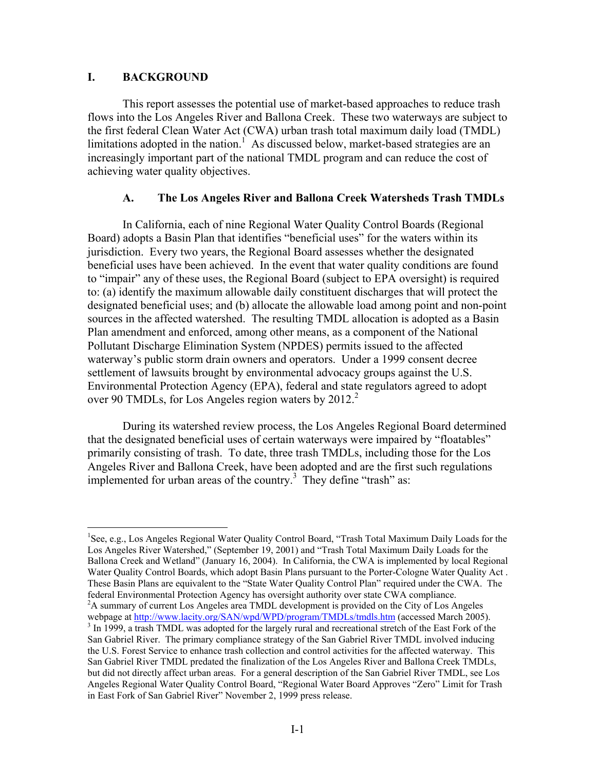#### **I. BACKGROUND**

 $\overline{a}$ 

 This report assesses the potential use of market-based approaches to reduce trash flows into the Los Angeles River and Ballona Creek. These two waterways are subject to the first federal Clean Water Act (CWA) urban trash total maximum daily load (TMDL) limitations adopted in the nation.<sup>1</sup> As discussed below, market-based strategies are an increasingly important part of the national TMDL program and can reduce the cost of achieving water quality objectives.

#### **A. The Los Angeles River and Ballona Creek Watersheds Trash TMDLs**

 In California, each of nine Regional Water Quality Control Boards (Regional Board) adopts a Basin Plan that identifies "beneficial uses" for the waters within its jurisdiction. Every two years, the Regional Board assesses whether the designated beneficial uses have been achieved. In the event that water quality conditions are found to "impair" any of these uses, the Regional Board (subject to EPA oversight) is required to: (a) identify the maximum allowable daily constituent discharges that will protect the designated beneficial uses; and (b) allocate the allowable load among point and non-point sources in the affected watershed. The resulting TMDL allocation is adopted as a Basin Plan amendment and enforced, among other means, as a component of the National Pollutant Discharge Elimination System (NPDES) permits issued to the affected waterway's public storm drain owners and operators. Under a 1999 consent decree settlement of lawsuits brought by environmental advocacy groups against the U.S. Environmental Protection Agency (EPA), federal and state regulators agreed to adopt over 90 TMDLs, for Los Angeles region waters by  $2012<sup>2</sup>$ 

 During its watershed review process, the Los Angeles Regional Board determined that the designated beneficial uses of certain waterways were impaired by "floatables" primarily consisting of trash. To date, three trash TMDLs, including those for the Los Angeles River and Ballona Creek, have been adopted and are the first such regulations implemented for urban areas of the country.<sup>3</sup> They define "trash" as:

<sup>&</sup>lt;sup>1</sup>See, e.g., Los Angeles Regional Water Quality Control Board, "Trash Total Maximum Daily Loads for the Los Angeles River Watershed," (September 19, 2001) and "Trash Total Maximum Daily Loads for the Ballona Creek and Wetland" (January 16, 2004). In California, the CWA is implemented by local Regional Water Quality Control Boards, which adopt Basin Plans pursuant to the Porter-Cologne Water Quality Act . These Basin Plans are equivalent to the "State Water Quality Control Plan" required under the CWA. The federal Environmental Protection Agency has oversight authority over state CWA compliance. 2 <sup>2</sup>A summary of current Los Angeles area TMDL development is provided on the City of Los Angeles webpage at http://www.lacity.org/SAN/wpd/WPD/program/TMDLs/tmdls.htm (accessed March 2005).  $3$  In 1999, a trash TMDL was adopted for the largely rural and recreational stretch of the East Fork of the San Gabriel River. The primary compliance strategy of the San Gabriel River TMDL involved inducing the U.S. Forest Service to enhance trash collection and control activities for the affected waterway. This San Gabriel River TMDL predated the finalization of the Los Angeles River and Ballona Creek TMDLs, but did not directly affect urban areas. For a general description of the San Gabriel River TMDL, see Los Angeles Regional Water Quality Control Board, "Regional Water Board Approves "Zero" Limit for Trash in East Fork of San Gabriel River" November 2, 1999 press release.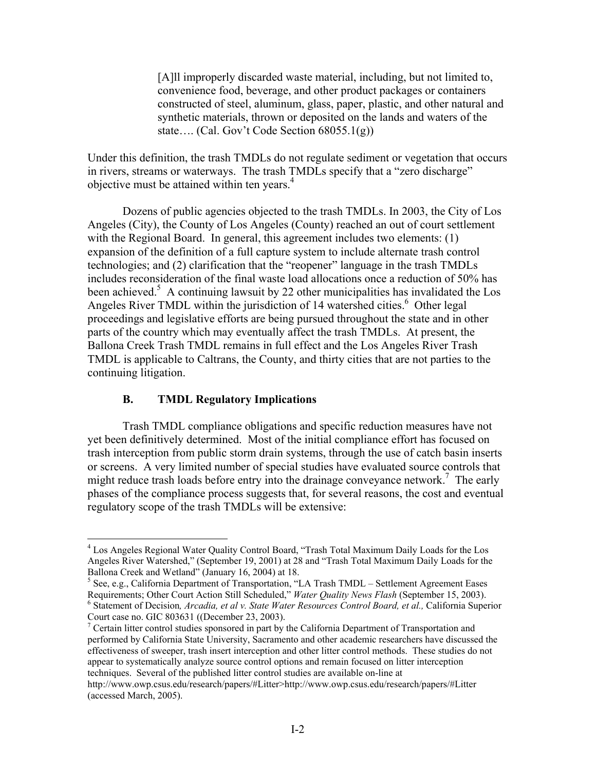[A]ll improperly discarded waste material, including, but not limited to, convenience food, beverage, and other product packages or containers constructed of steel, aluminum, glass, paper, plastic, and other natural and synthetic materials, thrown or deposited on the lands and waters of the state…. (Cal. Gov't Code Section 68055.1(g))

Under this definition, the trash TMDLs do not regulate sediment or vegetation that occurs in rivers, streams or waterways. The trash TMDLs specify that a "zero discharge" objective must be attained within ten years.<sup>4</sup>

 Dozens of public agencies objected to the trash TMDLs. In 2003, the City of Los Angeles (City), the County of Los Angeles (County) reached an out of court settlement with the Regional Board. In general, this agreement includes two elements: (1) expansion of the definition of a full capture system to include alternate trash control technologies; and (2) clarification that the "reopener" language in the trash TMDLs includes reconsideration of the final waste load allocations once a reduction of 50% has been achieved.<sup>5</sup> A continuing lawsuit by 22 other municipalities has invalidated the Los Angeles River TMDL within the jurisdiction of 14 watershed cities.<sup>6</sup> Other legal proceedings and legislative efforts are being pursued throughout the state and in other parts of the country which may eventually affect the trash TMDLs. At present, the Ballona Creek Trash TMDL remains in full effect and the Los Angeles River Trash TMDL is applicable to Caltrans, the County, and thirty cities that are not parties to the continuing litigation.

#### **B. TMDL Regulatory Implications**

 $\overline{a}$ 

 Trash TMDL compliance obligations and specific reduction measures have not yet been definitively determined. Most of the initial compliance effort has focused on trash interception from public storm drain systems, through the use of catch basin inserts or screens. A very limited number of special studies have evaluated source controls that might reduce trash loads before entry into the drainage conveyance network.<sup>7</sup> The early phases of the compliance process suggests that, for several reasons, the cost and eventual regulatory scope of the trash TMDLs will be extensive:

<sup>&</sup>lt;sup>4</sup> Los Angeles Regional Water Quality Control Board, "Trash Total Maximum Daily Loads for the Los Angeles River Watershed," (September 19, 2001) at 28 and "Trash Total Maximum Daily Loads for the Ballona Creek and Wetland" (January 16, 2004) at 18.

<sup>&</sup>lt;sup>5</sup> See, e.g., California Department of Transportation, "LA Trash TMDL – Settlement Agreement Eases Requirements; Other Court Action Still Scheduled," *Water Quality News Flash* (September 15, 2003). <sup>6</sup> Statement of Decision, *Arcadia, et al v. State Water Resources Control Board, et al.*, California Superior Court case no. GIC 803631 ((December 23, 2003).

<sup>&</sup>lt;sup>7</sup> Certain litter control studies sponsored in part by the California Department of Transportation and performed by California State University, Sacramento and other academic researchers have discussed the effectiveness of sweeper, trash insert interception and other litter control methods. These studies do not appear to systematically analyze source control options and remain focused on litter interception techniques. Several of the published litter control studies are available on-line at

http://www.owp.csus.edu/research/papers/#Litter>http://www.owp.csus.edu/research/papers/#Litter (accessed March, 2005).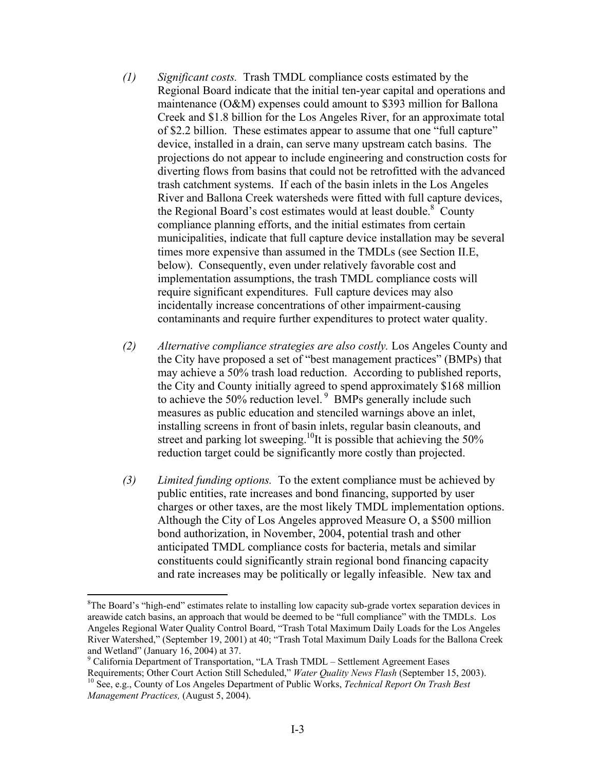- *(1) Significant costs.* Trash TMDL compliance costs estimated by the Regional Board indicate that the initial ten-year capital and operations and maintenance (O&M) expenses could amount to \$393 million for Ballona Creek and \$1.8 billion for the Los Angeles River, for an approximate total of \$2.2 billion. These estimates appear to assume that one "full capture" device, installed in a drain, can serve many upstream catch basins. The projections do not appear to include engineering and construction costs for diverting flows from basins that could not be retrofitted with the advanced trash catchment systems. If each of the basin inlets in the Los Angeles River and Ballona Creek watersheds were fitted with full capture devices, the Regional Board's cost estimates would at least double.<sup>8</sup> County compliance planning efforts, and the initial estimates from certain municipalities, indicate that full capture device installation may be several times more expensive than assumed in the TMDLs (see Section II.E, below). Consequently, even under relatively favorable cost and implementation assumptions, the trash TMDL compliance costs will require significant expenditures. Full capture devices may also incidentally increase concentrations of other impairment-causing contaminants and require further expenditures to protect water quality.
- *(2) Alternative compliance strategies are also costly.* Los Angeles County and the City have proposed a set of "best management practices" (BMPs) that may achieve a 50% trash load reduction. According to published reports, the City and County initially agreed to spend approximately \$168 million to achieve the  $50\%$  reduction level.  $9$  BMPs generally include such measures as public education and stenciled warnings above an inlet, installing screens in front of basin inlets, regular basin cleanouts, and street and parking lot sweeping.<sup>10</sup>It is possible that achieving the 50% reduction target could be significantly more costly than projected.
- *(3) Limited funding options.* To the extent compliance must be achieved by public entities, rate increases and bond financing, supported by user charges or other taxes, are the most likely TMDL implementation options. Although the City of Los Angeles approved Measure O, a \$500 million bond authorization, in November, 2004, potential trash and other anticipated TMDL compliance costs for bacteria, metals and similar constituents could significantly strain regional bond financing capacity and rate increases may be politically or legally infeasible. New tax and

<sup>&</sup>lt;sup>8</sup>The Board's "high-end" estimates relate to installing low capacity sub-grade vortex separation devices in areawide catch basins, an approach that would be deemed to be "full compliance" with the TMDLs. Los Angeles Regional Water Quality Control Board, "Trash Total Maximum Daily Loads for the Los Angeles River Watershed," (September 19, 2001) at 40; "Trash Total Maximum Daily Loads for the Ballona Creek and Wetland" (January 16, 2004) at 37.

<sup>&</sup>lt;sup>9</sup> California Department of Transportation, "LA Trash TMDL – Settlement Agreement Eases Requirements; Other Court Action Still Scheduled," *Water Quality News Flash* (September 15, 2003). 10 See, e.g., County of Los Angeles Department of Public Works, *Technical Report On Trash Best Management Practices,* (August 5, 2004).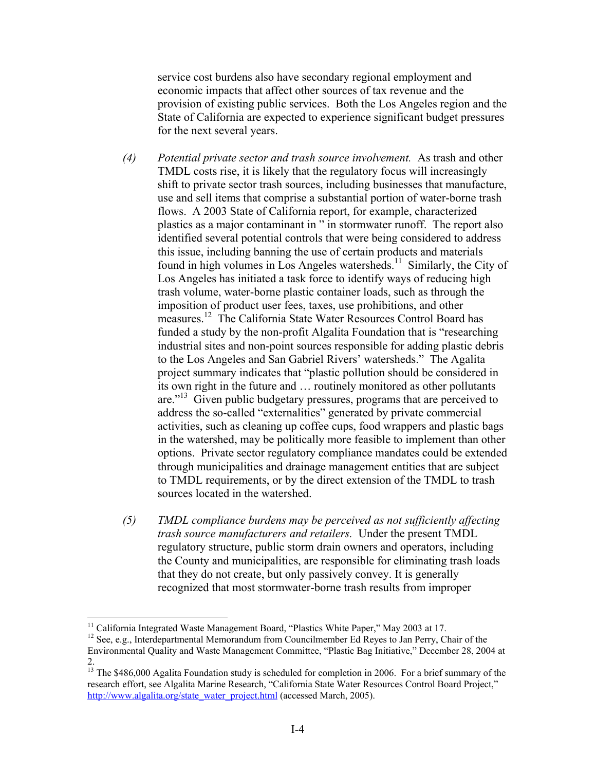service cost burdens also have secondary regional employment and economic impacts that affect other sources of tax revenue and the provision of existing public services. Both the Los Angeles region and the State of California are expected to experience significant budget pressures for the next several years.

- *(4) Potential private sector and trash source involvement.* As trash and other TMDL costs rise, it is likely that the regulatory focus will increasingly shift to private sector trash sources, including businesses that manufacture, use and sell items that comprise a substantial portion of water-borne trash flows. A 2003 State of California report, for example, characterized plastics as a major contaminant in " in stormwater runoff. The report also identified several potential controls that were being considered to address this issue, including banning the use of certain products and materials found in high volumes in Los Angeles watersheds.<sup>11</sup> Similarly, the City of Los Angeles has initiated a task force to identify ways of reducing high trash volume, water-borne plastic container loads, such as through the imposition of product user fees, taxes, use prohibitions, and other measures.<sup>12</sup> The California State Water Resources Control Board has funded a study by the non-profit Algalita Foundation that is "researching industrial sites and non-point sources responsible for adding plastic debris to the Los Angeles and San Gabriel Rivers' watersheds." The Agalita project summary indicates that "plastic pollution should be considered in its own right in the future and … routinely monitored as other pollutants are."<sup>13</sup> Given public budgetary pressures, programs that are perceived to address the so-called "externalities" generated by private commercial activities, such as cleaning up coffee cups, food wrappers and plastic bags in the watershed, may be politically more feasible to implement than other options. Private sector regulatory compliance mandates could be extended through municipalities and drainage management entities that are subject to TMDL requirements, or by the direct extension of the TMDL to trash sources located in the watershed.
- *(5) TMDL compliance burdens may be perceived as not sufficiently affecting trash source manufacturers and retailers.* Under the present TMDL regulatory structure, public storm drain owners and operators, including the County and municipalities, are responsible for eliminating trash loads that they do not create, but only passively convey. It is generally recognized that most stormwater-borne trash results from improper

<sup>&</sup>lt;sup>11</sup> California Integrated Waste Management Board, "Plastics White Paper," May 2003 at 17.

<sup>&</sup>lt;sup>12</sup> See, e.g., Interdepartmental Memorandum from Councilmember Ed Reyes to Jan Perry, Chair of the Environmental Quality and Waste Management Committee, "Plastic Bag Initiative," December 28, 2004 at 2.

<sup>&</sup>lt;sup>13</sup> The \$486,000 Agalita Foundation study is scheduled for completion in 2006. For a brief summary of the research effort, see Algalita Marine Research, "California State Water Resources Control Board Project," http://www.algalita.org/state\_water\_project.html (accessed March, 2005).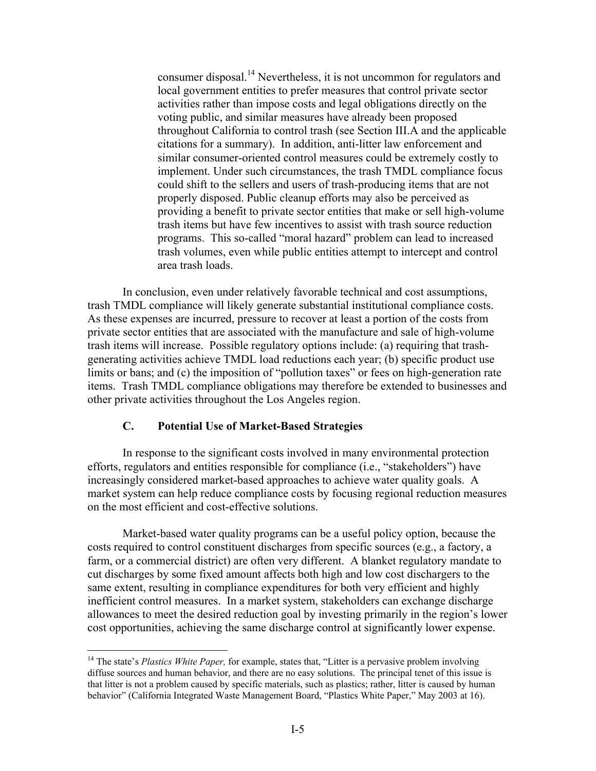consumer disposal.14 Nevertheless, it is not uncommon for regulators and local government entities to prefer measures that control private sector activities rather than impose costs and legal obligations directly on the voting public, and similar measures have already been proposed throughout California to control trash (see Section III.A and the applicable citations for a summary). In addition, anti-litter law enforcement and similar consumer-oriented control measures could be extremely costly to implement. Under such circumstances, the trash TMDL compliance focus could shift to the sellers and users of trash-producing items that are not properly disposed. Public cleanup efforts may also be perceived as providing a benefit to private sector entities that make or sell high-volume trash items but have few incentives to assist with trash source reduction programs. This so-called "moral hazard" problem can lead to increased trash volumes, even while public entities attempt to intercept and control area trash loads.

 In conclusion, even under relatively favorable technical and cost assumptions, trash TMDL compliance will likely generate substantial institutional compliance costs. As these expenses are incurred, pressure to recover at least a portion of the costs from private sector entities that are associated with the manufacture and sale of high-volume trash items will increase. Possible regulatory options include: (a) requiring that trashgenerating activities achieve TMDL load reductions each year; (b) specific product use limits or bans; and (c) the imposition of "pollution taxes" or fees on high-generation rate items. Trash TMDL compliance obligations may therefore be extended to businesses and other private activities throughout the Los Angeles region.

#### **C. Potential Use of Market-Based Strategies**

 $\overline{a}$ 

 In response to the significant costs involved in many environmental protection efforts, regulators and entities responsible for compliance (i.e., "stakeholders") have increasingly considered market-based approaches to achieve water quality goals. A market system can help reduce compliance costs by focusing regional reduction measures on the most efficient and cost-effective solutions.

 Market-based water quality programs can be a useful policy option, because the costs required to control constituent discharges from specific sources (e.g., a factory, a farm, or a commercial district) are often very different. A blanket regulatory mandate to cut discharges by some fixed amount affects both high and low cost dischargers to the same extent, resulting in compliance expenditures for both very efficient and highly inefficient control measures. In a market system, stakeholders can exchange discharge allowances to meet the desired reduction goal by investing primarily in the region's lower cost opportunities, achieving the same discharge control at significantly lower expense.

<sup>&</sup>lt;sup>14</sup> The state's *Plastics White Paper*, for example, states that, "Litter is a pervasive problem involving diffuse sources and human behavior, and there are no easy solutions. The principal tenet of this issue is that litter is not a problem caused by specific materials, such as plastics; rather, litter is caused by human behavior" (California Integrated Waste Management Board, "Plastics White Paper," May 2003 at 16).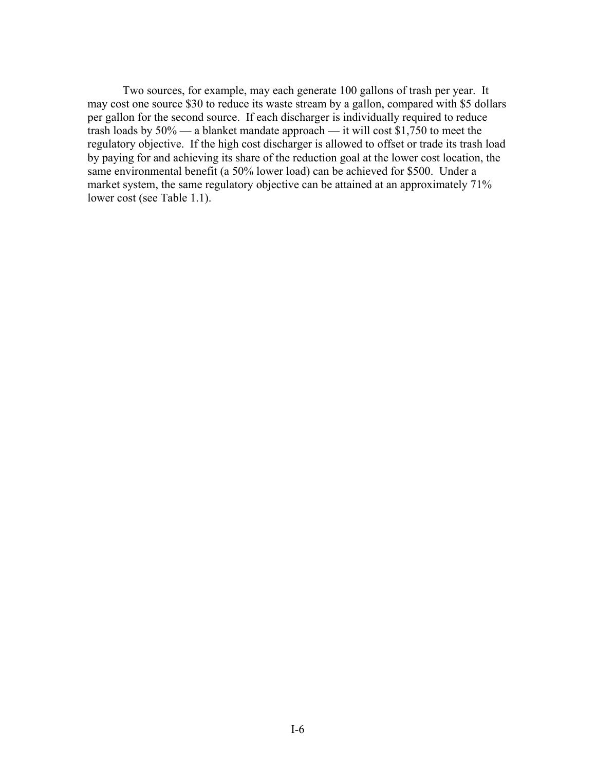Two sources, for example, may each generate 100 gallons of trash per year. It may cost one source \$30 to reduce its waste stream by a gallon, compared with \$5 dollars per gallon for the second source. If each discharger is individually required to reduce trash loads by 50% — a blanket mandate approach — it will cost \$1,750 to meet the regulatory objective. If the high cost discharger is allowed to offset or trade its trash load by paying for and achieving its share of the reduction goal at the lower cost location, the same environmental benefit (a 50% lower load) can be achieved for \$500. Under a market system, the same regulatory objective can be attained at an approximately 71% lower cost (see Table 1.1).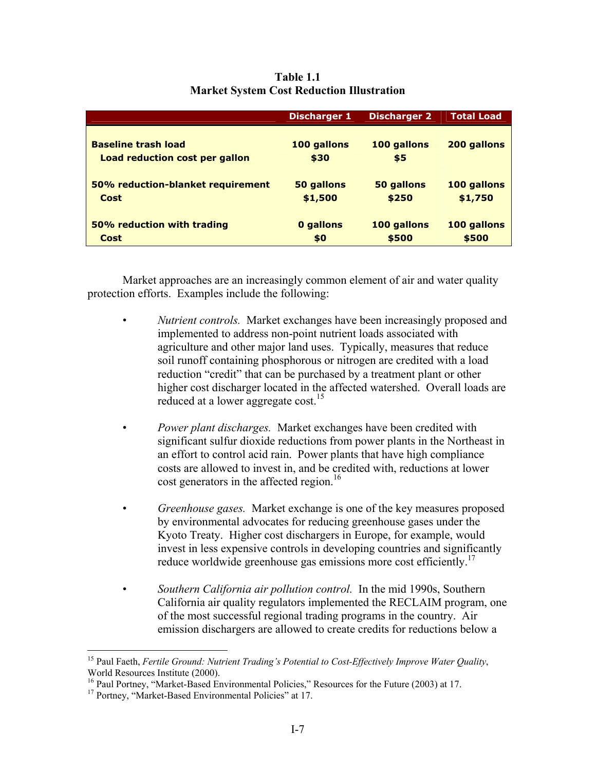|                                                              | <b>Discharger 1</b> | <b>Discharger 2</b>  | <b>Total Load</b>    |
|--------------------------------------------------------------|---------------------|----------------------|----------------------|
| <b>Baseline trash load</b><br>Load reduction cost per gallon | 100 gallons<br>\$30 | 100 gallons<br>\$5   | 200 gallons          |
| 50% reduction-blanket requirement                            | 50 gallons          | 50 gallons           | 100 gallons          |
| Cost                                                         | \$1,500             | \$250                | \$1,750              |
| 50% reduction with trading<br>Cost                           | 0 gallons<br>\$0    | 100 gallons<br>\$500 | 100 gallons<br>\$500 |

**Table 1.1 Market System Cost Reduction Illustration** 

 Market approaches are an increasingly common element of air and water quality protection efforts. Examples include the following:

- *Nutrient controls.* Market exchanges have been increasingly proposed and implemented to address non-point nutrient loads associated with agriculture and other major land uses. Typically, measures that reduce soil runoff containing phosphorous or nitrogen are credited with a load reduction "credit" that can be purchased by a treatment plant or other higher cost discharger located in the affected watershed. Overall loads are reduced at a lower aggregate cost.<sup>15</sup>
- *Power plant discharges.* Market exchanges have been credited with significant sulfur dioxide reductions from power plants in the Northeast in an effort to control acid rain. Power plants that have high compliance costs are allowed to invest in, and be credited with, reductions at lower cost generators in the affected region.<sup>16</sup>
- *Greenhouse gases.* Market exchange is one of the key measures proposed by environmental advocates for reducing greenhouse gases under the Kyoto Treaty. Higher cost dischargers in Europe, for example, would invest in less expensive controls in developing countries and significantly reduce worldwide greenhouse gas emissions more cost efficiently.<sup>17</sup>
- *Southern California air pollution control.* In the mid 1990s, Southern California air quality regulators implemented the RECLAIM program, one of the most successful regional trading programs in the country. Air emission dischargers are allowed to create credits for reductions below a

<u>.</u>

<sup>15</sup> Paul Faeth, *Fertile Ground: Nutrient Trading's Potential to Cost-Effectively Improve Water Quality*, World Resources Institute (2000).

<sup>&</sup>lt;sup>16</sup> Paul Portney, "Market-Based Environmental Policies," Resources for the Future (2003) at 17.<br><sup>17</sup> Portney, "Market-Based Environmental Policies" at 17.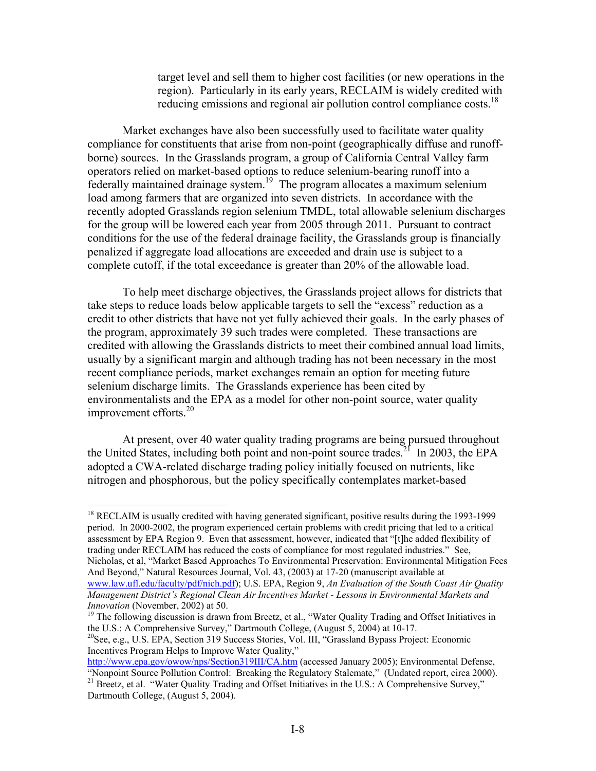target level and sell them to higher cost facilities (or new operations in the region). Particularly in its early years, RECLAIM is widely credited with reducing emissions and regional air pollution control compliance costs.<sup>18</sup>

 Market exchanges have also been successfully used to facilitate water quality compliance for constituents that arise from non-point (geographically diffuse and runoffborne) sources. In the Grasslands program, a group of California Central Valley farm operators relied on market-based options to reduce selenium-bearing runoff into a federally maintained drainage system.19 The program allocates a maximum selenium load among farmers that are organized into seven districts. In accordance with the recently adopted Grasslands region selenium TMDL, total allowable selenium discharges for the group will be lowered each year from 2005 through 2011. Pursuant to contract conditions for the use of the federal drainage facility, the Grasslands group is financially penalized if aggregate load allocations are exceeded and drain use is subject to a complete cutoff, if the total exceedance is greater than 20% of the allowable load.

 To help meet discharge objectives, the Grasslands project allows for districts that take steps to reduce loads below applicable targets to sell the "excess" reduction as a credit to other districts that have not yet fully achieved their goals. In the early phases of the program, approximately 39 such trades were completed. These transactions are credited with allowing the Grasslands districts to meet their combined annual load limits, usually by a significant margin and although trading has not been necessary in the most recent compliance periods, market exchanges remain an option for meeting future selenium discharge limits. The Grasslands experience has been cited by environmentalists and the EPA as a model for other non-point source, water quality improvement efforts. $^{20}$ 

 At present, over 40 water quality trading programs are being pursued throughout the United States, including both point and non-point source trades.<sup>21</sup> In 2003, the EPA adopted a CWA-related discharge trading policy initially focused on nutrients, like nitrogen and phosphorous, but the policy specifically contemplates market-based

 $\overline{a}$ 

<sup>18</sup> RECLAIM is usually credited with having generated significant, positive results during the 1993-1999 period. In 2000-2002, the program experienced certain problems with credit pricing that led to a critical assessment by EPA Region 9. Even that assessment, however, indicated that "[t]he added flexibility of trading under RECLAIM has reduced the costs of compliance for most regulated industries." See, Nicholas, et al, "Market Based Approaches To Environmental Preservation: Environmental Mitigation Fees And Beyond," Natural Resources Journal, Vol. 43, (2003) at 17-20 (manuscript available at www.law.ufl.edu/faculty/pdf/nich.pdf); U.S. EPA, Region 9, *An Evaluation of the South Coast Air Quality Management District's Regional Clean Air Incentives Market - Lessons in Environmental Markets and* 

*Innovation* (November, 2002) at 50.<br><sup>19</sup> The following discussion is drawn from Breetz, et al., "Water Quality Trading and Offset Initiatives in the U.S.: A Comprehensive Survey," Dartmouth College, (August 5, 2004) at 10-17.

<sup>&</sup>lt;sup>20</sup>See, e.g., U.S. EPA, Section 319 Success Stories, Vol. III, "Grassland Bypass Project: Economic Incentives Program Helps to Improve Water Quality,"

http://www.epa.gov/owow/nps/Section319III/CA.htm (accessed January 2005); Environmental Defense, "Nonpoint Source Pollution Control: Breaking the Regulatory Stalemate," (Undated report, circa 2000).

<sup>&</sup>lt;sup>21</sup> Breetz, et al. "Water Quality Trading and Offset Initiatives in the U.S.: A Comprehensive Survey," Dartmouth College, (August 5, 2004).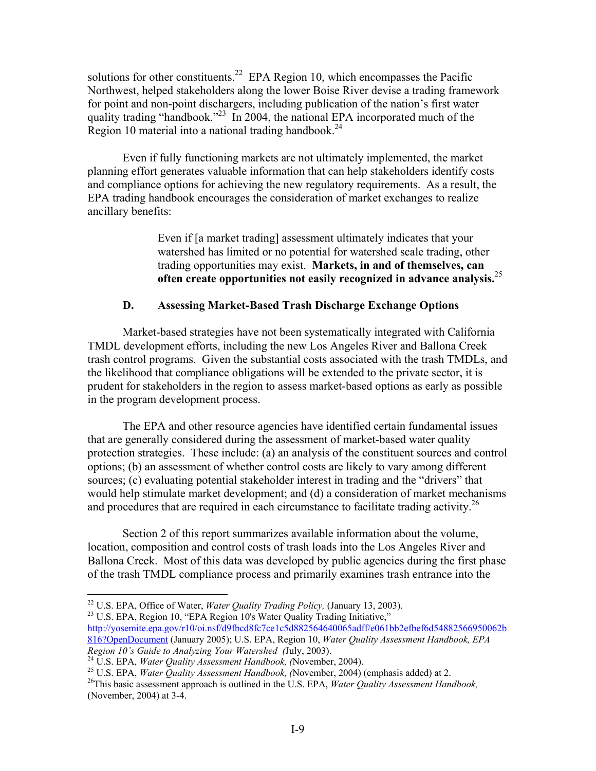solutions for other constituents.<sup>22</sup> EPA Region 10, which encompasses the Pacific Northwest, helped stakeholders along the lower Boise River devise a trading framework for point and non-point dischargers, including publication of the nation's first water quality trading "handbook."<sup>23</sup> In 2004, the national EPA incorporated much of the Region 10 material into a national trading handbook.<sup>24</sup>

 Even if fully functioning markets are not ultimately implemented, the market planning effort generates valuable information that can help stakeholders identify costs and compliance options for achieving the new regulatory requirements. As a result, the EPA trading handbook encourages the consideration of market exchanges to realize ancillary benefits:

> Even if [a market trading] assessment ultimately indicates that your watershed has limited or no potential for watershed scale trading, other trading opportunities may exist. **Markets, in and of themselves, can often create opportunities not easily recognized in advance analysis.**<sup>25</sup>

### **D. Assessing Market-Based Trash Discharge Exchange Options**

 Market-based strategies have not been systematically integrated with California TMDL development efforts, including the new Los Angeles River and Ballona Creek trash control programs. Given the substantial costs associated with the trash TMDLs, and the likelihood that compliance obligations will be extended to the private sector, it is prudent for stakeholders in the region to assess market-based options as early as possible in the program development process.

 The EPA and other resource agencies have identified certain fundamental issues that are generally considered during the assessment of market-based water quality protection strategies. These include: (a) an analysis of the constituent sources and control options; (b) an assessment of whether control costs are likely to vary among different sources; (c) evaluating potential stakeholder interest in trading and the "drivers" that would help stimulate market development; and (d) a consideration of market mechanisms and procedures that are required in each circumstance to facilitate trading activity.<sup>26</sup>

 Section 2 of this report summarizes available information about the volume, location, composition and control costs of trash loads into the Los Angeles River and Ballona Creek. Most of this data was developed by public agencies during the first phase of the trash TMDL compliance process and primarily examines trash entrance into the

<sup>23</sup> U.S. EPA, Region 10, "EPA Region 10's Water Quality Trading Initiative,"

<sup>&</sup>lt;sup>22</sup> U.S. EPA, Office of Water, *Water Quality Trading Policy*, (January 13, 2003).

http://yosemite.epa.gov/r10/oi.nsf/d9fbcd8fc7ce1c5d882564640065adff/e061bb2efbef6d54882566950062b 816?OpenDocument (January 2005); U.S. EPA, Region 10, *Water Quality Assessment Handbook, EPA* 

Region 10's Guide to Analyzing Your Watershed (July, 2003).<br><sup>24</sup> U.S. EPA, *Water Quality Assessment Handbook*, (November, 2004).<br><sup>25</sup> U.S. EPA, *Water Quality Assessment Handbook*, (November, 2004) (emphasis added) at 2.<br>

<sup>(</sup>November, 2004) at 3-4.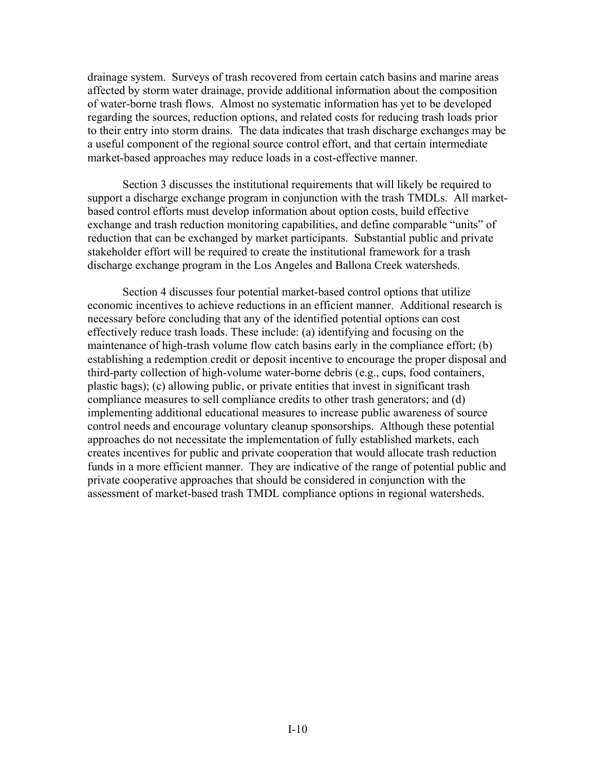drainage system. Surveys of trash recovered from certain catch basins and marine areas affected by storm water drainage, provide additional information about the composition of water-borne trash flows. Almost no systematic information has yet to be developed regarding the sources, reduction options, and related costs for reducing trash loads prior to their entry into storm drains. The data indicates that trash discharge exchanges may be a useful component of the regional source control effort, and that certain intermediate market-based approaches may reduce loads in a cost-effective manner.

 Section 3 discusses the institutional requirements that will likely be required to support a discharge exchange program in conjunction with the trash TMDLs. All marketbased control efforts must develop information about option costs, build effective exchange and trash reduction monitoring capabilities, and define comparable "units" of reduction that can be exchanged by market participants. Substantial public and private stakeholder effort will be required to create the institutional framework for a trash discharge exchange program in the Los Angeles and Ballona Creek watersheds.

 Section 4 discusses four potential market-based control options that utilize economic incentives to achieve reductions in an efficient manner. Additional research is necessary before concluding that any of the identified potential options can cost effectively reduce trash loads. These include: (a) identifying and focusing on the maintenance of high-trash volume flow catch basins early in the compliance effort; (b) establishing a redemption credit or deposit incentive to encourage the proper disposal and third-party collection of high-volume water-borne debris (e.g., cups, food containers, plastic bags); (c) allowing public, or private entities that invest in significant trash compliance measures to sell compliance credits to other trash generators; and (d) implementing additional educational measures to increase public awareness of source control needs and encourage voluntary cleanup sponsorships. Although these potential approaches do not necessitate the implementation of fully established markets, each creates incentives for public and private cooperation that would allocate trash reduction funds in a more efficient manner. They are indicative of the range of potential public and private cooperative approaches that should be considered in conjunction with the assessment of market-based trash TMDL compliance options in regional watersheds.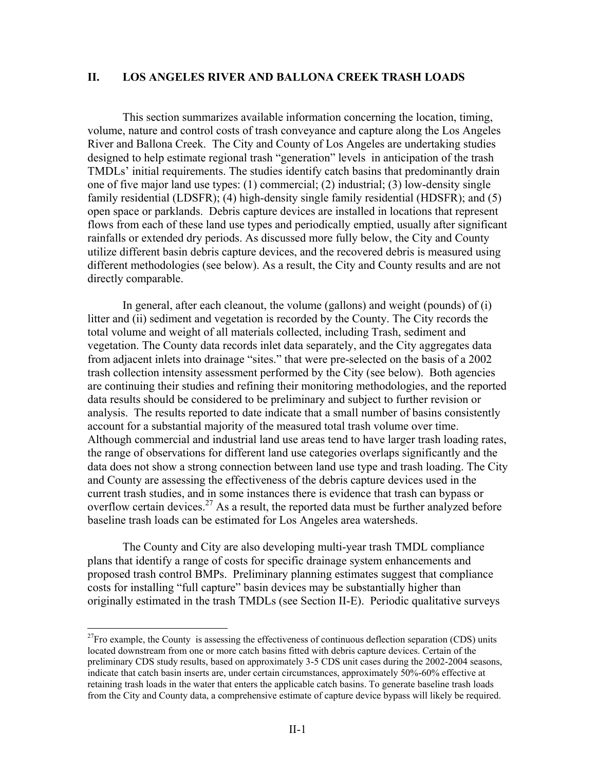#### **II. LOS ANGELES RIVER AND BALLONA CREEK TRASH LOADS**

 This section summarizes available information concerning the location, timing, volume, nature and control costs of trash conveyance and capture along the Los Angeles River and Ballona Creek. The City and County of Los Angeles are undertaking studies designed to help estimate regional trash "generation" levels in anticipation of the trash TMDLs' initial requirements. The studies identify catch basins that predominantly drain one of five major land use types: (1) commercial; (2) industrial; (3) low-density single family residential (LDSFR); (4) high-density single family residential (HDSFR); and (5) open space or parklands. Debris capture devices are installed in locations that represent flows from each of these land use types and periodically emptied, usually after significant rainfalls or extended dry periods. As discussed more fully below, the City and County utilize different basin debris capture devices, and the recovered debris is measured using different methodologies (see below). As a result, the City and County results and are not directly comparable.

 In general, after each cleanout, the volume (gallons) and weight (pounds) of (i) litter and (ii) sediment and vegetation is recorded by the County. The City records the total volume and weight of all materials collected, including Trash, sediment and vegetation. The County data records inlet data separately, and the City aggregates data from adjacent inlets into drainage "sites." that were pre-selected on the basis of a 2002 trash collection intensity assessment performed by the City (see below). Both agencies are continuing their studies and refining their monitoring methodologies, and the reported data results should be considered to be preliminary and subject to further revision or analysis. The results reported to date indicate that a small number of basins consistently account for a substantial majority of the measured total trash volume over time. Although commercial and industrial land use areas tend to have larger trash loading rates, the range of observations for different land use categories overlaps significantly and the data does not show a strong connection between land use type and trash loading. The City and County are assessing the effectiveness of the debris capture devices used in the current trash studies, and in some instances there is evidence that trash can bypass or overflow certain devices.<sup>27</sup> As a result, the reported data must be further analyzed before baseline trash loads can be estimated for Los Angeles area watersheds.

 The County and City are also developing multi-year trash TMDL compliance plans that identify a range of costs for specific drainage system enhancements and proposed trash control BMPs. Preliminary planning estimates suggest that compliance costs for installing "full capture" basin devices may be substantially higher than originally estimated in the trash TMDLs (see Section II-E). Periodic qualitative surveys

 $27$ Fro example, the County is assessing the effectiveness of continuous deflection separation (CDS) units located downstream from one or more catch basins fitted with debris capture devices. Certain of the preliminary CDS study results, based on approximately 3-5 CDS unit cases during the 2002-2004 seasons, indicate that catch basin inserts are, under certain circumstances, approximately 50%-60% effective at retaining trash loads in the water that enters the applicable catch basins. To generate baseline trash loads from the City and County data, a comprehensive estimate of capture device bypass will likely be required.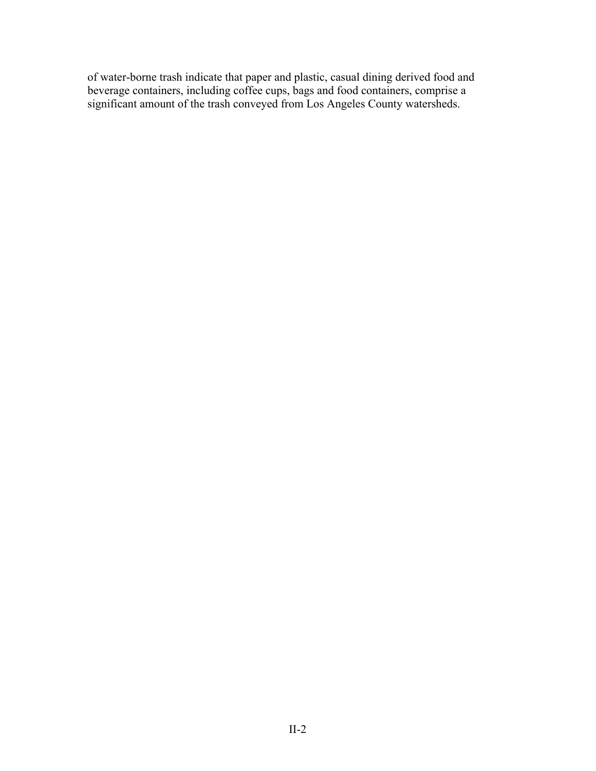of water-borne trash indicate that paper and plastic, casual dining derived food and beverage containers, including coffee cups, bags and food containers, comprise a significant amount of the trash conveyed from Los Angeles County watersheds.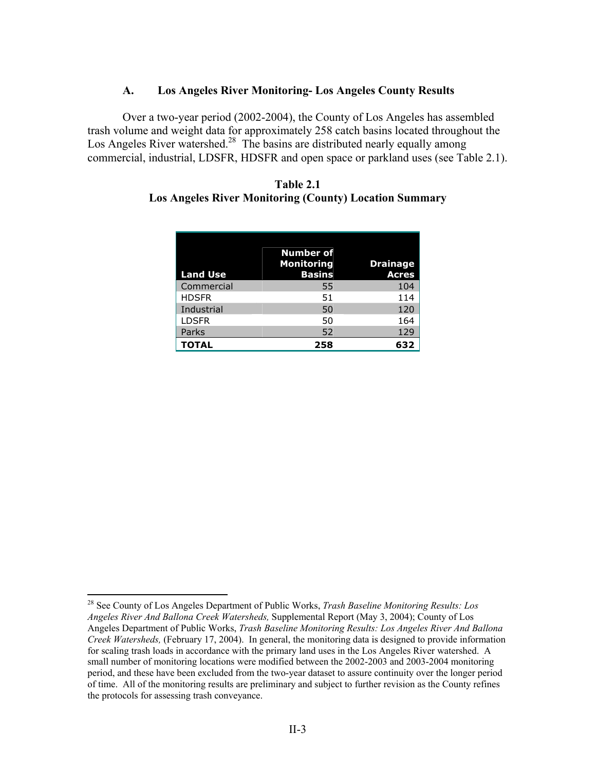#### **A. Los Angeles River Monitoring- Los Angeles County Results**

Over a two-year period (2002-2004), the County of Los Angeles has assembled trash volume and weight data for approximately 258 catch basins located throughout the Los Angeles River watershed.<sup>28</sup> The basins are distributed nearly equally among commercial, industrial, LDSFR, HDSFR and open space or parkland uses (see Table 2.1).

#### **Table 2.1 Los Angeles River Monitoring (County) Location Summary**

| <b>Land Use</b> | <b>Number of</b><br><b>Monitoring</b><br><b>Basins</b> | <b>Drainage</b><br><b>Acres</b> |
|-----------------|--------------------------------------------------------|---------------------------------|
| Commercial      | 55                                                     | 104                             |
| <b>HDSFR</b>    | 51                                                     | 114                             |
| Industrial      | 50                                                     | 120                             |
| <b>LDSFR</b>    | 50                                                     | 164                             |
| Parks           | 52                                                     | 129                             |
| <b>TOTAL</b>    | 258                                                    | 632                             |

<sup>28</sup> See County of Los Angeles Department of Public Works, *Trash Baseline Monitoring Results: Los Angeles River And Ballona Creek Watersheds,* Supplemental Report (May 3, 2004); County of Los Angeles Department of Public Works, *Trash Baseline Monitoring Results: Los Angeles River And Ballona Creek Watersheds,* (February 17, 2004). In general, the monitoring data is designed to provide information for scaling trash loads in accordance with the primary land uses in the Los Angeles River watershed. A small number of monitoring locations were modified between the 2002-2003 and 2003-2004 monitoring period, and these have been excluded from the two-year dataset to assure continuity over the longer period of time. All of the monitoring results are preliminary and subject to further revision as the County refines the protocols for assessing trash conveyance.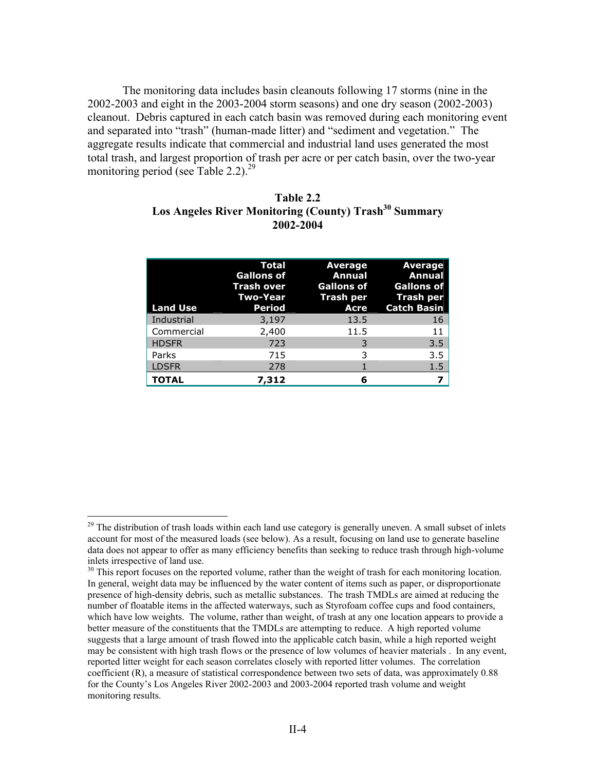The monitoring data includes basin cleanouts following 17 storms (nine in the 2002-2003 and eight in the 2003-2004 storm seasons) and one dry season (2002-2003) cleanout. Debris captured in each catch basin was removed during each monitoring event and separated into "trash" (human-made litter) and "sediment and vegetation." The aggregate results indicate that commercial and industrial land uses generated the most total trash, and largest proportion of trash per acre or per catch basin, over the two-year monitoring period (see Table 2.2). $^{29}$ 

#### **Table 2.2**  Los Angeles River Monitoring (County) Trash<sup>30</sup> Summary **2002-2004**

| <b>Land Use</b> | <b>Total</b><br><b>Gallons of</b><br><b>Trash over</b><br>Two-Year<br><b>Period</b> | <b>Average</b><br>Annual<br><b>Gallons of</b><br><b>Acre</b> | <b>Average</b><br>Annual<br><b>Gallons of</b><br>Trash per Trash per<br><b>Catch Basin</b> |
|-----------------|-------------------------------------------------------------------------------------|--------------------------------------------------------------|--------------------------------------------------------------------------------------------|
| Industrial      | 3,197                                                                               | 13.5                                                         | 16                                                                                         |
| Commercial      | 2,400                                                                               | 11.5                                                         | 11                                                                                         |
| <b>HDSFR</b>    | 723                                                                                 | 3                                                            | 3.5                                                                                        |
| Parks           | 715                                                                                 | 3                                                            | 3.5                                                                                        |
| <b>LDSFR</b>    | 278                                                                                 |                                                              | 1.5                                                                                        |
| <b>TOTAL</b>    | 7,312                                                                               | 6                                                            |                                                                                            |

 $29$  The distribution of trash loads within each land use category is generally uneven. A small subset of inlets account for most of the measured loads (see below). As a result, focusing on land use to generate baseline data does not appear to offer as many efficiency benefits than seeking to reduce trash through high-volume inlets irrespective of land use.

<sup>&</sup>lt;sup>30</sup> This report focuses on the reported volume, rather than the weight of trash for each monitoring location. In general, weight data may be influenced by the water content of items such as paper, or disproportionate presence of high-density debris, such as metallic substances. The trash TMDLs are aimed at reducing the number of floatable items in the affected waterways, such as Styrofoam coffee cups and food containers, which have low weights. The volume, rather than weight, of trash at any one location appears to provide a better measure of the constituents that the TMDLs are attempting to reduce. A high reported volume suggests that a large amount of trash flowed into the applicable catch basin, while a high reported weight may be consistent with high trash flows or the presence of low volumes of heavier materials . In any event, reported litter weight for each season correlates closely with reported litter volumes. The correlation coefficient (R), a measure of statistical correspondence between two sets of data, was approximately 0.88 for the County's Los Angeles River 2002-2003 and 2003-2004 reported trash volume and weight monitoring results.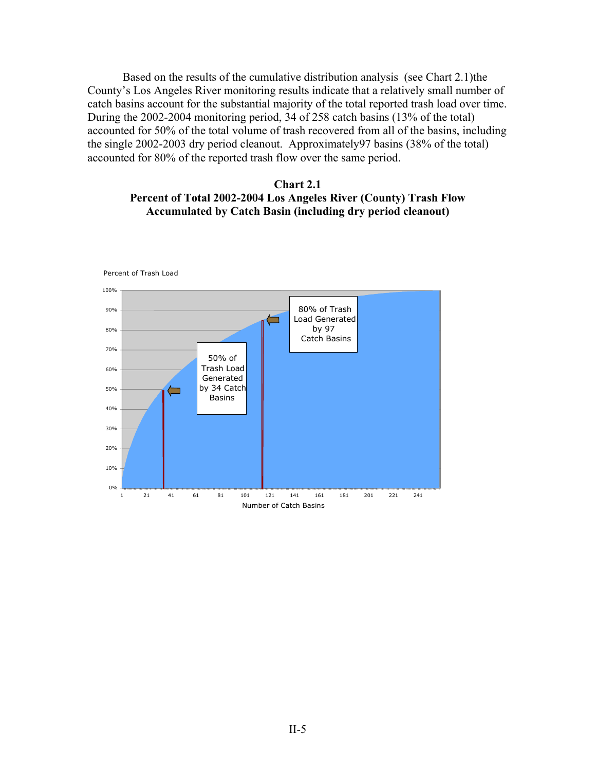Based on the results of the cumulative distribution analysis (see Chart 2.1)the County's Los Angeles River monitoring results indicate that a relatively small number of catch basins account for the substantial majority of the total reported trash load over time. During the 2002-2004 monitoring period, 34 of 258 catch basins (13% of the total) accounted for 50% of the total volume of trash recovered from all of the basins, including the single 2002-2003 dry period cleanout. Approximately97 basins (38% of the total) accounted for 80% of the reported trash flow over the same period.

#### **Chart 2.1 Percent of Total 2002-2004 Los Angeles River (County) Trash Flow Accumulated by Catch Basin (including dry period cleanout)**

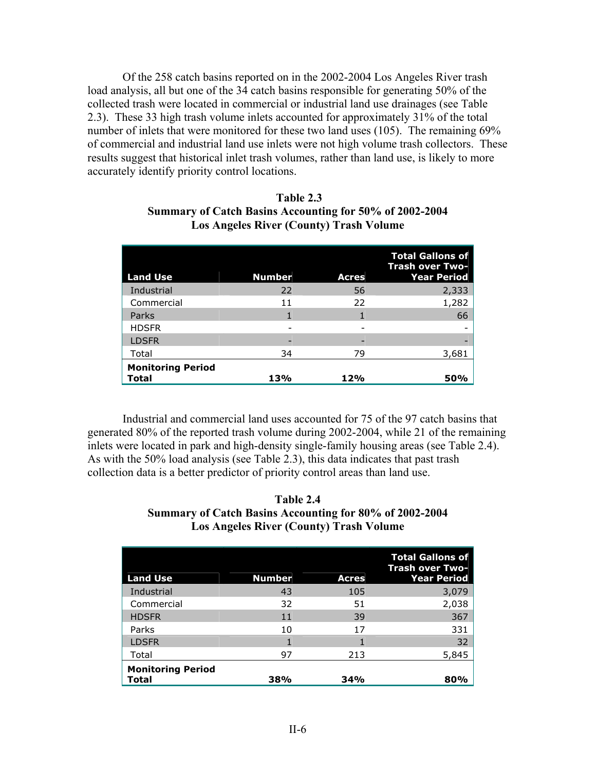Of the 258 catch basins reported on in the 2002-2004 Los Angeles River trash load analysis, all but one of the 34 catch basins responsible for generating 50% of the collected trash were located in commercial or industrial land use drainages (see Table 2.3). These 33 high trash volume inlets accounted for approximately 31% of the total number of inlets that were monitored for these two land uses (105). The remaining 69% of commercial and industrial land use inlets were not high volume trash collectors. These results suggest that historical inlet trash volumes, rather than land use, is likely to more accurately identify priority control locations.

| <b>Land Use</b>                   | <b>Number</b> | <b>Acres</b> | <b>Total Gallons of</b><br>Trash over Two-<br><b>Year Period</b> |
|-----------------------------------|---------------|--------------|------------------------------------------------------------------|
| Industrial                        | 22            | 56           | 2,333                                                            |
| Commercial                        | 11            | 22           | 1,282                                                            |
| Parks                             |               |              | 66                                                               |
| <b>HDSFR</b>                      |               |              |                                                                  |
| <b>LDSFR</b>                      | -             | -            |                                                                  |
| Total                             | 34            | 79           | 3,681                                                            |
| <b>Monitoring Period</b><br>Total | 13%           | 12%          | <b>50%</b>                                                       |

#### **Table 2.3 Summary of Catch Basins Accounting for 50% of 2002-2004 Los Angeles River (County) Trash Volume**

 Industrial and commercial land uses accounted for 75 of the 97 catch basins that generated 80% of the reported trash volume during 2002-2004, while 21 of the remaining inlets were located in park and high-density single-family housing areas (see Table 2.4). As with the 50% load analysis (see Table 2.3), this data indicates that past trash collection data is a better predictor of priority control areas than land use.

#### **Table 2.4 Summary of Catch Basins Accounting for 80% of 2002-2004 Los Angeles River (County) Trash Volume**

| <b>Land Use</b>                   | <b>Number</b> | <b>Acres</b> | <b>Total Gallons of</b><br><b>Trash over Two-</b><br><b>Year Period</b> |
|-----------------------------------|---------------|--------------|-------------------------------------------------------------------------|
| Industrial                        | 43            | 105          | 3,079                                                                   |
| Commercial                        | 32            | 51           | 2,038                                                                   |
| <b>HDSFR</b>                      | 11            | 39           | 367                                                                     |
| Parks                             | 10            | 17           | 331                                                                     |
| <b>LDSFR</b>                      |               |              | 32                                                                      |
| Total                             | 97            | 213          | 5,845                                                                   |
| <b>Monitoring Period</b><br>Total | 38%           | <b>34%</b>   | 80%                                                                     |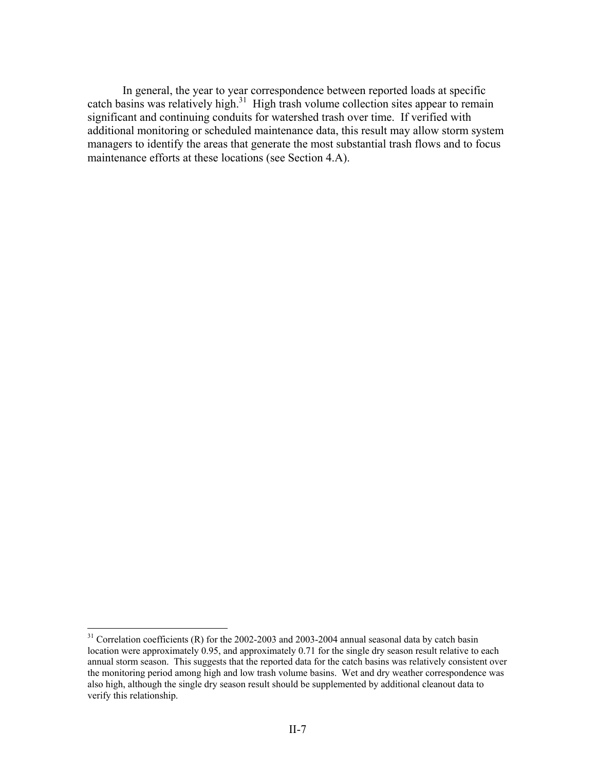In general, the year to year correspondence between reported loads at specific catch basins was relatively high. $31$  High trash volume collection sites appear to remain significant and continuing conduits for watershed trash over time. If verified with additional monitoring or scheduled maintenance data, this result may allow storm system managers to identify the areas that generate the most substantial trash flows and to focus maintenance efforts at these locations (see Section 4.A).

 $31$  Correlation coefficients (R) for the 2002-2003 and 2003-2004 annual seasonal data by catch basin location were approximately 0.95, and approximately 0.71 for the single dry season result relative to each annual storm season. This suggests that the reported data for the catch basins was relatively consistent over the monitoring period among high and low trash volume basins. Wet and dry weather correspondence was also high, although the single dry season result should be supplemented by additional cleanout data to verify this relationship.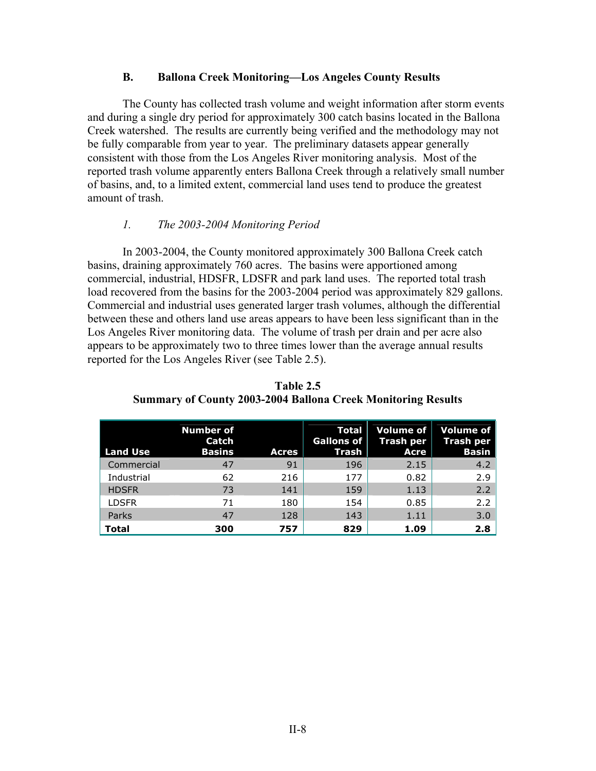#### **B. Ballona Creek Monitoring—Los Angeles County Results**

 The County has collected trash volume and weight information after storm events and during a single dry period for approximately 300 catch basins located in the Ballona Creek watershed. The results are currently being verified and the methodology may not be fully comparable from year to year. The preliminary datasets appear generally consistent with those from the Los Angeles River monitoring analysis. Most of the reported trash volume apparently enters Ballona Creek through a relatively small number of basins, and, to a limited extent, commercial land uses tend to produce the greatest amount of trash.

#### *1. The 2003-2004 Monitoring Period*

 In 2003-2004, the County monitored approximately 300 Ballona Creek catch basins, draining approximately 760 acres. The basins were apportioned among commercial, industrial, HDSFR, LDSFR and park land uses. The reported total trash load recovered from the basins for the 2003-2004 period was approximately 829 gallons. Commercial and industrial uses generated larger trash volumes, although the differential between these and others land use areas appears to have been less significant than in the Los Angeles River monitoring data. The volume of trash per drain and per acre also appears to be approximately two to three times lower than the average annual results reported for the Los Angeles River (see Table 2.5).

| <b>Land Use</b> | <b>Number of</b><br>Catch<br><b>Basins</b> | <b>Acres</b> | Total<br><b>Gallons of</b><br>Trash | Volume of<br><b>Trash per</b><br><b>Acre</b> | <b>Volume of</b><br>Trash per<br><b>Basin</b> |
|-----------------|--------------------------------------------|--------------|-------------------------------------|----------------------------------------------|-----------------------------------------------|
| Commercial      | 47                                         | 91           | 196                                 | 2.15                                         | 4.2                                           |
| Industrial      | 62                                         | 216          | 177                                 | 0.82                                         | 2.9                                           |
| <b>HDSFR</b>    | 73                                         | 141          | 159                                 | 1.13                                         | 2.2                                           |
| <b>LDSFR</b>    | 71                                         | 180          | 154                                 | 0.85                                         | 2.2                                           |
| Parks           | 47                                         | 128          | 143                                 | 1.11                                         | 3.0                                           |
| <b>Total</b>    | 300                                        | 757          | 829                                 | 1.09                                         | 2.8                                           |

**Table 2.5 Summary of County 2003-2004 Ballona Creek Monitoring Results**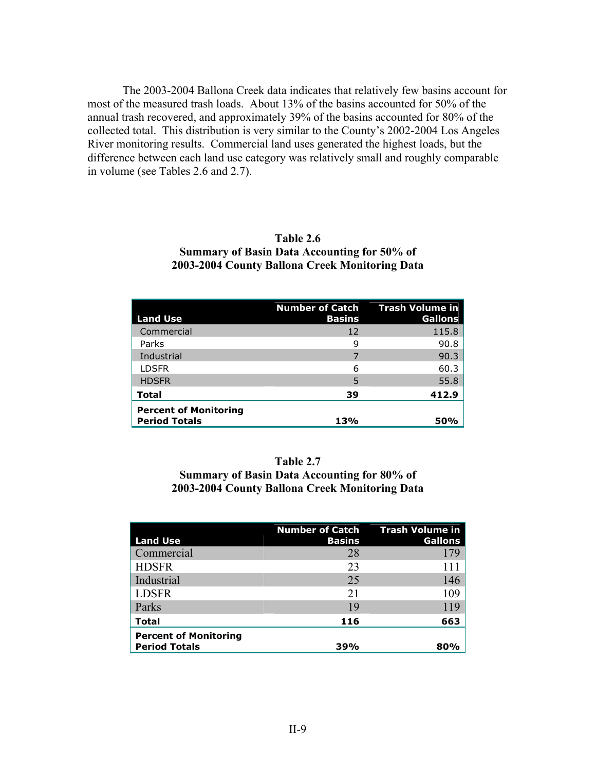The 2003-2004 Ballona Creek data indicates that relatively few basins account for most of the measured trash loads. About 13% of the basins accounted for 50% of the annual trash recovered, and approximately 39% of the basins accounted for 80% of the collected total. This distribution is very similar to the County's 2002-2004 Los Angeles River monitoring results. Commercial land uses generated the highest loads, but the difference between each land use category was relatively small and roughly comparable in volume (see Tables 2.6 and 2.7).

#### **Table 2.6 Summary of Basin Data Accounting for 50% of 2003-2004 County Ballona Creek Monitoring Data**

| <b>Land Use</b>                                      | <b>Number of Catch</b><br><b>Basins</b> | <b>Trash Volume in</b><br>Gallons |
|------------------------------------------------------|-----------------------------------------|-----------------------------------|
| Commercial                                           | 12                                      | 115.8                             |
| Parks                                                | 9                                       | 90.8                              |
| Industrial                                           | 7                                       | 90.3                              |
| <b>LDSFR</b>                                         | 6                                       | 60.3                              |
| <b>HDSFR</b>                                         | 5                                       | 55.8                              |
| <b>Total</b>                                         | 39                                      | 412.9                             |
| <b>Percent of Monitoring</b><br><b>Period Totals</b> | 13%                                     | 50%                               |

#### **Table 2.7**

**Summary of Basin Data Accounting for 80% of 2003-2004 County Ballona Creek Monitoring Data** 

| <b>Land Use</b>                                      | <b>Number of Catch</b><br><b>Basins</b> | <b>Trash Volume in</b><br>Gallons |
|------------------------------------------------------|-----------------------------------------|-----------------------------------|
| Commercial                                           | 28                                      | 179                               |
| <b>HDSFR</b>                                         | 23                                      |                                   |
| Industrial                                           | 25                                      | 146                               |
| <b>LDSFR</b>                                         | 21                                      | 109                               |
| Parks                                                | 19                                      | 119                               |
| Total                                                | 116                                     | 663                               |
| <b>Percent of Monitoring</b><br><b>Period Totals</b> | 39%                                     | 80%                               |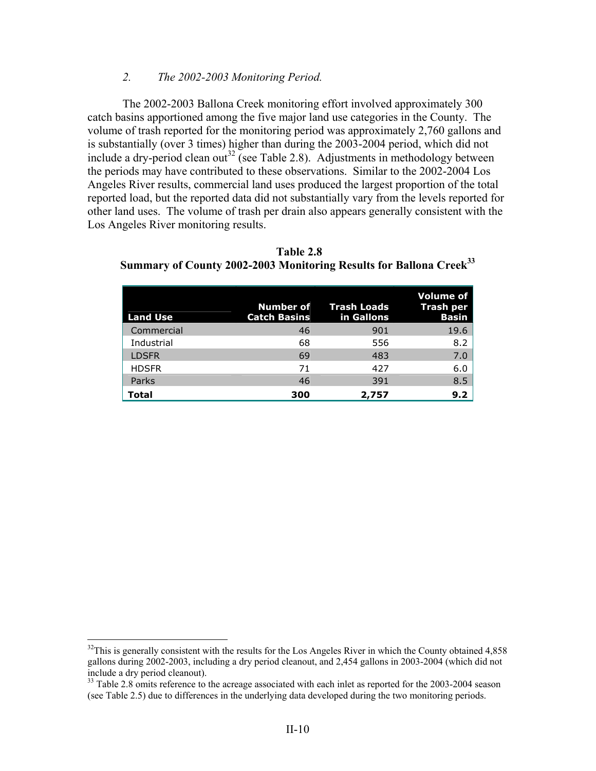#### *2. The 2002-2003 Monitoring Period.*

 The 2002-2003 Ballona Creek monitoring effort involved approximately 300 catch basins apportioned among the five major land use categories in the County. The volume of trash reported for the monitoring period was approximately 2,760 gallons and is substantially (over 3 times) higher than during the 2003-2004 period, which did not include a dry-period clean out<sup>32</sup> (see Table 2.8). Adjustments in methodology between the periods may have contributed to these observations. Similar to the 2002-2004 Los Angeles River results, commercial land uses produced the largest proportion of the total reported load, but the reported data did not substantially vary from the levels reported for other land uses. The volume of trash per drain also appears generally consistent with the Los Angeles River monitoring results.

| <b>Land Use</b> | <b>Catch Basins</b> | <b>Number of Frash Loads</b><br>in Gallons | <b>Volume of</b><br><b>Trash per</b><br><b>Basin</b> |
|-----------------|---------------------|--------------------------------------------|------------------------------------------------------|
| Commercial      | 46                  | 901                                        | 19.6                                                 |
| Industrial      | 68                  | 556                                        | 8.2                                                  |
| <b>LDSFR</b>    | 69                  | 483                                        | 7.0                                                  |
| <b>HDSFR</b>    | 71                  | 427                                        | 6.0                                                  |
| Parks           | 46                  | 391                                        | 8.5                                                  |
| Total           | 300                 | 2,757                                      | 9.2                                                  |

 **Table 2.8 Summary of County 2002-2003 Monitoring Results for Ballona Creek33**

 $32$ This is generally consistent with the results for the Los Angeles River in which the County obtained 4,858 gallons during 2002-2003, including a dry period cleanout, and 2,454 gallons in 2003-2004 (which did not include a dry period cleanout).

<sup>&</sup>lt;sup>33</sup> Table 2.8 omits reference to the acreage associated with each inlet as reported for the 2003-2004 season (see Table 2.5) due to differences in the underlying data developed during the two monitoring periods.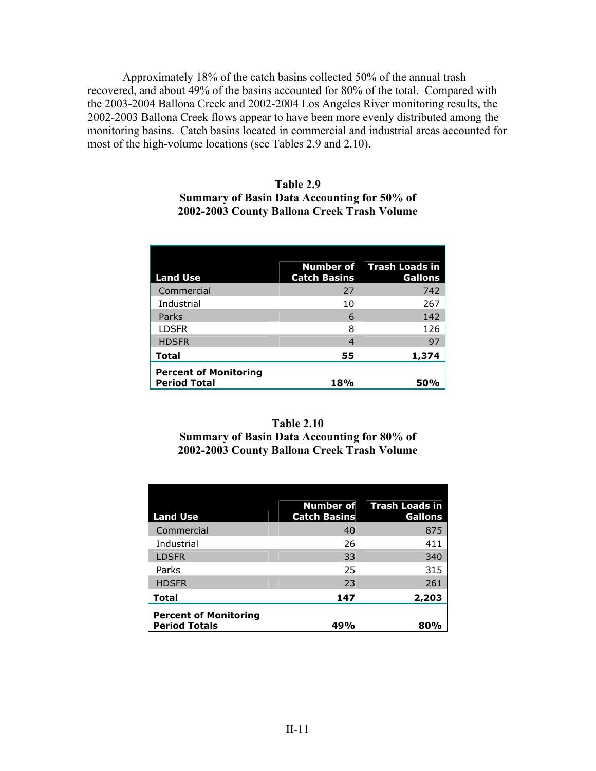Approximately 18% of the catch basins collected 50% of the annual trash recovered, and about 49% of the basins accounted for 80% of the total. Compared with the 2003-2004 Ballona Creek and 2002-2004 Los Angeles River monitoring results, the 2002-2003 Ballona Creek flows appear to have been more evenly distributed among the monitoring basins. Catch basins located in commercial and industrial areas accounted for most of the high-volume locations (see Tables 2.9 and 2.10).

### **Table 2.9 Summary of Basin Data Accounting for 50% of 2002-2003 County Ballona Creek Trash Volume**

| <b>Land Use</b>                                     | <b>Catch Basins</b> | <b>Number of</b> Trash Loads in<br><b>Gallons</b> |
|-----------------------------------------------------|---------------------|---------------------------------------------------|
| Commercial                                          | 27                  | 742                                               |
| Industrial                                          | 10                  | 267                                               |
| Parks                                               | 6                   | 142                                               |
| <b>LDSFR</b>                                        | 8                   | 126                                               |
| <b>HDSFR</b>                                        | 4                   | 97                                                |
| Total                                               | 55                  | 1,374                                             |
| <b>Percent of Monitoring</b><br><b>Period Total</b> | 18%                 | 50%                                               |

### **Table 2.10 Summary of Basin Data Accounting for 80% of 2002-2003 County Ballona Creek Trash Volume**

| <b>Land Use</b>                                      | <b>Catch Basins</b> | Number of Trash Loads in<br><b>Gallons</b> |
|------------------------------------------------------|---------------------|--------------------------------------------|
| Commercial                                           | 40                  | 875                                        |
| Industrial                                           | 26                  | 411                                        |
| <b>LDSFR</b>                                         | 33                  | 340                                        |
| Parks                                                | 25                  | 315                                        |
| <b>HDSFR</b>                                         | 23                  | 261                                        |
| <b>Total</b>                                         | 147                 | 2,203                                      |
| <b>Percent of Monitoring</b><br><b>Period Totals</b> | 49%                 | 80%                                        |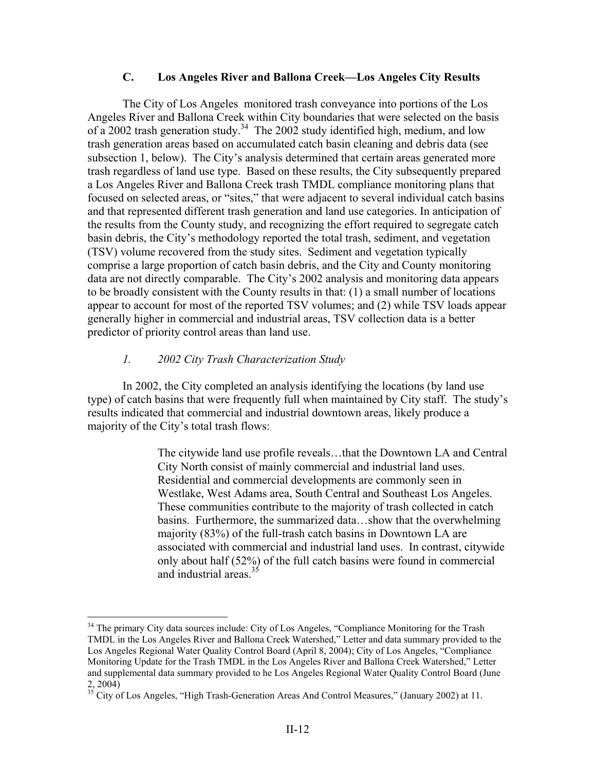#### **C. Los Angeles River and Ballona Creek—Los Angeles City Results**

The City of Los Angeles monitored trash conveyance into portions of the Los Angeles River and Ballona Creek within City boundaries that were selected on the basis of a 2002 trash generation study.<sup>34</sup> The 2002 study identified high, medium, and low trash generation areas based on accumulated catch basin cleaning and debris data (see subsection 1, below). The City's analysis determined that certain areas generated more trash regardless of land use type. Based on these results, the City subsequently prepared a Los Angeles River and Ballona Creek trash TMDL compliance monitoring plans that focused on selected areas, or "sites," that were adjacent to several individual catch basins and that represented different trash generation and land use categories. In anticipation of the results from the County study, and recognizing the effort required to segregate catch basin debris, the City's methodology reported the total trash, sediment, and vegetation (TSV) volume recovered from the study sites. Sediment and vegetation typically comprise a large proportion of catch basin debris, and the City and County monitoring data are not directly comparable. The City's 2002 analysis and monitoring data appears to be broadly consistent with the County results in that: (1) a small number of locations appear to account for most of the reported TSV volumes; and (2) while TSV loads appear generally higher in commercial and industrial areas, TSV collection data is a better predictor of priority control areas than land use.

#### *1. 2002 City Trash Characterization Study*

<u>.</u>

 In 2002, the City completed an analysis identifying the locations (by land use type) of catch basins that were frequently full when maintained by City staff. The study's results indicated that commercial and industrial downtown areas, likely produce a majority of the City's total trash flows:

> The citywide land use profile reveals…that the Downtown LA and Central City North consist of mainly commercial and industrial land uses. Residential and commercial developments are commonly seen in Westlake, West Adams area, South Central and Southeast Los Angeles. These communities contribute to the majority of trash collected in catch basins. Furthermore, the summarized data…show that the overwhelming majority (83%) of the full-trash catch basins in Downtown LA are associated with commercial and industrial land uses. In contrast, citywide only about half (52%) of the full catch basins were found in commercial and industrial areas.<sup>35</sup>

<sup>&</sup>lt;sup>34</sup> The primary City data sources include: City of Los Angeles, "Compliance Monitoring for the Trash TMDL in the Los Angeles River and Ballona Creek Watershed," Letter and data summary provided to the Los Angeles Regional Water Quality Control Board (April 8, 2004); City of Los Angeles, "Compliance Monitoring Update for the Trash TMDL in the Los Angeles River and Ballona Creek Watershed," Letter and supplemental data summary provided to he Los Angeles Regional Water Quality Control Board (June 2, 2004)

<sup>&</sup>lt;sup>2</sup>, 2004)<br><sup>35</sup> City of Los Angeles, "High Trash-Generation Areas And Control Measures," (January 2002) at 11.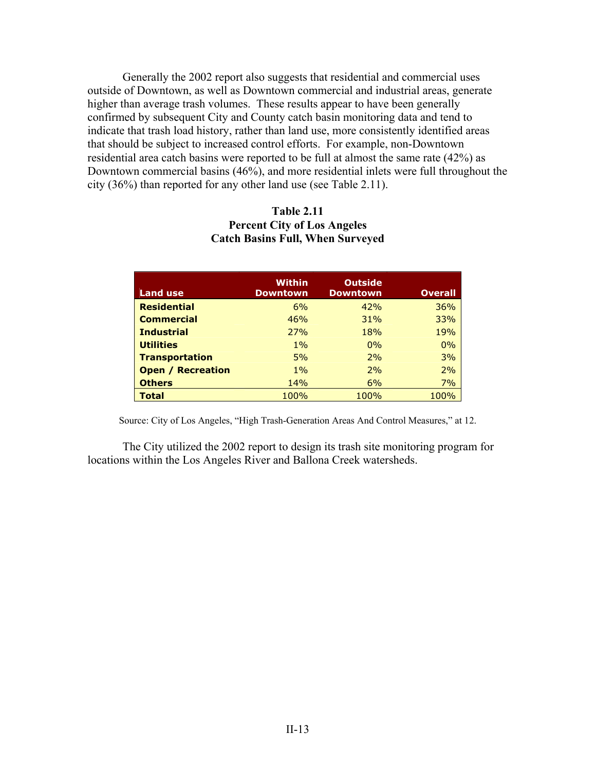Generally the 2002 report also suggests that residential and commercial uses outside of Downtown, as well as Downtown commercial and industrial areas, generate higher than average trash volumes. These results appear to have been generally confirmed by subsequent City and County catch basin monitoring data and tend to indicate that trash load history, rather than land use, more consistently identified areas that should be subject to increased control efforts. For example, non-Downtown residential area catch basins were reported to be full at almost the same rate (42%) as Downtown commercial basins (46%), and more residential inlets were full throughout the city (36%) than reported for any other land use (see Table 2.11).

### **Table 2.11 Percent City of Los Angeles Catch Basins Full, When Surveyed**

| <b>Land use</b>          | Within<br><b>Downtown</b> | <b>Outside</b><br><b>Downtown</b> | <b>Overall</b> |
|--------------------------|---------------------------|-----------------------------------|----------------|
| <b>Residential</b>       | 6%                        | 42%                               | 36%            |
| <b>Commercial</b>        | 46%                       | 31%                               | 33%            |
| <b>Industrial</b>        | 27%                       | 18%                               | 19%            |
| <b>Utilities</b>         | $1\%$                     | $0\%$                             | 0%             |
| <b>Transportation</b>    | 5%                        | 2%                                | 3%             |
| <b>Open / Recreation</b> | $1\%$                     | 2%                                | 2%             |
| <b>Others</b>            | <b>14%</b>                | 6%                                | 7%             |
| Total                    | 100%                      | 100%                              | 100%           |

Source: City of Los Angeles, "High Trash-Generation Areas And Control Measures," at 12.

The City utilized the 2002 report to design its trash site monitoring program for locations within the Los Angeles River and Ballona Creek watersheds.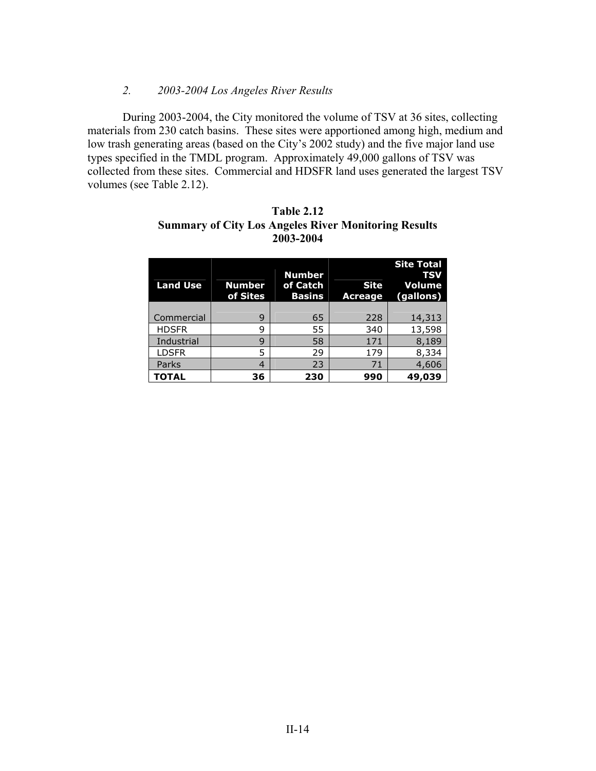#### *2. 2003-2004 Los Angeles River Results*

 During 2003-2004, the City monitored the volume of TSV at 36 sites, collecting materials from 230 catch basins. These sites were apportioned among high, medium and low trash generating areas (based on the City's 2002 study) and the five major land use types specified in the TMDL program. Approximately 49,000 gallons of TSV was collected from these sites. Commercial and HDSFR land uses generated the largest TSV volumes (see Table 2.12).

| <b>Land Use</b> | <b>Number</b><br>of Sites | <b>Number</b><br>of Catch<br><b>Basins</b> | <b>Site</b><br><b>Acreage</b> | <b>Site Total</b><br><b>TSV</b><br><b>Volume</b><br>(gallons) |
|-----------------|---------------------------|--------------------------------------------|-------------------------------|---------------------------------------------------------------|
| Commercial      | 9                         | 65                                         | 228                           | 14,313                                                        |
| <b>HDSFR</b>    | 9                         | 55                                         | 340                           | 13,598                                                        |
| Industrial      | 9                         | 58                                         | 171                           | 8,189                                                         |
| <b>LDSFR</b>    | 5                         | 29                                         | 179                           | 8,334                                                         |
| Parks           | 4                         | 23                                         | 71                            | 4,606                                                         |
| <b>TOTAL</b>    | 36                        | 230                                        | 990                           | 49,039                                                        |

### **Table 2.12 Summary of City Los Angeles River Monitoring Results 2003-2004**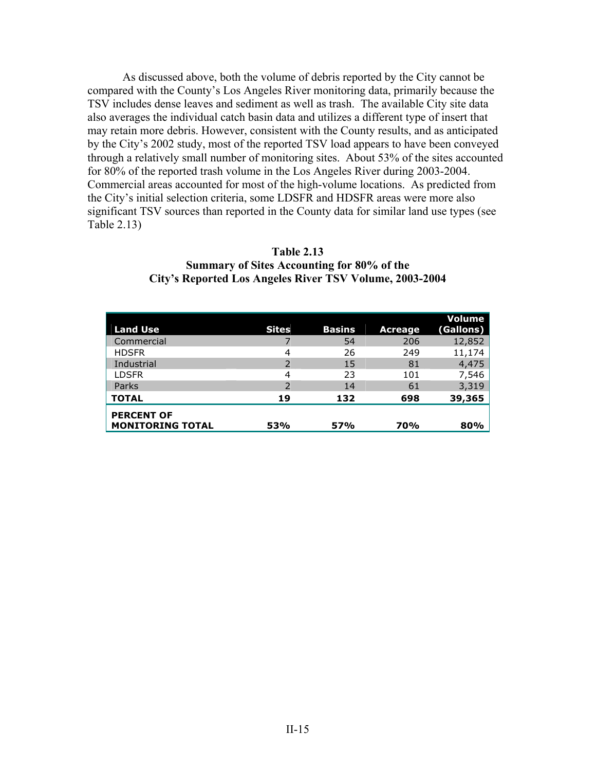As discussed above, both the volume of debris reported by the City cannot be compared with the County's Los Angeles River monitoring data, primarily because the TSV includes dense leaves and sediment as well as trash. The available City site data also averages the individual catch basin data and utilizes a different type of insert that may retain more debris. However, consistent with the County results, and as anticipated by the City's 2002 study, most of the reported TSV load appears to have been conveyed through a relatively small number of monitoring sites. About 53% of the sites accounted for 80% of the reported trash volume in the Los Angeles River during 2003-2004. Commercial areas accounted for most of the high-volume locations. As predicted from the City's initial selection criteria, some LDSFR and HDSFR areas were more also significant TSV sources than reported in the County data for similar land use types (see Table 2.13)

| <b>Table 2.13</b>                                       |
|---------------------------------------------------------|
| Summary of Sites Accounting for 80% of the              |
| City's Reported Los Angeles River TSV Volume, 2003-2004 |

| <b>Land Use</b>                              | <b>Sites</b> | <b>Basins</b> | Acreage | Volume<br>(Gallons) |
|----------------------------------------------|--------------|---------------|---------|---------------------|
| Commercial                                   |              | 54            | 206     | 12,852              |
| <b>HDSFR</b>                                 | 4            | 26            | 249     | 11,174              |
| Industrial                                   | 2            | 15            | 81      | 4,475               |
| <b>LDSFR</b>                                 | 4            | 23            | 101     | 7,546               |
| Parks                                        |              | 14            | 61      | 3,319               |
| <b>TOTAL</b>                                 | 19           | 132           | 698     | 39,365              |
| <b>PERCENT OF</b><br><b>MONITORING TOTAL</b> | 53%          | 57%           | 70%     | 80%                 |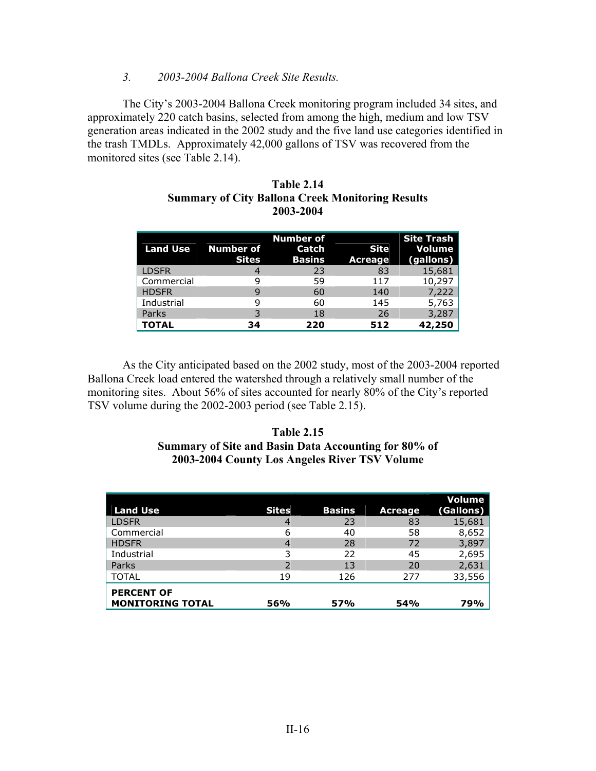#### *3. 2003-2004 Ballona Creek Site Results.*

 The City's 2003-2004 Ballona Creek monitoring program included 34 sites, and approximately 220 catch basins, selected from among the high, medium and low TSV generation areas indicated in the 2002 study and the five land use categories identified in the trash TMDLs. Approximately 42,000 gallons of TSV was recovered from the monitored sites (see Table 2.14).

| <b>Land Use</b> | <b>Number of</b><br><b>Sites</b> | <b>Number of</b><br>Catch<br><b>Basins</b> | <b>Site</b><br><b>Acreage</b> | <b>Site Trash</b><br>Volume<br>(gallons) |
|-----------------|----------------------------------|--------------------------------------------|-------------------------------|------------------------------------------|
| <b>LDSFR</b>    |                                  | 23                                         | 83                            | 15,681                                   |
| Commercial      | 9                                | 59                                         | 117                           | 10,297                                   |
| <b>HDSFR</b>    | 9                                | 60                                         | 140                           | 7,222                                    |
| Industrial      | 9                                | 60                                         | 145                           | 5,763                                    |
| Parks           |                                  | 18                                         | 26                            | 3,287                                    |
| <b>TOTAL</b>    | 34                               | 220                                        | 512                           | 42,250                                   |

| Table 2.14                                       |
|--------------------------------------------------|
| Summary of City Ballona Creek Monitoring Results |
| 2003-2004                                        |

 As the City anticipated based on the 2002 study, most of the 2003-2004 reported Ballona Creek load entered the watershed through a relatively small number of the monitoring sites. About 56% of sites accounted for nearly 80% of the City's reported TSV volume during the 2002-2003 period (see Table 2.15).

#### **Table 2.15 Summary of Site and Basin Data Accounting for 80% of 2003-2004 County Los Angeles River TSV Volume**

| <b>Land Use</b>                              | <b>Sites</b> | <b>Basins</b> | <b>Acreage</b> | Volume<br>(Gallons) |
|----------------------------------------------|--------------|---------------|----------------|---------------------|
| <b>LDSFR</b>                                 | 4            | 23            | 83             | 15,681              |
| Commercial                                   | 6            | 40            | 58             | 8,652               |
| <b>HDSFR</b>                                 | 4            | 28            | 72             | 3,897               |
| Industrial                                   | 3            | 22            | 45             | 2,695               |
| Parks                                        | 2            | 13            | 20             | 2,631               |
| <b>TOTAL</b>                                 | 19           | 126           | 277            | 33,556              |
| <b>PERCENT OF</b><br><b>MONITORING TOTAL</b> | 56%          | 57%           | 54%            | 79%                 |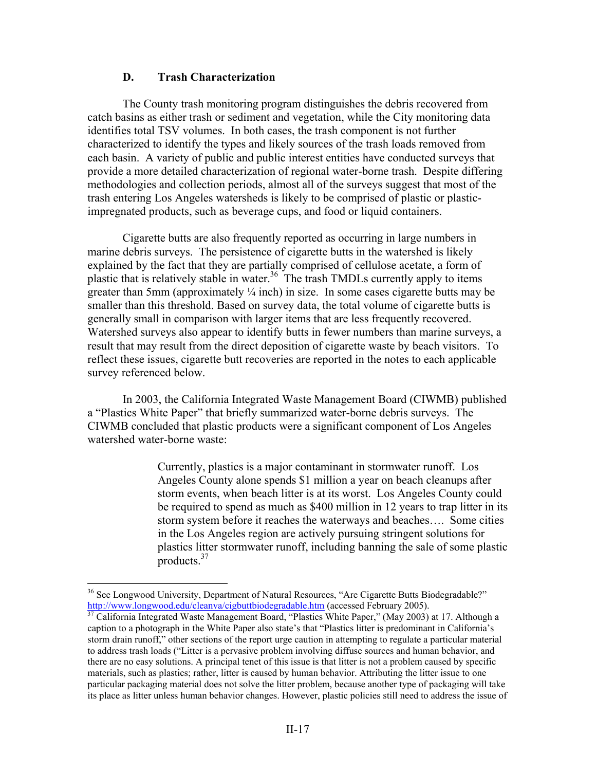#### **D. Trash Characterization**

 The County trash monitoring program distinguishes the debris recovered from catch basins as either trash or sediment and vegetation, while the City monitoring data identifies total TSV volumes. In both cases, the trash component is not further characterized to identify the types and likely sources of the trash loads removed from each basin. A variety of public and public interest entities have conducted surveys that provide a more detailed characterization of regional water-borne trash. Despite differing methodologies and collection periods, almost all of the surveys suggest that most of the trash entering Los Angeles watersheds is likely to be comprised of plastic or plasticimpregnated products, such as beverage cups, and food or liquid containers.

 Cigarette butts are also frequently reported as occurring in large numbers in marine debris surveys. The persistence of cigarette butts in the watershed is likely explained by the fact that they are partially comprised of cellulose acetate, a form of plastic that is relatively stable in water.<sup>36</sup> The trash TMDLs currently apply to items greater than 5mm (approximately ¼ inch) in size. In some cases cigarette butts may be smaller than this threshold. Based on survey data, the total volume of cigarette butts is generally small in comparison with larger items that are less frequently recovered. Watershed surveys also appear to identify butts in fewer numbers than marine surveys, a result that may result from the direct deposition of cigarette waste by beach visitors. To reflect these issues, cigarette butt recoveries are reported in the notes to each applicable survey referenced below.

 In 2003, the California Integrated Waste Management Board (CIWMB) published a "Plastics White Paper" that briefly summarized water-borne debris surveys. The CIWMB concluded that plastic products were a significant component of Los Angeles watershed water-borne waste:

> Currently, plastics is a major contaminant in stormwater runoff. Los Angeles County alone spends \$1 million a year on beach cleanups after storm events, when beach litter is at its worst. Los Angeles County could be required to spend as much as \$400 million in 12 years to trap litter in its storm system before it reaches the waterways and beaches…. Some cities in the Los Angeles region are actively pursuing stringent solutions for plastics litter stormwater runoff, including banning the sale of some plastic products.37

<sup>&</sup>lt;sup>36</sup> See Longwood University, Department of Natural Resources, "Are Cigarette Butts Biodegradable?"<br>http://www.longwood.edu/cleanva/cigbuttbiodegradable.htm (accessed February 2005).

 $\frac{37}{37}$  California Integrated Waste Management Board, "Plastics White Paper," (May 2003) at 17. Although a caption to a photograph in the White Paper also state's that "Plastics litter is predominant in California's storm drain runoff," other sections of the report urge caution in attempting to regulate a particular material to address trash loads ("Litter is a pervasive problem involving diffuse sources and human behavior, and there are no easy solutions. A principal tenet of this issue is that litter is not a problem caused by specific materials, such as plastics; rather, litter is caused by human behavior. Attributing the litter issue to one particular packaging material does not solve the litter problem, because another type of packaging will take its place as litter unless human behavior changes. However, plastic policies still need to address the issue of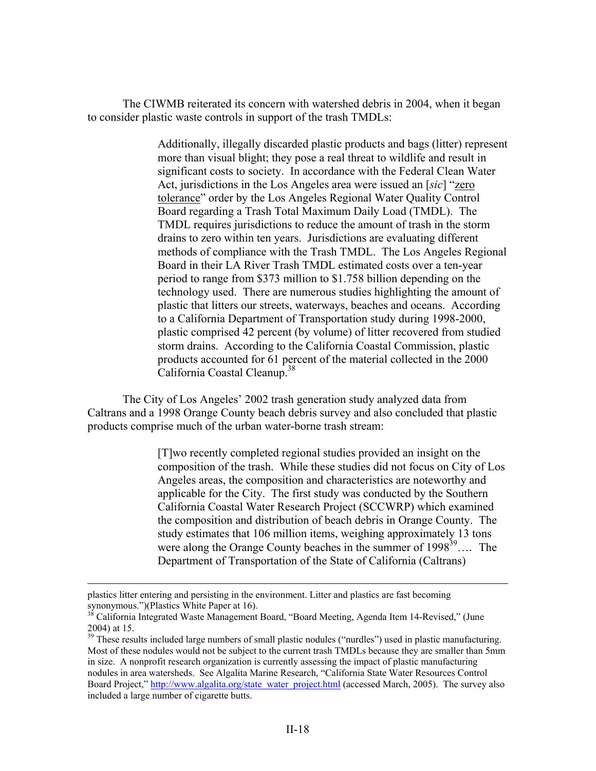The CIWMB reiterated its concern with watershed debris in 2004, when it began to consider plastic waste controls in support of the trash TMDLs:

> Additionally, illegally discarded plastic products and bags (litter) represent more than visual blight; they pose a real threat to wildlife and result in significant costs to society. In accordance with the Federal Clean Water Act, jurisdictions in the Los Angeles area were issued an [*sic*] "zero tolerance" order by the Los Angeles Regional Water Quality Control Board regarding a Trash Total Maximum Daily Load (TMDL). The TMDL requires jurisdictions to reduce the amount of trash in the storm drains to zero within ten years. Jurisdictions are evaluating different methods of compliance with the Trash TMDL. The Los Angeles Regional Board in their LA River Trash TMDL estimated costs over a ten-year period to range from \$373 million to \$1.758 billion depending on the technology used. There are numerous studies highlighting the amount of plastic that litters our streets, waterways, beaches and oceans. According to a California Department of Transportation study during 1998-2000, plastic comprised 42 percent (by volume) of litter recovered from studied storm drains. According to the California Coastal Commission, plastic products accounted for 61 percent of the material collected in the 2000 California Coastal Cleanup.38

 The City of Los Angeles' 2002 trash generation study analyzed data from Caltrans and a 1998 Orange County beach debris survey and also concluded that plastic products comprise much of the urban water-borne trash stream:

> [T]wo recently completed regional studies provided an insight on the composition of the trash. While these studies did not focus on City of Los Angeles areas, the composition and characteristics are noteworthy and applicable for the City. The first study was conducted by the Southern California Coastal Water Research Project (SCCWRP) which examined the composition and distribution of beach debris in Orange County. The study estimates that 106 million items, weighing approximately 13 tons were along the Orange County beaches in the summer of  $1998^{39}$ .... The Department of Transportation of the State of California (Caltrans)

plastics litter entering and persisting in the environment. Litter and plastics are fast becoming synonymous.")(Plastics White Paper at 16).

<sup>&</sup>lt;sup>38</sup> California Integrated Waste Management Board, "Board Meeting, Agenda Item 14-Revised," (June 2004) at 15.

<sup>&</sup>lt;sup>39</sup> These results included large numbers of small plastic nodules ("nurdles") used in plastic manufacturing. Most of these nodules would not be subject to the current trash TMDLs because they are smaller than 5mm in size. A nonprofit research organization is currently assessing the impact of plastic manufacturing nodules in area watersheds. See Algalita Marine Research, "California State Water Resources Control Board Project," http://www.algalita.org/state\_water\_project.html (accessed March, 2005). The survey also included a large number of cigarette butts.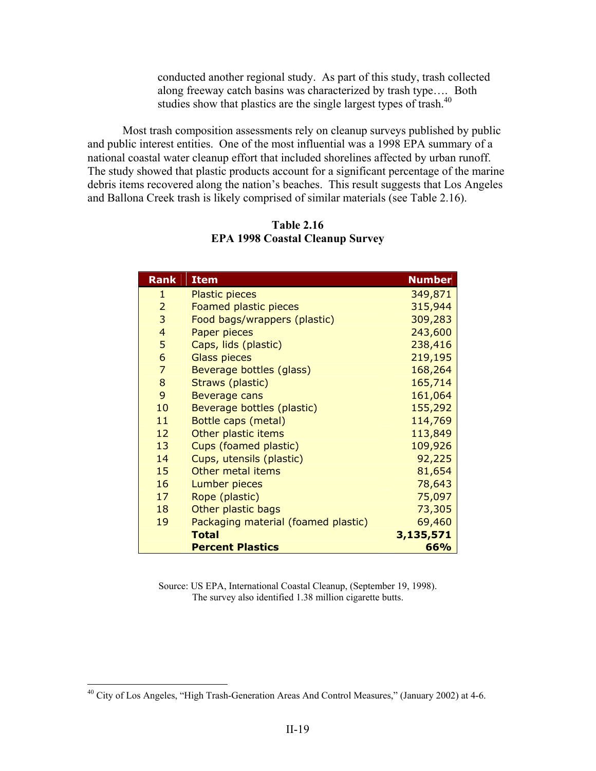conducted another regional study. As part of this study, trash collected along freeway catch basins was characterized by trash type…. Both studies show that plastics are the single largest types of trash.<sup>40</sup>

 Most trash composition assessments rely on cleanup surveys published by public and public interest entities. One of the most influential was a 1998 EPA summary of a national coastal water cleanup effort that included shorelines affected by urban runoff. The study showed that plastic products account for a significant percentage of the marine debris items recovered along the nation's beaches. This result suggests that Los Angeles and Ballona Creek trash is likely comprised of similar materials (see Table 2.16).

| <b>Rank</b>     | <b>Item</b>                         | <b>Number</b> |
|-----------------|-------------------------------------|---------------|
| $\mathbf{1}$    | <b>Plastic pieces</b>               | 349,871       |
| $\overline{2}$  | Foamed plastic pieces               | 315,944       |
| 3               | Food bags/wrappers (plastic)        | 309,283       |
| $\overline{4}$  | Paper pieces                        | 243,600       |
| 5               | Caps, lids (plastic)                | 238,416       |
| 6               | <b>Glass pieces</b>                 | 219,195       |
| $\overline{7}$  | Beverage bottles (glass)            | 168,264       |
| 8               | Straws (plastic)                    | 165,714       |
| 9               | Beverage cans                       | 161,064       |
| 10              | Beverage bottles (plastic)          | 155,292       |
| 11              | Bottle caps (metal)                 | 114,769       |
| 12 <sup>2</sup> | Other plastic items                 | 113,849       |
| 13              | Cups (foamed plastic)               | 109,926       |
| 14              | Cups, utensils (plastic)            | 92,225        |
| 15              | Other metal items                   | 81,654        |
| 16              | Lumber pieces                       | 78,643        |
| 17              | Rope (plastic)                      | 75,097        |
| 18              | Other plastic bags                  | 73,305        |
| 19              | Packaging material (foamed plastic) | 69,460        |
|                 | <b>Total</b>                        | 3,135,571     |
|                 | <b>Percent Plastics</b>             | 66%           |

**Table 2.16 EPA 1998 Coastal Cleanup Survey** 

Source: US EPA, International Coastal Cleanup, (September 19, 1998). The survey also identified 1.38 million cigarette butts.

<sup>&</sup>lt;sup>40</sup> City of Los Angeles, "High Trash-Generation Areas And Control Measures," (January 2002) at 4-6.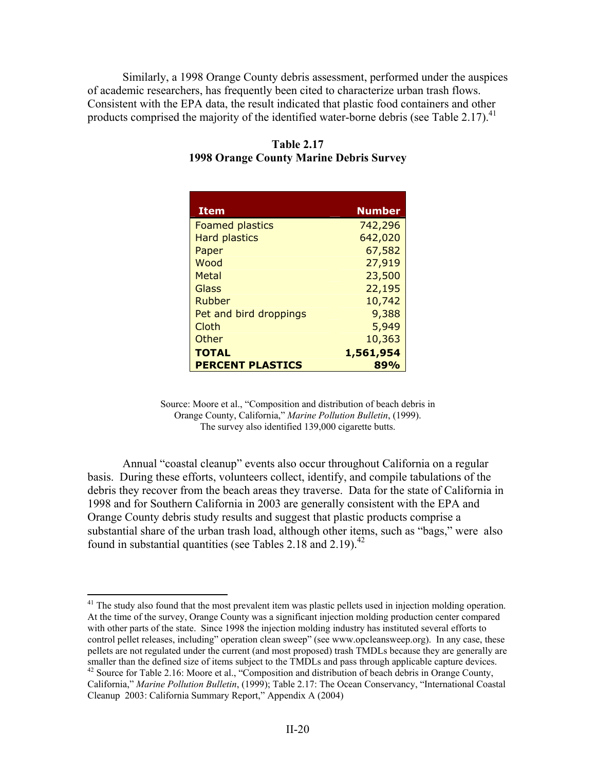Similarly, a 1998 Orange County debris assessment, performed under the auspices of academic researchers, has frequently been cited to characterize urban trash flows. Consistent with the EPA data, the result indicated that plastic food containers and other products comprised the majority of the identified water-borne debris (see Table 2.17).<sup>41</sup>

| <b>Item</b>             | <b>Number</b> |
|-------------------------|---------------|
|                         |               |
| <b>Foamed plastics</b>  | 742,296       |
| <b>Hard plastics</b>    | 642,020       |
| Paper                   | 67,582        |
| Wood                    | 27,919        |
| Metal                   | 23,500        |
| Glass                   | 22,195        |
| Rubber                  | 10,742        |
| Pet and bird droppings  | 9,388         |
| Cloth                   | 5,949         |
| Other                   | 10,363        |
| <b>TOTAL</b>            | 1,561,954     |
| <b>PERCENT PLASTICS</b> | 89%           |

**Table 2.17 1998 Orange County Marine Debris Survey** 

Source: Moore et al., "Composition and distribution of beach debris in Orange County, California," *Marine Pollution Bulletin*, (1999). The survey also identified 139,000 cigarette butts.

 Annual "coastal cleanup" events also occur throughout California on a regular basis. During these efforts, volunteers collect, identify, and compile tabulations of the debris they recover from the beach areas they traverse. Data for the state of California in 1998 and for Southern California in 2003 are generally consistent with the EPA and Orange County debris study results and suggest that plastic products comprise a substantial share of the urban trash load, although other items, such as "bags," were also found in substantial quantities (see Tables 2.18 and 2.19).<sup>42</sup>

 $\overline{a}$ <sup>41</sup> The study also found that the most prevalent item was plastic pellets used in injection molding operation. At the time of the survey, Orange County was a significant injection molding production center compared with other parts of the state. Since 1998 the injection molding industry has instituted several efforts to control pellet releases, including" operation clean sweep" (see www.opcleansweep.org). In any case, these pellets are not regulated under the current (and most proposed) trash TMDLs because they are generally are smaller than the defined size of items subject to the TMDLs and pass through applicable capture devices. <sup>42</sup> Source for Table 2.16: Moore et al., "Composition and distribution of beach debris in Orange County, California," *Marine Pollution Bulletin*, (1999); Table 2.17: The Ocean Conservancy, "International Coastal Cleanup 2003: California Summary Report," Appendix A (2004)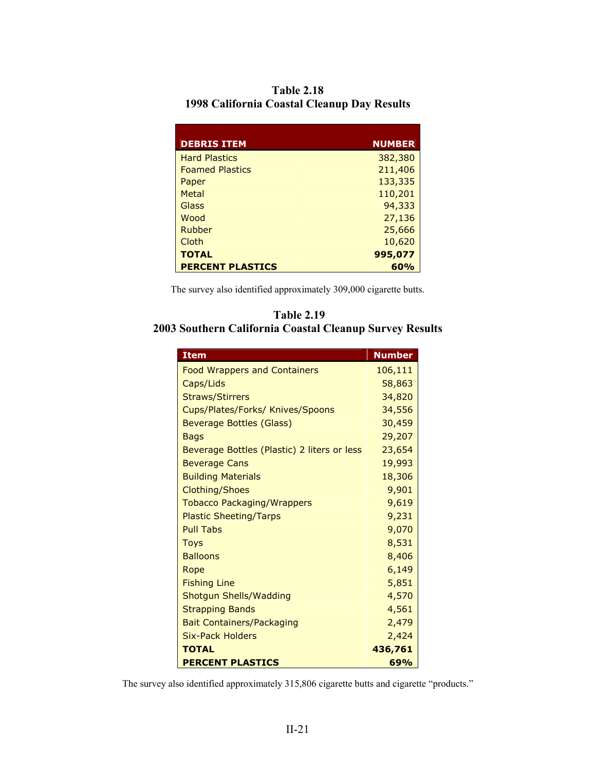| <b>Table 2.18</b>                           |
|---------------------------------------------|
| 1998 California Coastal Cleanup Day Results |

| <b>DEBRIS ITEM</b>      | <b>NUMBER</b> |
|-------------------------|---------------|
| <b>Hard Plastics</b>    | 382,380       |
| <b>Foamed Plastics</b>  | 211,406       |
| Paper                   | 133,335       |
| Metal                   | 110,201       |
| Glass                   | 94,333        |
| Wood                    | 27,136        |
| Rubber                  | 25,666        |
| Cloth                   | 10,620        |
| <b>TOTAL</b>            | 995,077       |
| <b>PERCENT PLASTICS</b> | 60%           |

The survey also identified approximately 309,000 cigarette butts.

| <b>Table 2.19</b>                                       |  |
|---------------------------------------------------------|--|
| 2003 Southern California Coastal Cleanup Survey Results |  |

| <b>Item</b>                                 | <b>Number</b> |
|---------------------------------------------|---------------|
| <b>Food Wrappers and Containers</b>         | 106,111       |
| Caps/Lids                                   | 58,863        |
| <b>Straws/Stirrers</b>                      | 34,820        |
| Cups/Plates/Forks/ Knives/Spoons            | 34,556        |
| Beverage Bottles (Glass)                    | 30,459        |
| <b>Bags</b>                                 | 29,207        |
| Beverage Bottles (Plastic) 2 liters or less | 23,654        |
| <b>Beverage Cans</b>                        | 19,993        |
| <b>Building Materials</b>                   | 18,306        |
| <b>Clothing/Shoes</b>                       | 9,901         |
| <b>Tobacco Packaging/Wrappers</b>           | 9,619         |
| <b>Plastic Sheeting/Tarps</b>               | 9,231         |
| <b>Pull Tabs</b>                            | 9,070         |
| <b>Toys</b>                                 | 8,531         |
| <b>Balloons</b>                             | 8,406         |
| Rope                                        | 6,149         |
| <b>Fishing Line</b>                         | 5,851         |
| <b>Shotgun Shells/Wadding</b>               | 4,570         |
| <b>Strapping Bands</b>                      | 4,561         |
| <b>Bait Containers/Packaging</b>            | 2,479         |
| Six-Pack Holders                            | 2,424         |
| <b>TOTAL</b>                                | 436,761       |
| <b>PERCENT PLASTICS</b>                     | 69%           |

The survey also identified approximately 315,806 cigarette butts and cigarette "products."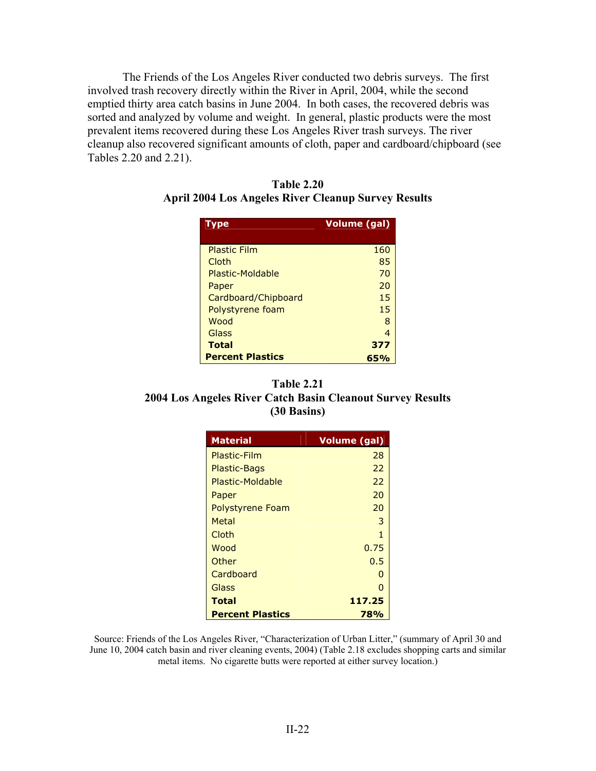The Friends of the Los Angeles River conducted two debris surveys. The first involved trash recovery directly within the River in April, 2004, while the second emptied thirty area catch basins in June 2004. In both cases, the recovered debris was sorted and analyzed by volume and weight. In general, plastic products were the most prevalent items recovered during these Los Angeles River trash surveys. The river cleanup also recovered significant amounts of cloth, paper and cardboard/chipboard (see Tables 2.20 and 2.21).

| Type                    | <b>Volume (gal)</b> |
|-------------------------|---------------------|
| <b>Plastic Film</b>     | 160                 |
| Cloth                   | 85                  |
| Plastic-Moldable        | 70                  |
| Paper                   | 20                  |
| Cardboard/Chipboard     | 15                  |
| Polystyrene foam        | 15                  |
| Wood                    | 8                   |
| Glass                   | 4                   |
| <b>Total</b>            | 377                 |
| <b>Percent Plastics</b> | 65%                 |

| <b>Table 2.20</b>                                   |  |
|-----------------------------------------------------|--|
| April 2004 Los Angeles River Cleanup Survey Results |  |

# **Table 2.21 2004 Los Angeles River Catch Basin Cleanout Survey Results (30 Basins)**

| <b>Material</b>         | Volume (gal) |
|-------------------------|--------------|
| Plastic-Film            | 28           |
| <b>Plastic-Bags</b>     | 22           |
| Plastic-Moldable        | 22           |
| Paper                   | 20           |
| <b>Polystyrene Foam</b> | 20           |
| Metal                   | З            |
| Cloth                   | 1            |
| Wood                    | 0.75         |
| Other                   | 0.5          |
| Cardboard               | n            |
| Glass                   |              |
| Total                   | 117.25       |
| <b>Percent Plastics</b> | 78%          |

Source: Friends of the Los Angeles River, "Characterization of Urban Litter," (summary of April 30 and June 10, 2004 catch basin and river cleaning events, 2004) (Table 2.18 excludes shopping carts and similar metal items. No cigarette butts were reported at either survey location.)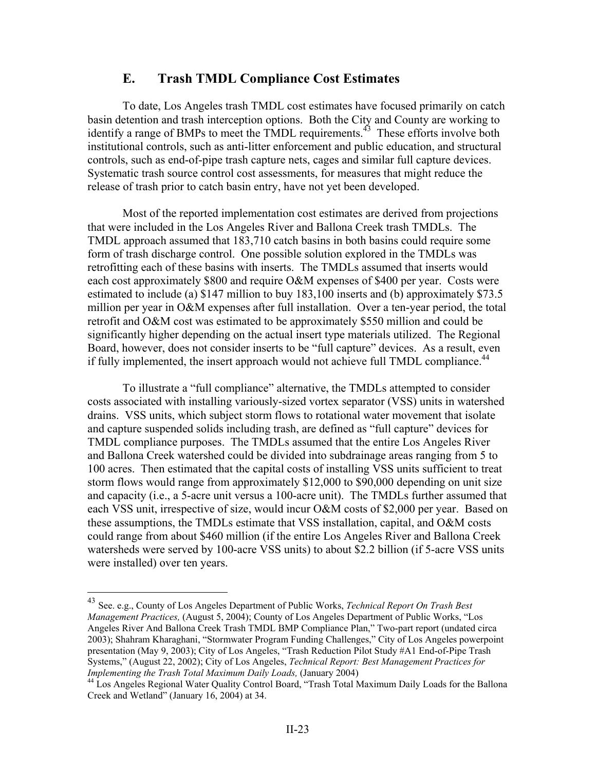# **E. Trash TMDL Compliance Cost Estimates**

 To date, Los Angeles trash TMDL cost estimates have focused primarily on catch basin detention and trash interception options. Both the City and County are working to identify a range of BMPs to meet the TMDL requirements.<sup>43</sup> These efforts involve both institutional controls, such as anti-litter enforcement and public education, and structural controls, such as end-of-pipe trash capture nets, cages and similar full capture devices. Systematic trash source control cost assessments, for measures that might reduce the release of trash prior to catch basin entry, have not yet been developed.

 Most of the reported implementation cost estimates are derived from projections that were included in the Los Angeles River and Ballona Creek trash TMDLs. The TMDL approach assumed that 183,710 catch basins in both basins could require some form of trash discharge control. One possible solution explored in the TMDLs was retrofitting each of these basins with inserts. The TMDLs assumed that inserts would each cost approximately \$800 and require O&M expenses of \$400 per year. Costs were estimated to include (a) \$147 million to buy 183,100 inserts and (b) approximately \$73.5 million per year in O&M expenses after full installation. Over a ten-year period, the total retrofit and O&M cost was estimated to be approximately \$550 million and could be significantly higher depending on the actual insert type materials utilized. The Regional Board, however, does not consider inserts to be "full capture" devices. As a result, even if fully implemented, the insert approach would not achieve full TMDL compliance.<sup>44</sup>

 To illustrate a "full compliance" alternative, the TMDLs attempted to consider costs associated with installing variously-sized vortex separator (VSS) units in watershed drains. VSS units, which subject storm flows to rotational water movement that isolate and capture suspended solids including trash, are defined as "full capture" devices for TMDL compliance purposes. The TMDLs assumed that the entire Los Angeles River and Ballona Creek watershed could be divided into subdrainage areas ranging from 5 to 100 acres. Then estimated that the capital costs of installing VSS units sufficient to treat storm flows would range from approximately \$12,000 to \$90,000 depending on unit size and capacity (i.e., a 5-acre unit versus a 100-acre unit). The TMDLs further assumed that each VSS unit, irrespective of size, would incur O&M costs of \$2,000 per year. Based on these assumptions, the TMDLs estimate that VSS installation, capital, and O&M costs could range from about \$460 million (if the entire Los Angeles River and Ballona Creek watersheds were served by 100-acre VSS units) to about \$2.2 billion (if 5-acre VSS units were installed) over ten years.

1

<sup>43</sup> See. e.g., County of Los Angeles Department of Public Works, *Technical Report On Trash Best Management Practices,* (August 5, 2004); County of Los Angeles Department of Public Works, "Los Angeles River And Ballona Creek Trash TMDL BMP Compliance Plan," Two-part report (undated circa 2003); Shahram Kharaghani, "Stormwater Program Funding Challenges," City of Los Angeles powerpoint presentation (May 9, 2003); City of Los Angeles, "Trash Reduction Pilot Study #A1 End-of-Pipe Trash Systems," (August 22, 2002); City of Los Angeles, *Technical Report: Best Management Practices for* 

*Implementing the Trash Total Maximum Daily Loads,* (January 2004)<br><sup>44</sup> Los Angeles Regional Water Quality Control Board, "Trash Total Maximum Daily Loads for the Ballona Creek and Wetland" (January 16, 2004) at 34.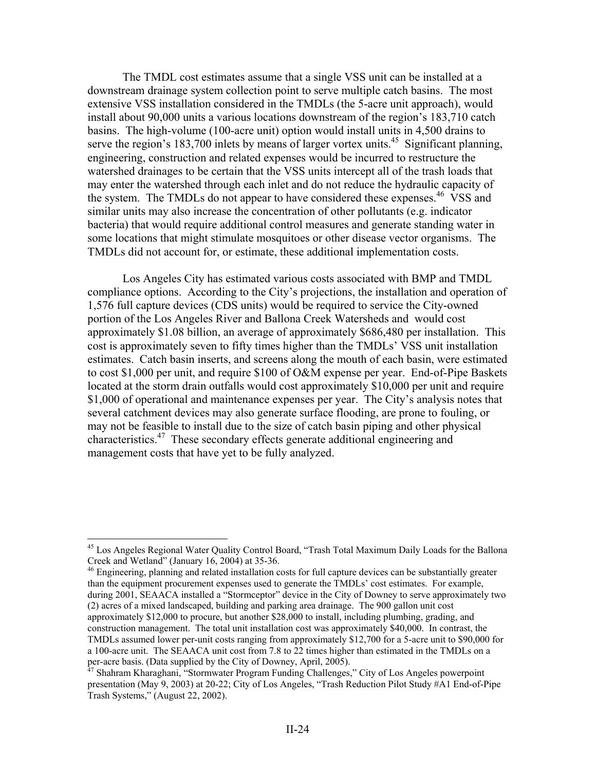The TMDL cost estimates assume that a single VSS unit can be installed at a downstream drainage system collection point to serve multiple catch basins. The most extensive VSS installation considered in the TMDLs (the 5-acre unit approach), would install about 90,000 units a various locations downstream of the region's 183,710 catch basins. The high-volume (100-acre unit) option would install units in 4,500 drains to serve the region's 183,700 inlets by means of larger vortex units.<sup>45</sup> Significant planning, engineering, construction and related expenses would be incurred to restructure the watershed drainages to be certain that the VSS units intercept all of the trash loads that may enter the watershed through each inlet and do not reduce the hydraulic capacity of the system. The TMDLs do not appear to have considered these expenses.<sup>46</sup> VSS and similar units may also increase the concentration of other pollutants (e.g. indicator bacteria) that would require additional control measures and generate standing water in some locations that might stimulate mosquitoes or other disease vector organisms. The TMDLs did not account for, or estimate, these additional implementation costs.

 Los Angeles City has estimated various costs associated with BMP and TMDL compliance options. According to the City's projections, the installation and operation of 1,576 full capture devices (CDS units) would be required to service the City-owned portion of the Los Angeles River and Ballona Creek Watersheds and would cost approximately \$1.08 billion, an average of approximately \$686,480 per installation. This cost is approximately seven to fifty times higher than the TMDLs' VSS unit installation estimates. Catch basin inserts, and screens along the mouth of each basin, were estimated to cost \$1,000 per unit, and require \$100 of O&M expense per year. End-of-Pipe Baskets located at the storm drain outfalls would cost approximately \$10,000 per unit and require \$1,000 of operational and maintenance expenses per year. The City's analysis notes that several catchment devices may also generate surface flooding, are prone to fouling, or may not be feasible to install due to the size of catch basin piping and other physical characteristics.47 These secondary effects generate additional engineering and management costs that have yet to be fully analyzed.

 $\overline{a}$ 

<sup>46</sup> Engineering, planning and related installation costs for full capture devices can be substantially greater than the equipment procurement expenses used to generate the TMDLs' cost estimates. For example, during 2001, SEAACA installed a "Stormceptor" device in the City of Downey to serve approximately two (2) acres of a mixed landscaped, building and parking area drainage. The 900 gallon unit cost approximately \$12,000 to procure, but another \$28,000 to install, including plumbing, grading, and construction management. The total unit installation cost was approximately \$40,000. In contrast, the TMDLs assumed lower per-unit costs ranging from approximately \$12,700 for a 5-acre unit to \$90,000 for a 100-acre unit. The SEAACA unit cost from 7.8 to 22 times higher than estimated in the TMDLs on a per-acre basis. (Data supplied by the City of Downey, April, 2005).<br><sup>47</sup> Shahram Kharaghani, "Stormwater Program Funding Challenges," City of Los Angeles powerpoint

<sup>&</sup>lt;sup>45</sup> Los Angeles Regional Water Quality Control Board, "Trash Total Maximum Daily Loads for the Ballona Creek and Wetland" (January 16, 2004) at 35-36.

presentation (May 9, 2003) at 20-22; City of Los Angeles, "Trash Reduction Pilot Study #A1 End-of-Pipe Trash Systems," (August 22, 2002).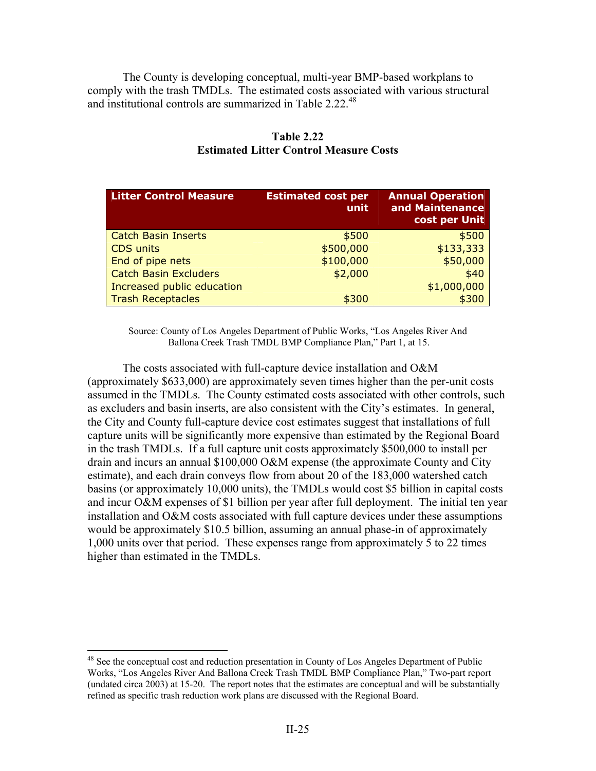The County is developing conceptual, multi-year BMP-based workplans to comply with the trash TMDLs. The estimated costs associated with various structural and institutional controls are summarized in Table 2.22.<sup>48</sup>

| <b>Litter Control Measure</b> | <b>Estimated cost per</b><br>unit | <b>Annual Operation</b><br>and Maintenance<br>cost per Unit |  |  |
|-------------------------------|-----------------------------------|-------------------------------------------------------------|--|--|
| <b>Catch Basin Inserts</b>    | \$500                             | \$500                                                       |  |  |
| <b>CDS</b> units              | \$500,000                         | \$133,333                                                   |  |  |
| End of pipe nets              | \$100,000                         | \$50,000                                                    |  |  |
| <b>Catch Basin Excluders</b>  | \$2,000                           | \$40                                                        |  |  |
| Increased public education    |                                   | \$1,000,000                                                 |  |  |
| <b>Trash Receptacles</b>      | \$300                             | \$300                                                       |  |  |

# **Table 2.22 Estimated Litter Control Measure Costs**

Source: County of Los Angeles Department of Public Works, "Los Angeles River And Ballona Creek Trash TMDL BMP Compliance Plan," Part 1, at 15.

 The costs associated with full-capture device installation and O&M (approximately \$633,000) are approximately seven times higher than the per-unit costs assumed in the TMDLs. The County estimated costs associated with other controls, such as excluders and basin inserts, are also consistent with the City's estimates. In general, the City and County full-capture device cost estimates suggest that installations of full capture units will be significantly more expensive than estimated by the Regional Board in the trash TMDLs. If a full capture unit costs approximately \$500,000 to install per drain and incurs an annual \$100,000 O&M expense (the approximate County and City estimate), and each drain conveys flow from about 20 of the 183,000 watershed catch basins (or approximately 10,000 units), the TMDLs would cost \$5 billion in capital costs and incur O&M expenses of \$1 billion per year after full deployment. The initial ten year installation and O&M costs associated with full capture devices under these assumptions would be approximately \$10.5 billion, assuming an annual phase-in of approximately 1,000 units over that period. These expenses range from approximately 5 to 22 times higher than estimated in the TMDLs.

<sup>&</sup>lt;sup>48</sup> See the conceptual cost and reduction presentation in County of Los Angeles Department of Public Works, "Los Angeles River And Ballona Creek Trash TMDL BMP Compliance Plan," Two-part report (undated circa 2003) at 15-20. The report notes that the estimates are conceptual and will be substantially refined as specific trash reduction work plans are discussed with the Regional Board.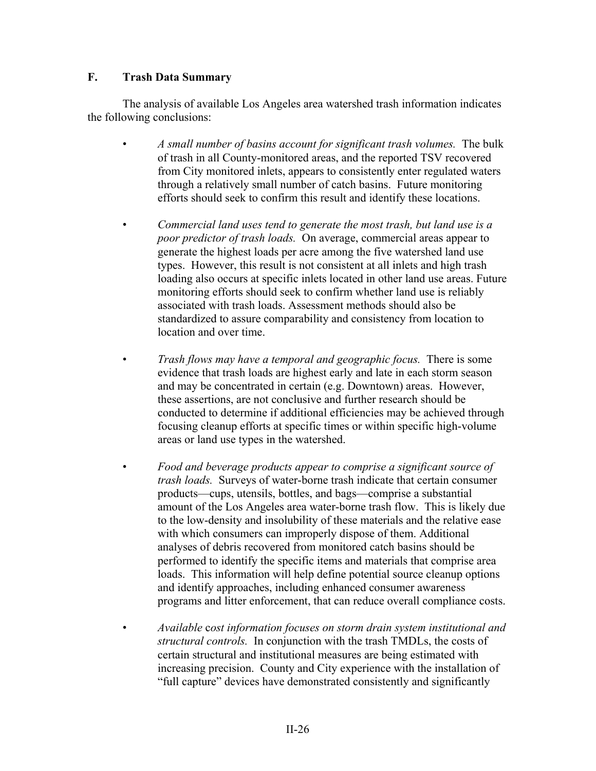### **F. Trash Data Summary**

 The analysis of available Los Angeles area watershed trash information indicates the following conclusions:

- *A small number of basins account for significant trash volumes.* The bulk of trash in all County-monitored areas, and the reported TSV recovered from City monitored inlets, appears to consistently enter regulated waters through a relatively small number of catch basins. Future monitoring efforts should seek to confirm this result and identify these locations.
- *Commercial land uses tend to generate the most trash, but land use is a poor predictor of trash loads.* On average, commercial areas appear to generate the highest loads per acre among the five watershed land use types. However, this result is not consistent at all inlets and high trash loading also occurs at specific inlets located in other land use areas. Future monitoring efforts should seek to confirm whether land use is reliably associated with trash loads. Assessment methods should also be standardized to assure comparability and consistency from location to location and over time.
- *Trash flows may have a temporal and geographic focus.* There is some evidence that trash loads are highest early and late in each storm season and may be concentrated in certain (e.g. Downtown) areas. However, these assertions, are not conclusive and further research should be conducted to determine if additional efficiencies may be achieved through focusing cleanup efforts at specific times or within specific high-volume areas or land use types in the watershed.
	- *Food and beverage products appear to comprise a significant source of trash loads.* Surveys of water-borne trash indicate that certain consumer products—cups, utensils, bottles, and bags—comprise a substantial amount of the Los Angeles area water-borne trash flow. This is likely due to the low-density and insolubility of these materials and the relative ease with which consumers can improperly dispose of them. Additional analyses of debris recovered from monitored catch basins should be performed to identify the specific items and materials that comprise area loads. This information will help define potential source cleanup options and identify approaches, including enhanced consumer awareness programs and litter enforcement, that can reduce overall compliance costs.
- *Available* c*ost information focuses on storm drain system institutional and structural controls.* In conjunction with the trash TMDLs, the costs of certain structural and institutional measures are being estimated with increasing precision. County and City experience with the installation of "full capture" devices have demonstrated consistently and significantly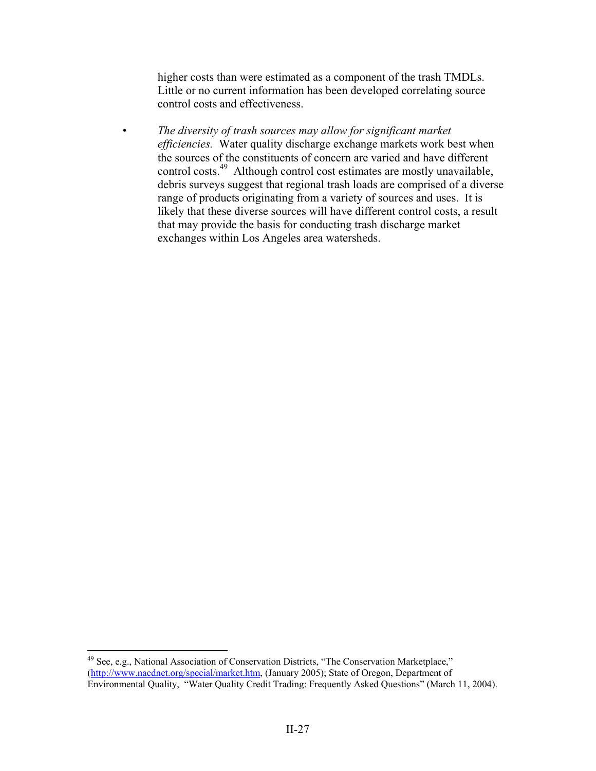higher costs than were estimated as a component of the trash TMDLs. Little or no current information has been developed correlating source control costs and effectiveness.

• *The diversity of trash sources may allow for significant market efficiencies.* Water quality discharge exchange markets work best when the sources of the constituents of concern are varied and have different control costs.<sup>49</sup> Although control cost estimates are mostly unavailable, debris surveys suggest that regional trash loads are comprised of a diverse range of products originating from a variety of sources and uses. It is likely that these diverse sources will have different control costs, a result that may provide the basis for conducting trash discharge market exchanges within Los Angeles area watersheds.

<sup>&</sup>lt;sup>49</sup> See, e.g., National Association of Conservation Districts, "The Conservation Marketplace," (http://www.nacdnet.org/special/market.htm, (January 2005); State of Oregon, Department of Environmental Quality, "Water Quality Credit Trading: Frequently Asked Questions" (March 11, 2004).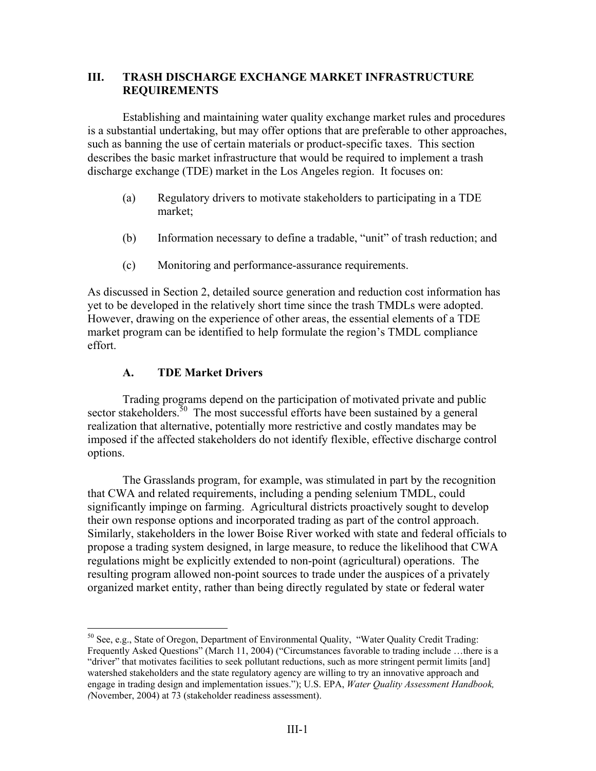### **III. TRASH DISCHARGE EXCHANGE MARKET INFRASTRUCTURE REQUIREMENTS**

Establishing and maintaining water quality exchange market rules and procedures is a substantial undertaking, but may offer options that are preferable to other approaches, such as banning the use of certain materials or product-specific taxes. This section describes the basic market infrastructure that would be required to implement a trash discharge exchange (TDE) market in the Los Angeles region. It focuses on:

- (a) Regulatory drivers to motivate stakeholders to participating in a TDE market;
- (b) Information necessary to define a tradable, "unit" of trash reduction; and
- (c) Monitoring and performance-assurance requirements.

As discussed in Section 2, detailed source generation and reduction cost information has yet to be developed in the relatively short time since the trash TMDLs were adopted. However, drawing on the experience of other areas, the essential elements of a TDE market program can be identified to help formulate the region's TMDL compliance effort.

# **A. TDE Market Drivers**

 $\overline{a}$ 

 Trading programs depend on the participation of motivated private and public sector stakeholders.<sup>50</sup> The most successful efforts have been sustained by a general realization that alternative, potentially more restrictive and costly mandates may be imposed if the affected stakeholders do not identify flexible, effective discharge control options.

 The Grasslands program, for example, was stimulated in part by the recognition that CWA and related requirements, including a pending selenium TMDL, could significantly impinge on farming. Agricultural districts proactively sought to develop their own response options and incorporated trading as part of the control approach. Similarly, stakeholders in the lower Boise River worked with state and federal officials to propose a trading system designed, in large measure, to reduce the likelihood that CWA regulations might be explicitly extended to non-point (agricultural) operations. The resulting program allowed non-point sources to trade under the auspices of a privately organized market entity, rather than being directly regulated by state or federal water

 $50$  See, e.g., State of Oregon, Department of Environmental Quality, "Water Quality Credit Trading: Frequently Asked Questions" (March 11, 2004) ("Circumstances favorable to trading include …there is a "driver" that motivates facilities to seek pollutant reductions, such as more stringent permit limits [and] watershed stakeholders and the state regulatory agency are willing to try an innovative approach and engage in trading design and implementation issues."); U.S. EPA, *Water Quality Assessment Handbook, (*November, 2004) at 73 (stakeholder readiness assessment).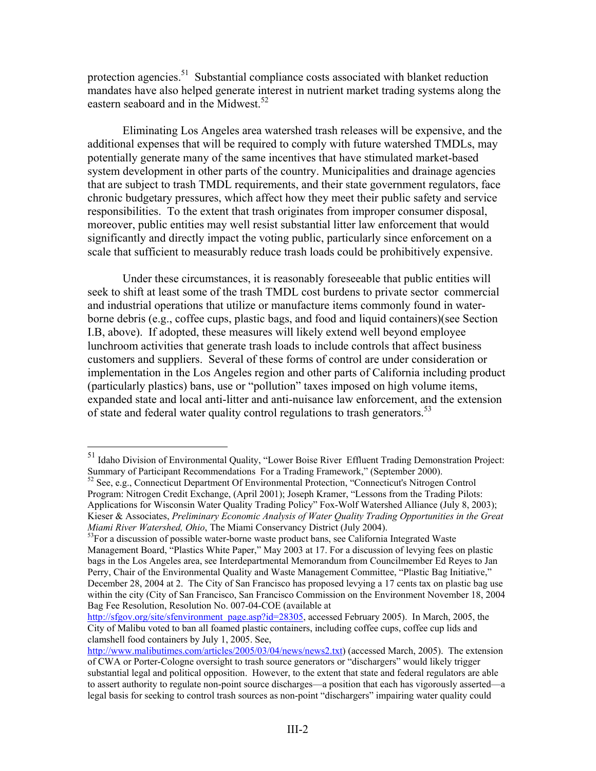protection agencies.<sup>51</sup> Substantial compliance costs associated with blanket reduction mandates have also helped generate interest in nutrient market trading systems along the eastern seaboard and in the Midwest.<sup>52</sup>

Eliminating Los Angeles area watershed trash releases will be expensive, and the additional expenses that will be required to comply with future watershed TMDLs, may potentially generate many of the same incentives that have stimulated market-based system development in other parts of the country. Municipalities and drainage agencies that are subject to trash TMDL requirements, and their state government regulators, face chronic budgetary pressures, which affect how they meet their public safety and service responsibilities. To the extent that trash originates from improper consumer disposal, moreover, public entities may well resist substantial litter law enforcement that would significantly and directly impact the voting public, particularly since enforcement on a scale that sufficient to measurably reduce trash loads could be prohibitively expensive.

Under these circumstances, it is reasonably foreseeable that public entities will seek to shift at least some of the trash TMDL cost burdens to private sector commercial and industrial operations that utilize or manufacture items commonly found in waterborne debris (e.g., coffee cups, plastic bags, and food and liquid containers)(see Section I.B, above). If adopted, these measures will likely extend well beyond employee lunchroom activities that generate trash loads to include controls that affect business customers and suppliers. Several of these forms of control are under consideration or implementation in the Los Angeles region and other parts of California including product (particularly plastics) bans, use or "pollution" taxes imposed on high volume items, expanded state and local anti-litter and anti-nuisance law enforcement, and the extension of state and federal water quality control regulations to trash generators.<sup>53</sup>

<sup>&</sup>lt;sup>51</sup> Idaho Division of Environmental Quality, "Lower Boise River Effluent Trading Demonstration Project: Summary of Participant Recommendations For a Trading Framework," (September 2000).

<sup>52</sup> See, e.g., Connecticut Department Of Environmental Protection, "Connecticut's Nitrogen Control Program: Nitrogen Credit Exchange, (April 2001); Joseph Kramer, "Lessons from the Trading Pilots: Applications for Wisconsin Water Quality Trading Policy" Fox-Wolf Watershed Alliance (July 8, 2003); Kieser & Associates, *Preliminary Economic Analysis of Water Quality Trading Opportunities in the Great Miami River Watershed, Ohio*, The Miami Conservancy District (July 2004).<br><sup>53</sup>For a discussion of possible water-borne waste product bans, see California Integrated Waste

Management Board, "Plastics White Paper," May 2003 at 17. For a discussion of levying fees on plastic bags in the Los Angeles area, see Interdepartmental Memorandum from Councilmember Ed Reyes to Jan Perry, Chair of the Environmental Quality and Waste Management Committee, "Plastic Bag Initiative," December 28, 2004 at 2. The City of San Francisco has proposed levying a 17 cents tax on plastic bag use within the city (City of San Francisco, San Francisco Commission on the Environment November 18, 2004 Bag Fee Resolution, Resolution No. 007-04-COE (available at

http://sfgov.org/site/sfenvironment\_page.asp?id=28305, accessed February 2005). In March, 2005, the City of Malibu voted to ban all foamed plastic containers, including coffee cups, coffee cup lids and clamshell food containers by July 1, 2005. See,

http://www.malibutimes.com/articles/2005/03/04/news/news2.txt) (accessed March, 2005). The extension of CWA or Porter-Cologne oversight to trash source generators or "dischargers" would likely trigger substantial legal and political opposition. However, to the extent that state and federal regulators are able to assert authority to regulate non-point source discharges—a position that each has vigorously asserted—a legal basis for seeking to control trash sources as non-point "dischargers" impairing water quality could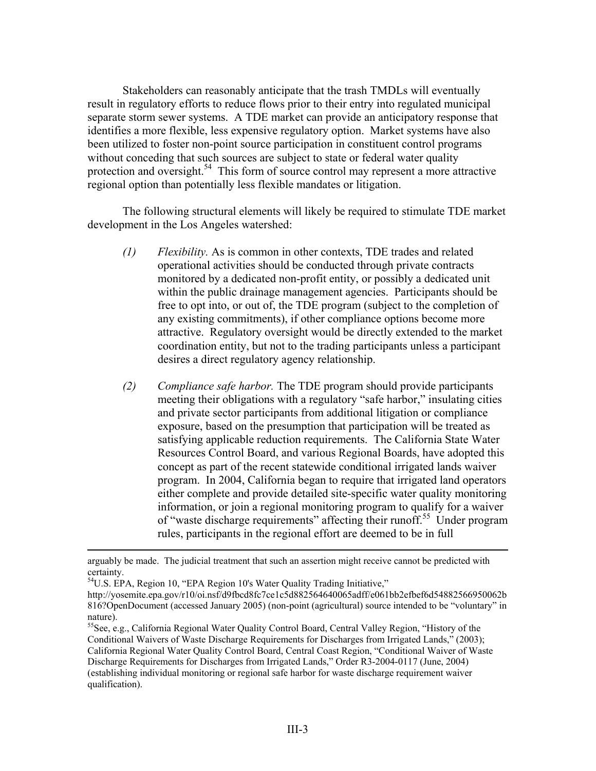Stakeholders can reasonably anticipate that the trash TMDLs will eventually result in regulatory efforts to reduce flows prior to their entry into regulated municipal separate storm sewer systems. A TDE market can provide an anticipatory response that identifies a more flexible, less expensive regulatory option. Market systems have also been utilized to foster non-point source participation in constituent control programs without conceding that such sources are subject to state or federal water quality protection and oversight.<sup>54</sup> This form of source control may represent a more attractive regional option than potentially less flexible mandates or litigation.

 The following structural elements will likely be required to stimulate TDE market development in the Los Angeles watershed:

- *(1) Flexibility.* As is common in other contexts, TDE trades and related operational activities should be conducted through private contracts monitored by a dedicated non-profit entity, or possibly a dedicated unit within the public drainage management agencies. Participants should be free to opt into, or out of, the TDE program (subject to the completion of any existing commitments), if other compliance options become more attractive. Regulatory oversight would be directly extended to the market coordination entity, but not to the trading participants unless a participant desires a direct regulatory agency relationship.
- *(2) Compliance safe harbor.* The TDE program should provide participants meeting their obligations with a regulatory "safe harbor," insulating cities and private sector participants from additional litigation or compliance exposure, based on the presumption that participation will be treated as satisfying applicable reduction requirements. The California State Water Resources Control Board, and various Regional Boards, have adopted this concept as part of the recent statewide conditional irrigated lands waiver program. In 2004, California began to require that irrigated land operators either complete and provide detailed site-specific water quality monitoring information, or join a regional monitoring program to qualify for a waiver of "waste discharge requirements" affecting their runoff.55 Under program rules, participants in the regional effort are deemed to be in full

<sup>54</sup>U.S. EPA, Region 10, "EPA Region 10's Water Quality Trading Initiative,"

arguably be made. The judicial treatment that such an assertion might receive cannot be predicted with certainty.

http://yosemite.epa.gov/r10/oi.nsf/d9fbcd8fc7ce1c5d882564640065adff/e061bb2efbef6d54882566950062b 816?OpenDocument (accessed January 2005) (non-point (agricultural) source intended to be "voluntary" in nature).

 $55$ See, e.g., California Regional Water Quality Control Board, Central Valley Region, "History of the Conditional Waivers of Waste Discharge Requirements for Discharges from Irrigated Lands," (2003); California Regional Water Quality Control Board, Central Coast Region, "Conditional Waiver of Waste Discharge Requirements for Discharges from Irrigated Lands," Order R3-2004-0117 (June, 2004) (establishing individual monitoring or regional safe harbor for waste discharge requirement waiver qualification).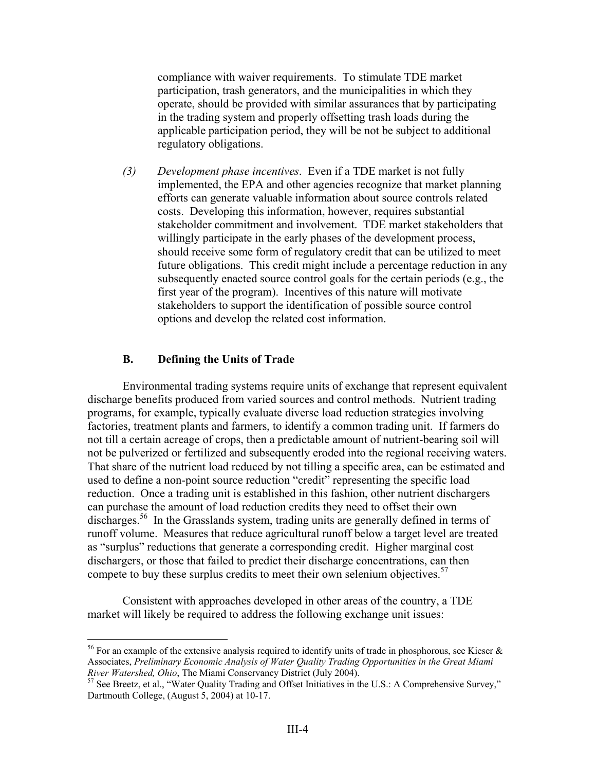compliance with waiver requirements. To stimulate TDE market participation, trash generators, and the municipalities in which they operate, should be provided with similar assurances that by participating in the trading system and properly offsetting trash loads during the applicable participation period, they will be not be subject to additional regulatory obligations.

*(3) Development phase incentives*. Even if a TDE market is not fully implemented, the EPA and other agencies recognize that market planning efforts can generate valuable information about source controls related costs. Developing this information, however, requires substantial stakeholder commitment and involvement. TDE market stakeholders that willingly participate in the early phases of the development process, should receive some form of regulatory credit that can be utilized to meet future obligations. This credit might include a percentage reduction in any subsequently enacted source control goals for the certain periods (e.g., the first year of the program). Incentives of this nature will motivate stakeholders to support the identification of possible source control options and develop the related cost information.

### **B. Defining the Units of Trade**

 $\overline{a}$ 

 Environmental trading systems require units of exchange that represent equivalent discharge benefits produced from varied sources and control methods. Nutrient trading programs, for example, typically evaluate diverse load reduction strategies involving factories, treatment plants and farmers, to identify a common trading unit. If farmers do not till a certain acreage of crops, then a predictable amount of nutrient-bearing soil will not be pulverized or fertilized and subsequently eroded into the regional receiving waters. That share of the nutrient load reduced by not tilling a specific area, can be estimated and used to define a non-point source reduction "credit" representing the specific load reduction. Once a trading unit is established in this fashion, other nutrient dischargers can purchase the amount of load reduction credits they need to offset their own discharges.<sup>56</sup> In the Grasslands system, trading units are generally defined in terms of runoff volume. Measures that reduce agricultural runoff below a target level are treated as "surplus" reductions that generate a corresponding credit. Higher marginal cost dischargers, or those that failed to predict their discharge concentrations, can then compete to buy these surplus credits to meet their own selenium objectives.<sup>57</sup>

 Consistent with approaches developed in other areas of the country, a TDE market will likely be required to address the following exchange unit issues:

<sup>&</sup>lt;sup>56</sup> For an example of the extensive analysis required to identify units of trade in phosphorous, see Kieser  $\&$ Associates, *Preliminary Economic Analysis of Water Quality Trading Opportunities in the Great Miami River Watershed, Ohio*, The Miami Conservancy District (July 2004).<br><sup>57</sup> See Breetz, et al., "Water Quality Trading and Offset Initiatives in the U.S.: A Comprehensive Survey,"

Dartmouth College, (August 5, 2004) at 10-17.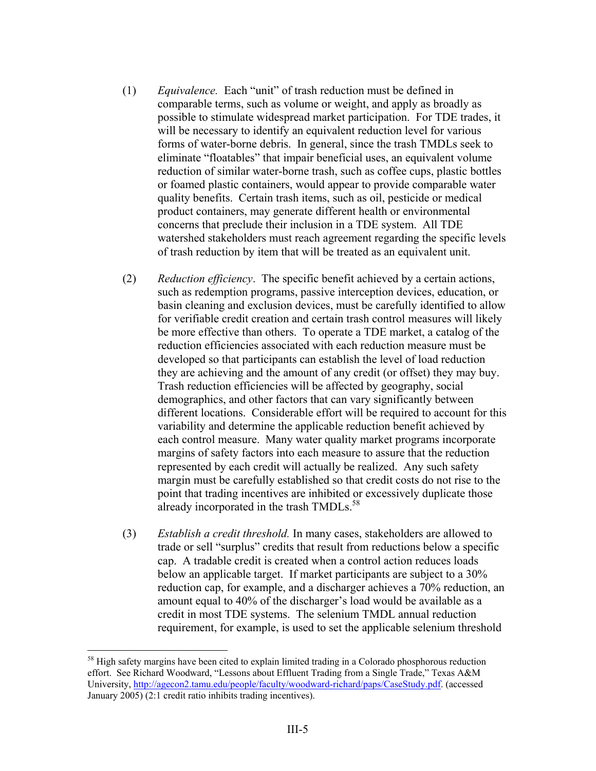- (1) *Equivalence.* Each "unit" of trash reduction must be defined in comparable terms, such as volume or weight, and apply as broadly as possible to stimulate widespread market participation. For TDE trades, it will be necessary to identify an equivalent reduction level for various forms of water-borne debris. In general, since the trash TMDLs seek to eliminate "floatables" that impair beneficial uses, an equivalent volume reduction of similar water-borne trash, such as coffee cups, plastic bottles or foamed plastic containers, would appear to provide comparable water quality benefits. Certain trash items, such as oil, pesticide or medical product containers, may generate different health or environmental concerns that preclude their inclusion in a TDE system. All TDE watershed stakeholders must reach agreement regarding the specific levels of trash reduction by item that will be treated as an equivalent unit.
- (2) *Reduction efficiency*. The specific benefit achieved by a certain actions, such as redemption programs, passive interception devices, education, or basin cleaning and exclusion devices, must be carefully identified to allow for verifiable credit creation and certain trash control measures will likely be more effective than others. To operate a TDE market, a catalog of the reduction efficiencies associated with each reduction measure must be developed so that participants can establish the level of load reduction they are achieving and the amount of any credit (or offset) they may buy. Trash reduction efficiencies will be affected by geography, social demographics, and other factors that can vary significantly between different locations. Considerable effort will be required to account for this variability and determine the applicable reduction benefit achieved by each control measure. Many water quality market programs incorporate margins of safety factors into each measure to assure that the reduction represented by each credit will actually be realized. Any such safety margin must be carefully established so that credit costs do not rise to the point that trading incentives are inhibited or excessively duplicate those already incorporated in the trash TMDLs.<sup>58</sup>
- (3) *Establish a credit threshold.* In many cases, stakeholders are allowed to trade or sell "surplus" credits that result from reductions below a specific cap. A tradable credit is created when a control action reduces loads below an applicable target. If market participants are subject to a 30% reduction cap, for example, and a discharger achieves a 70% reduction, an amount equal to 40% of the discharger's load would be available as a credit in most TDE systems. The selenium TMDL annual reduction requirement, for example, is used to set the applicable selenium threshold

<sup>&</sup>lt;sup>58</sup> High safety margins have been cited to explain limited trading in a Colorado phosphorous reduction effort. See Richard Woodward, "Lessons about Effluent Trading from a Single Trade," Texas A&M University, http://agecon2.tamu.edu/people/faculty/woodward-richard/paps/CaseStudy.pdf. (accessed January 2005) (2:1 credit ratio inhibits trading incentives).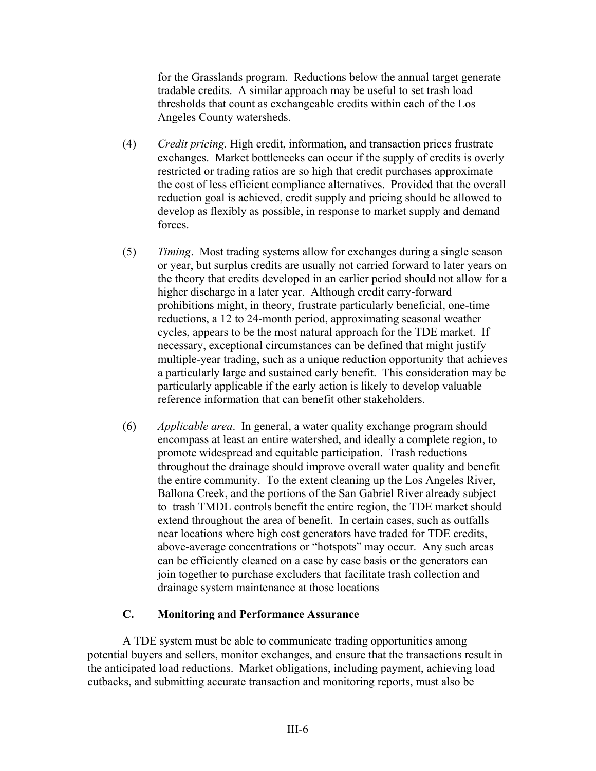for the Grasslands program. Reductions below the annual target generate tradable credits. A similar approach may be useful to set trash load thresholds that count as exchangeable credits within each of the Los Angeles County watersheds.

- (4) *Credit pricing.* High credit, information, and transaction prices frustrate exchanges. Market bottlenecks can occur if the supply of credits is overly restricted or trading ratios are so high that credit purchases approximate the cost of less efficient compliance alternatives. Provided that the overall reduction goal is achieved, credit supply and pricing should be allowed to develop as flexibly as possible, in response to market supply and demand forces.
- (5) *Timing*. Most trading systems allow for exchanges during a single season or year, but surplus credits are usually not carried forward to later years on the theory that credits developed in an earlier period should not allow for a higher discharge in a later year. Although credit carry-forward prohibitions might, in theory, frustrate particularly beneficial, one-time reductions, a 12 to 24-month period, approximating seasonal weather cycles, appears to be the most natural approach for the TDE market. If necessary, exceptional circumstances can be defined that might justify multiple-year trading, such as a unique reduction opportunity that achieves a particularly large and sustained early benefit. This consideration may be particularly applicable if the early action is likely to develop valuable reference information that can benefit other stakeholders.
- (6) *Applicable area*. In general, a water quality exchange program should encompass at least an entire watershed, and ideally a complete region, to promote widespread and equitable participation. Trash reductions throughout the drainage should improve overall water quality and benefit the entire community. To the extent cleaning up the Los Angeles River, Ballona Creek, and the portions of the San Gabriel River already subject to trash TMDL controls benefit the entire region, the TDE market should extend throughout the area of benefit. In certain cases, such as outfalls near locations where high cost generators have traded for TDE credits, above-average concentrations or "hotspots" may occur. Any such areas can be efficiently cleaned on a case by case basis or the generators can join together to purchase excluders that facilitate trash collection and drainage system maintenance at those locations

### **C. Monitoring and Performance Assurance**

 A TDE system must be able to communicate trading opportunities among potential buyers and sellers, monitor exchanges, and ensure that the transactions result in the anticipated load reductions. Market obligations, including payment, achieving load cutbacks, and submitting accurate transaction and monitoring reports, must also be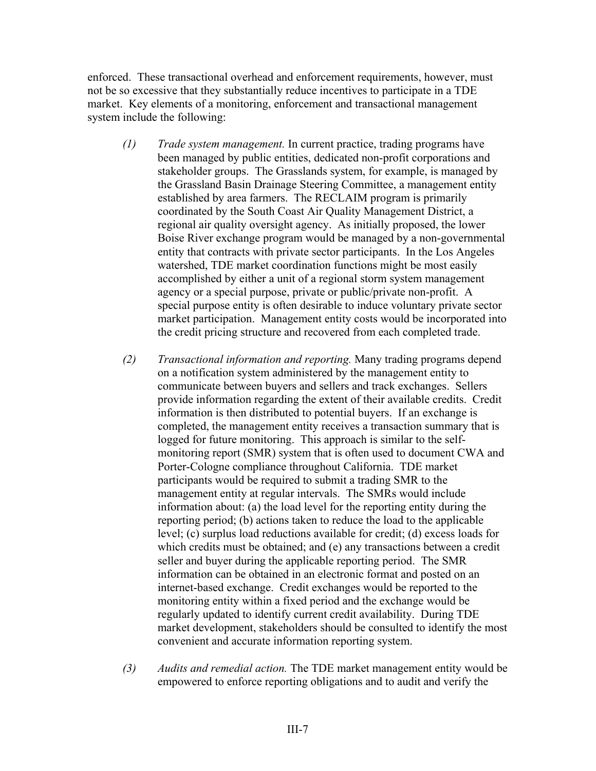enforced. These transactional overhead and enforcement requirements, however, must not be so excessive that they substantially reduce incentives to participate in a TDE market. Key elements of a monitoring, enforcement and transactional management system include the following:

- *(1) Trade system management.* In current practice, trading programs have been managed by public entities, dedicated non-profit corporations and stakeholder groups. The Grasslands system, for example, is managed by the Grassland Basin Drainage Steering Committee, a management entity established by area farmers. The RECLAIM program is primarily coordinated by the South Coast Air Quality Management District, a regional air quality oversight agency. As initially proposed, the lower Boise River exchange program would be managed by a non-governmental entity that contracts with private sector participants. In the Los Angeles watershed, TDE market coordination functions might be most easily accomplished by either a unit of a regional storm system management agency or a special purpose, private or public/private non-profit. A special purpose entity is often desirable to induce voluntary private sector market participation. Management entity costs would be incorporated into the credit pricing structure and recovered from each completed trade.
- *(2) Transactional information and reporting.* Many trading programs depend on a notification system administered by the management entity to communicate between buyers and sellers and track exchanges. Sellers provide information regarding the extent of their available credits. Credit information is then distributed to potential buyers. If an exchange is completed, the management entity receives a transaction summary that is logged for future monitoring. This approach is similar to the selfmonitoring report (SMR) system that is often used to document CWA and Porter-Cologne compliance throughout California. TDE market participants would be required to submit a trading SMR to the management entity at regular intervals. The SMRs would include information about: (a) the load level for the reporting entity during the reporting period; (b) actions taken to reduce the load to the applicable level; (c) surplus load reductions available for credit; (d) excess loads for which credits must be obtained; and (e) any transactions between a credit seller and buyer during the applicable reporting period. The SMR information can be obtained in an electronic format and posted on an internet-based exchange. Credit exchanges would be reported to the monitoring entity within a fixed period and the exchange would be regularly updated to identify current credit availability. During TDE market development, stakeholders should be consulted to identify the most convenient and accurate information reporting system.
- *(3) Audits and remedial action.* The TDE market management entity would be empowered to enforce reporting obligations and to audit and verify the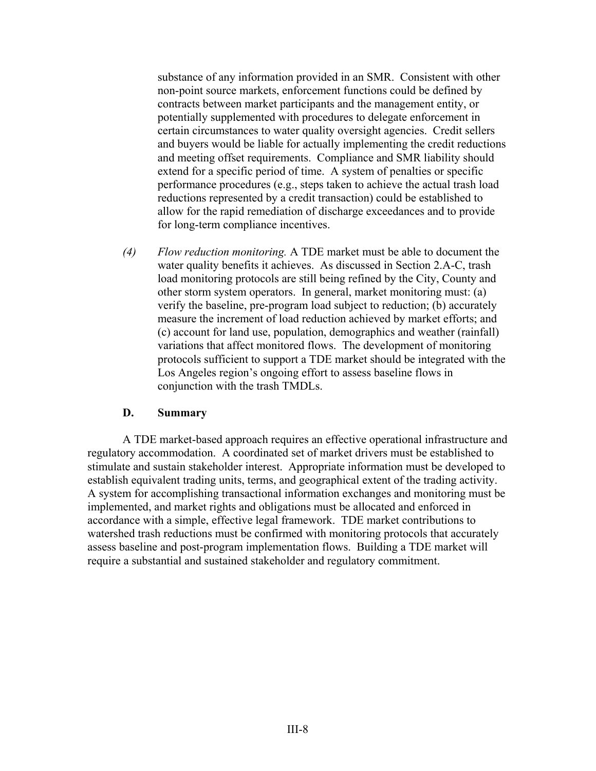substance of any information provided in an SMR. Consistent with other non-point source markets, enforcement functions could be defined by contracts between market participants and the management entity, or potentially supplemented with procedures to delegate enforcement in certain circumstances to water quality oversight agencies. Credit sellers and buyers would be liable for actually implementing the credit reductions and meeting offset requirements. Compliance and SMR liability should extend for a specific period of time. A system of penalties or specific performance procedures (e.g., steps taken to achieve the actual trash load reductions represented by a credit transaction) could be established to allow for the rapid remediation of discharge exceedances and to provide for long-term compliance incentives.

*(4) Flow reduction monitoring.* A TDE market must be able to document the water quality benefits it achieves. As discussed in Section 2.A-C, trash load monitoring protocols are still being refined by the City, County and other storm system operators. In general, market monitoring must: (a) verify the baseline, pre-program load subject to reduction; (b) accurately measure the increment of load reduction achieved by market efforts; and (c) account for land use, population, demographics and weather (rainfall) variations that affect monitored flows. The development of monitoring protocols sufficient to support a TDE market should be integrated with the Los Angeles region's ongoing effort to assess baseline flows in conjunction with the trash TMDLs.

#### **D. Summary**

A TDE market-based approach requires an effective operational infrastructure and regulatory accommodation. A coordinated set of market drivers must be established to stimulate and sustain stakeholder interest. Appropriate information must be developed to establish equivalent trading units, terms, and geographical extent of the trading activity. A system for accomplishing transactional information exchanges and monitoring must be implemented, and market rights and obligations must be allocated and enforced in accordance with a simple, effective legal framework. TDE market contributions to watershed trash reductions must be confirmed with monitoring protocols that accurately assess baseline and post-program implementation flows. Building a TDE market will require a substantial and sustained stakeholder and regulatory commitment.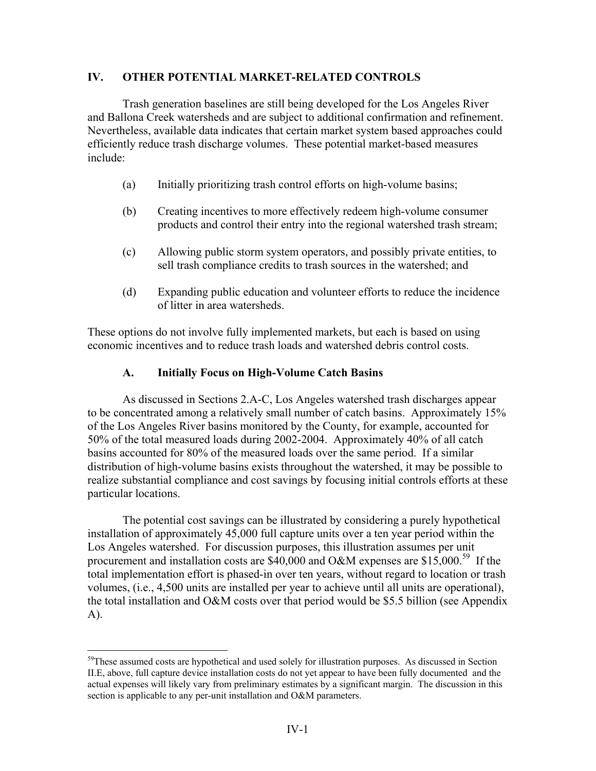### **IV. OTHER POTENTIAL MARKET-RELATED CONTROLS**

 Trash generation baselines are still being developed for the Los Angeles River and Ballona Creek watersheds and are subject to additional confirmation and refinement. Nevertheless, available data indicates that certain market system based approaches could efficiently reduce trash discharge volumes. These potential market-based measures include:

- (a) Initially prioritizing trash control efforts on high-volume basins;
- (b) Creating incentives to more effectively redeem high-volume consumer products and control their entry into the regional watershed trash stream;
- (c) Allowing public storm system operators, and possibly private entities, to sell trash compliance credits to trash sources in the watershed; and
- (d) Expanding public education and volunteer efforts to reduce the incidence of litter in area watersheds.

These options do not involve fully implemented markets, but each is based on using economic incentives and to reduce trash loads and watershed debris control costs.

### **A. Initially Focus on High-Volume Catch Basins**

As discussed in Sections 2.A-C, Los Angeles watershed trash discharges appear to be concentrated among a relatively small number of catch basins. Approximately 15% of the Los Angeles River basins monitored by the County, for example, accounted for 50% of the total measured loads during 2002-2004. Approximately 40% of all catch basins accounted for 80% of the measured loads over the same period. If a similar distribution of high-volume basins exists throughout the watershed, it may be possible to realize substantial compliance and cost savings by focusing initial controls efforts at these particular locations.

The potential cost savings can be illustrated by considering a purely hypothetical installation of approximately 45,000 full capture units over a ten year period within the Los Angeles watershed. For discussion purposes, this illustration assumes per unit procurement and installation costs are \$40,000 and O&M expenses are \$15,000.<sup>59</sup> If the total implementation effort is phased-in over ten years, without regard to location or trash volumes, (i.e., 4,500 units are installed per year to achieve until all units are operational), the total installation and O&M costs over that period would be \$5.5 billion (see Appendix A).

<sup>&</sup>lt;sup>59</sup>These assumed costs are hypothetical and used solely for illustration purposes. As discussed in Section II.E, above, full capture device installation costs do not yet appear to have been fully documented and the actual expenses will likely vary from preliminary estimates by a significant margin. The discussion in this section is applicable to any per-unit installation and O&M parameters.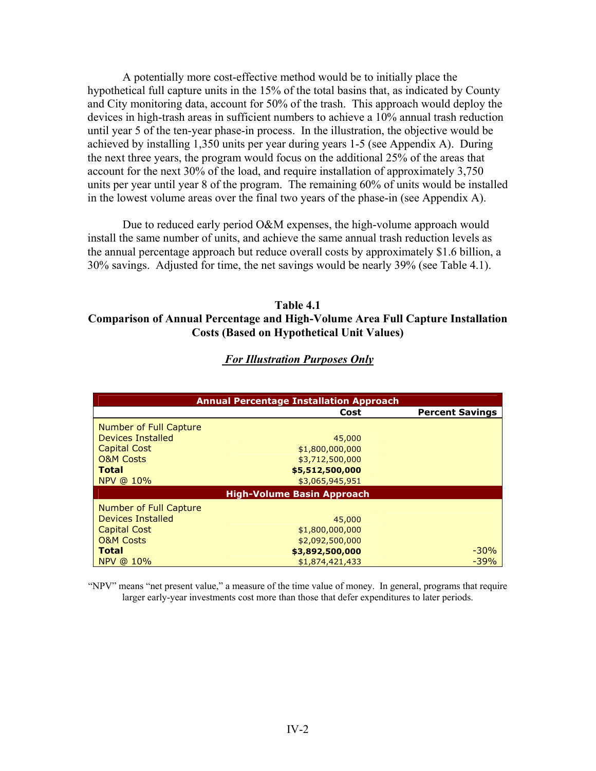A potentially more cost-effective method would be to initially place the hypothetical full capture units in the 15% of the total basins that, as indicated by County and City monitoring data, account for 50% of the trash. This approach would deploy the devices in high-trash areas in sufficient numbers to achieve a 10% annual trash reduction until year 5 of the ten-year phase-in process. In the illustration, the objective would be achieved by installing 1,350 units per year during years 1-5 (see Appendix A). During the next three years, the program would focus on the additional 25% of the areas that account for the next 30% of the load, and require installation of approximately 3,750 units per year until year 8 of the program. The remaining 60% of units would be installed in the lowest volume areas over the final two years of the phase-in (see Appendix A).

Due to reduced early period O&M expenses, the high-volume approach would install the same number of units, and achieve the same annual trash reduction levels as the annual percentage approach but reduce overall costs by approximately \$1.6 billion, a 30% savings. Adjusted for time, the net savings would be nearly 39% (see Table 4.1).

### **Table 4.1 Comparison of Annual Percentage and High-Volume Area Full Capture Installation Costs (Based on Hypothetical Unit Values)**

| <b>Annual Percentage Installation Approach</b> |                 |                        |  |  |  |  |  |  |
|------------------------------------------------|-----------------|------------------------|--|--|--|--|--|--|
|                                                | Cost            | <b>Percent Savings</b> |  |  |  |  |  |  |
| Number of Full Capture                         |                 |                        |  |  |  |  |  |  |
| Devices Installed                              | 45,000          |                        |  |  |  |  |  |  |
| <b>Capital Cost</b>                            | \$1,800,000,000 |                        |  |  |  |  |  |  |
| <b>O&amp;M Costs</b>                           | \$3,712,500,000 |                        |  |  |  |  |  |  |
| <b>Total</b>                                   | \$5,512,500,000 |                        |  |  |  |  |  |  |
| NPV @ 10%                                      | \$3,065,945,951 |                        |  |  |  |  |  |  |
| <b>High-Volume Basin Approach</b>              |                 |                        |  |  |  |  |  |  |
| Number of Full Capture                         |                 |                        |  |  |  |  |  |  |
| Devices Installed                              | 45,000          |                        |  |  |  |  |  |  |
| <b>Capital Cost</b>                            | \$1,800,000,000 |                        |  |  |  |  |  |  |
| <b>O&amp;M Costs</b>                           | \$2,092,500,000 |                        |  |  |  |  |  |  |
| <b>Total</b>                                   | \$3,892,500,000 | $-30%$                 |  |  |  |  |  |  |
| NPV @ 10%                                      | \$1,874,421,433 | $-39%$                 |  |  |  |  |  |  |

### *For Illustration Purposes Only*

"NPV" means "net present value," a measure of the time value of money. In general, programs that require larger early-year investments cost more than those that defer expenditures to later periods.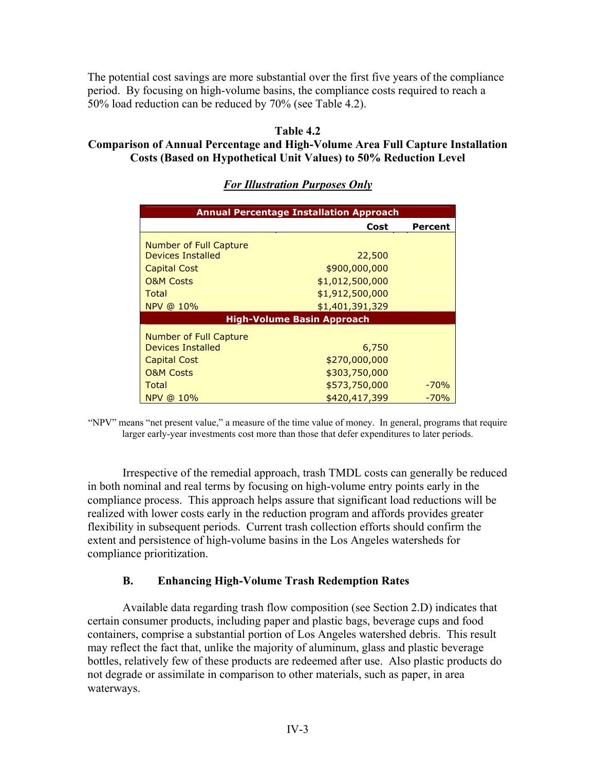The potential cost savings are more substantial over the first five years of the compliance period. By focusing on high-volume basins, the compliance costs required to reach a 50% load reduction can be reduced by 70% (see Table 4.2).

### **Table 4.2**

# **Comparison of Annual Percentage and High-Volume Area Full Capture Installation Costs (Based on Hypothetical Unit Values) to 50% Reduction Level**

# **Annual Percentage Installation Approach Cost Percent**  Number of Full Capture Devices Installed 22,500 **Capital Cost 1900,000,000** O&M Costs \$1,012,500,000 Total \$1,912,500,000 NPV @ 10% \$1,401,391,329 **High-Volume Basin Approach**  Number of Full Capture Devices Installed 6,750 **Capital Cost** 6 (270,000,000) O&M Costs \$303,750,000 Total 573,750,000 -70% NPV @ 10% 6420,417,399 -70%

# *For Illustration Purposes Only*

"NPV" means "net present value," a measure of the time value of money. In general, programs that require larger early-year investments cost more than those that defer expenditures to later periods.

Irrespective of the remedial approach, trash TMDL costs can generally be reduced in both nominal and real terms by focusing on high-volume entry points early in the compliance process. This approach helps assure that significant load reductions will be realized with lower costs early in the reduction program and affords provides greater flexibility in subsequent periods. Current trash collection efforts should confirm the extent and persistence of high-volume basins in the Los Angeles watersheds for compliance prioritization.

# **B. Enhancing High-Volume Trash Redemption Rates**

Available data regarding trash flow composition (see Section 2.D) indicates that certain consumer products, including paper and plastic bags, beverage cups and food containers, comprise a substantial portion of Los Angeles watershed debris. This result may reflect the fact that, unlike the majority of aluminum, glass and plastic beverage bottles, relatively few of these products are redeemed after use. Also plastic products do not degrade or assimilate in comparison to other materials, such as paper, in area waterways.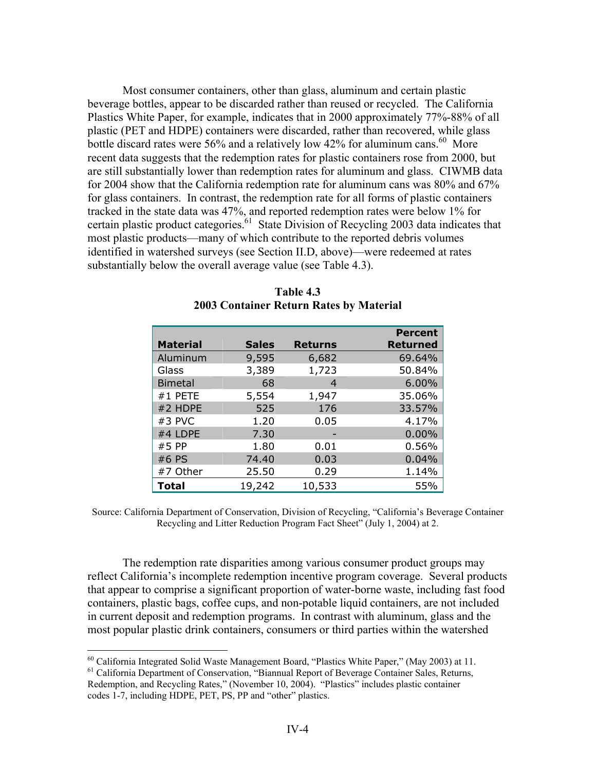Most consumer containers, other than glass, aluminum and certain plastic beverage bottles, appear to be discarded rather than reused or recycled. The California Plastics White Paper, for example, indicates that in 2000 approximately 77%-88% of all plastic (PET and HDPE) containers were discarded, rather than recovered, while glass bottle discard rates were 56% and a relatively low 42% for aluminum cans.<sup>60</sup> More recent data suggests that the redemption rates for plastic containers rose from 2000, but are still substantially lower than redemption rates for aluminum and glass. CIWMB data for 2004 show that the California redemption rate for aluminum cans was 80% and 67% for glass containers. In contrast, the redemption rate for all forms of plastic containers tracked in the state data was 47%, and reported redemption rates were below 1% for certain plastic product categories.<sup>61</sup> State Division of Recycling 2003 data indicates that most plastic products—many of which contribute to the reported debris volumes identified in watershed surveys (see Section II.D, above)—were redeemed at rates substantially below the overall average value (see Table 4.3).

|                 |              |                | <b>Percent</b>  |
|-----------------|--------------|----------------|-----------------|
| <b>Material</b> | <b>Sales</b> | <b>Returns</b> | <b>Returned</b> |
| Aluminum        | 9,595        | 6,682          | 69.64%          |
| Glass           | 3,389        | 1,723          | 50.84%          |
| <b>Bimetal</b>  | 68           | 4              | 6.00%           |
| #1 PETE         | 5,554        | 1,947          | 35.06%          |
| #2 HDPE         | 525          | 176            | 33.57%          |
| #3 PVC          | 1.20         | 0.05           | 4.17%           |
| #4 LDPE         | 7.30         |                | 0.00%           |
| #5 PP           | 1.80         | 0.01           | 0.56%           |
| #6 PS           | 74.40        | 0.03           | 0.04%           |
| #7 Other        | 25.50        | 0.29           | 1.14%           |
| <b>Total</b>    | 19,242       | 10,533         | 55%             |

**Table 4.3 2003 Container Return Rates by Material** 

Source: California Department of Conservation, Division of Recycling, "California's Beverage Container Recycling and Litter Reduction Program Fact Sheet" (July 1, 2004) at 2.

The redemption rate disparities among various consumer product groups may reflect California's incomplete redemption incentive program coverage. Several products that appear to comprise a significant proportion of water-borne waste, including fast food containers, plastic bags, coffee cups, and non-potable liquid containers, are not included in current deposit and redemption programs. In contrast with aluminum, glass and the most popular plastic drink containers, consumers or third parties within the watershed

<sup>&</sup>lt;sup>60</sup> California Integrated Solid Waste Management Board, "Plastics White Paper," (May 2003) at 11.

<sup>&</sup>lt;sup>61</sup> California Department of Conservation, "Biannual Report of Beverage Container Sales, Returns, Redemption, and Recycling Rates," (November 10, 2004). "Plastics" includes plastic container codes 1-7, including HDPE, PET, PS, PP and "other" plastics.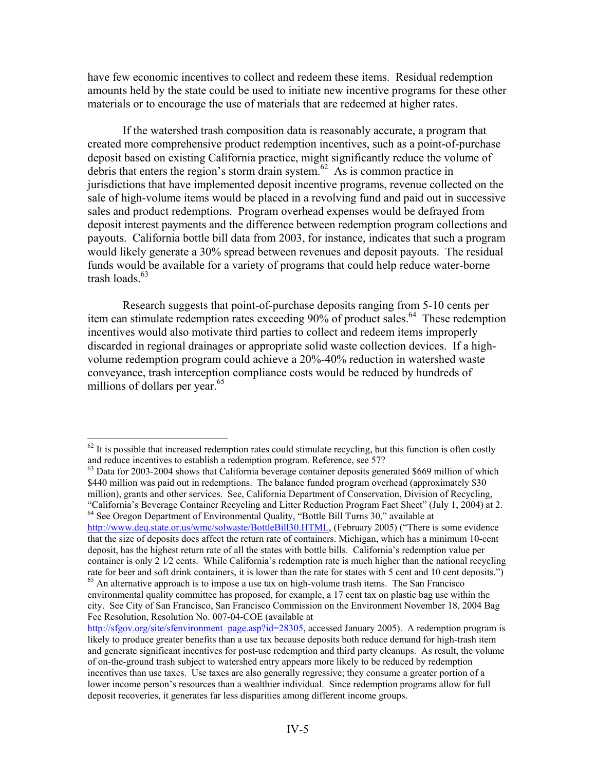have few economic incentives to collect and redeem these items. Residual redemption amounts held by the state could be used to initiate new incentive programs for these other materials or to encourage the use of materials that are redeemed at higher rates.

If the watershed trash composition data is reasonably accurate, a program that created more comprehensive product redemption incentives, such as a point-of-purchase deposit based on existing California practice, might significantly reduce the volume of debris that enters the region's storm drain system.<sup>62</sup> As is common practice in jurisdictions that have implemented deposit incentive programs, revenue collected on the sale of high-volume items would be placed in a revolving fund and paid out in successive sales and product redemptions. Program overhead expenses would be defrayed from deposit interest payments and the difference between redemption program collections and payouts. California bottle bill data from 2003, for instance, indicates that such a program would likely generate a 30% spread between revenues and deposit payouts. The residual funds would be available for a variety of programs that could help reduce water-borne trash loads. $63$ 

Research suggests that point-of-purchase deposits ranging from 5-10 cents per item can stimulate redemption rates exceeding  $90\%$  of product sales.<sup>64</sup> These redemption incentives would also motivate third parties to collect and redeem items improperly discarded in regional drainages or appropriate solid waste collection devices. If a highvolume redemption program could achieve a 20%-40% reduction in watershed waste conveyance, trash interception compliance costs would be reduced by hundreds of millions of dollars per year. $65$ 

1

 $62$  It is possible that increased redemption rates could stimulate recycling, but this function is often costly and reduce incentives to establish a redemption program. Reference, see 57?

 $63$  Data for 2003-2004 shows that California beverage container deposits generated \$669 million of which \$440 million was paid out in redemptions. The balance funded program overhead (approximately \$30) million), grants and other services. See, California Department of Conservation, Division of Recycling, "California's Beverage Container Recycling and Litter Reduction Program Fact Sheet" (July 1, 2004) at 2. 64 See Oregon Department of Environmental Quality, "Bottle Bill Turns 30," available at http://www.deq.state.or.us/wmc/solwaste/BottleBill30.HTML, (February 2005) ("There is some evidence

that the size of deposits does affect the return rate of containers. Michigan, which has a minimum 10-cent deposit, has the highest return rate of all the states with bottle bills. California's redemption value per container is only 2 1⁄2 cents. While California's redemption rate is much higher than the national recycling rate for beer and soft drink containers, it is lower than the rate for states with 5 cent and 10 cent deposits.")

<sup>&</sup>lt;sup>65</sup> An alternative approach is to impose a use tax on high-volume trash items. The San Francisco environmental quality committee has proposed, for example, a 17 cent tax on plastic bag use within the city. See City of San Francisco, San Francisco Commission on the Environment November 18, 2004 Bag Fee Resolution, Resolution No. 007-04-COE (available at

http://sfgov.org/site/sfenvironment\_page.asp?id=28305, accessed January 2005). A redemption program is likely to produce greater benefits than a use tax because deposits both reduce demand for high-trash item and generate significant incentives for post-use redemption and third party cleanups. As result, the volume of on-the-ground trash subject to watershed entry appears more likely to be reduced by redemption incentives than use taxes. Use taxes are also generally regressive; they consume a greater portion of a lower income person's resources than a wealthier individual. Since redemption programs allow for full deposit recoveries, it generates far less disparities among different income groups.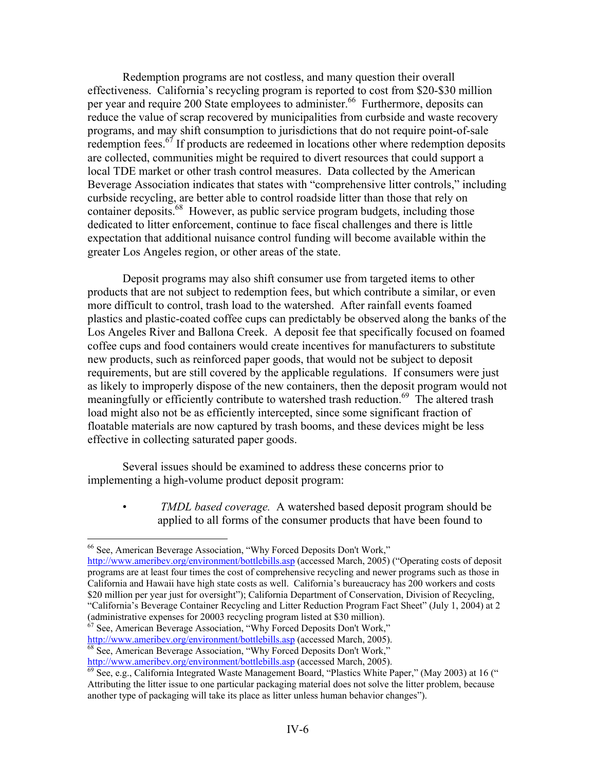Redemption programs are not costless, and many question their overall effectiveness. California's recycling program is reported to cost from \$20-\$30 million per year and require 200 State employees to administer.<sup>66</sup> Furthermore, deposits can reduce the value of scrap recovered by municipalities from curbside and waste recovery programs, and may shift consumption to jurisdictions that do not require point-of-sale redemption fees.<sup>67</sup> If products are redeemed in locations other where redemption deposits are collected, communities might be required to divert resources that could support a local TDE market or other trash control measures. Data collected by the American Beverage Association indicates that states with "comprehensive litter controls," including curbside recycling, are better able to control roadside litter than those that rely on container deposits.<sup>68</sup> However, as public service program budgets, including those dedicated to litter enforcement, continue to face fiscal challenges and there is little expectation that additional nuisance control funding will become available within the greater Los Angeles region, or other areas of the state.

Deposit programs may also shift consumer use from targeted items to other products that are not subject to redemption fees, but which contribute a similar, or even more difficult to control, trash load to the watershed. After rainfall events foamed plastics and plastic-coated coffee cups can predictably be observed along the banks of the Los Angeles River and Ballona Creek. A deposit fee that specifically focused on foamed coffee cups and food containers would create incentives for manufacturers to substitute new products, such as reinforced paper goods, that would not be subject to deposit requirements, but are still covered by the applicable regulations. If consumers were just as likely to improperly dispose of the new containers, then the deposit program would not meaningfully or efficiently contribute to watershed trash reduction.<sup>69</sup> The altered trash load might also not be as efficiently intercepted, since some significant fraction of floatable materials are now captured by trash booms, and these devices might be less effective in collecting saturated paper goods.

Several issues should be examined to address these concerns prior to implementing a high-volume product deposit program:

> • *TMDL based coverage.* A watershed based deposit program should be applied to all forms of the consumer products that have been found to

 $\overline{a}$ 

(administrative expenses for 20003 recycling program listed at \$30 million).<br><sup>67</sup> See, American Beverage Association, "Why Forced Deposits Don't Work,"<br>http://www.ameribev.org/environment/bottlebills.asp (accessed March,

 $\frac{68}{68}$  See, American Beverage Association, "Why Forced Deposits Don't Work," http://www.ameribev.org/environment/bottlebills.asp (accessed March, 2005).

<sup>66</sup> See, American Beverage Association, "Why Forced Deposits Don't Work,"

http://www.ameribev.org/environment/bottlebills.asp (accessed March, 2005) ("Operating costs of deposit programs are at least four times the cost of comprehensive recycling and newer programs such as those in California and Hawaii have high state costs as well. California's bureaucracy has 200 workers and costs \$20 million per year just for oversight"); California Department of Conservation, Division of Recycling, "California's Beverage Container Recycling and Litter Reduction Program Fact Sheet" (July 1, 2004) at 2

 $\frac{69}{69}$  See, e.g., California Integrated Waste Management Board, "Plastics White Paper," (May 2003) at 16 (" Attributing the litter issue to one particular packaging material does not solve the litter problem, because another type of packaging will take its place as litter unless human behavior changes").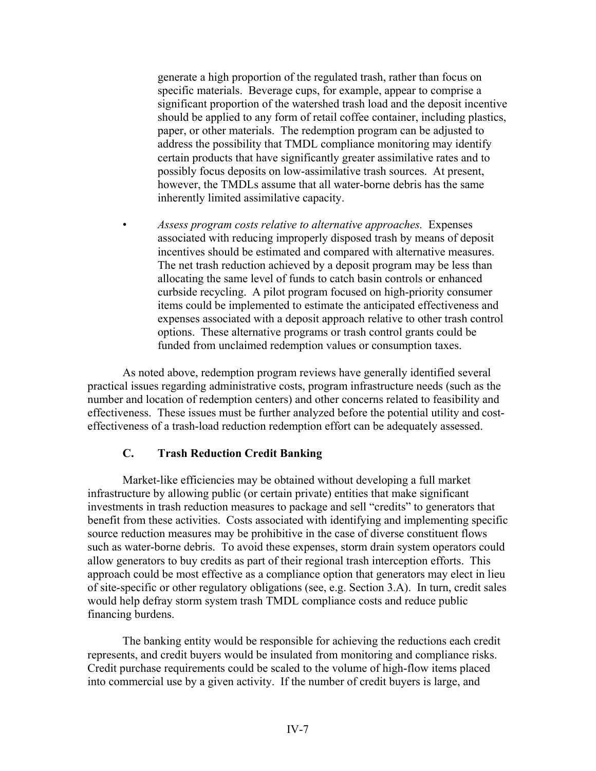generate a high proportion of the regulated trash, rather than focus on specific materials. Beverage cups, for example, appear to comprise a significant proportion of the watershed trash load and the deposit incentive should be applied to any form of retail coffee container, including plastics, paper, or other materials. The redemption program can be adjusted to address the possibility that TMDL compliance monitoring may identify certain products that have significantly greater assimilative rates and to possibly focus deposits on low-assimilative trash sources. At present, however, the TMDLs assume that all water-borne debris has the same inherently limited assimilative capacity.

• *Assess program costs relative to alternative approaches.* Expenses associated with reducing improperly disposed trash by means of deposit incentives should be estimated and compared with alternative measures. The net trash reduction achieved by a deposit program may be less than allocating the same level of funds to catch basin controls or enhanced curbside recycling. A pilot program focused on high-priority consumer items could be implemented to estimate the anticipated effectiveness and expenses associated with a deposit approach relative to other trash control options. These alternative programs or trash control grants could be funded from unclaimed redemption values or consumption taxes.

As noted above, redemption program reviews have generally identified several practical issues regarding administrative costs, program infrastructure needs (such as the number and location of redemption centers) and other concerns related to feasibility and effectiveness. These issues must be further analyzed before the potential utility and costeffectiveness of a trash-load reduction redemption effort can be adequately assessed.

# **C. Trash Reduction Credit Banking**

 Market-like efficiencies may be obtained without developing a full market infrastructure by allowing public (or certain private) entities that make significant investments in trash reduction measures to package and sell "credits" to generators that benefit from these activities. Costs associated with identifying and implementing specific source reduction measures may be prohibitive in the case of diverse constituent flows such as water-borne debris. To avoid these expenses, storm drain system operators could allow generators to buy credits as part of their regional trash interception efforts. This approach could be most effective as a compliance option that generators may elect in lieu of site-specific or other regulatory obligations (see, e.g. Section 3.A). In turn, credit sales would help defray storm system trash TMDL compliance costs and reduce public financing burdens.

 The banking entity would be responsible for achieving the reductions each credit represents, and credit buyers would be insulated from monitoring and compliance risks. Credit purchase requirements could be scaled to the volume of high-flow items placed into commercial use by a given activity. If the number of credit buyers is large, and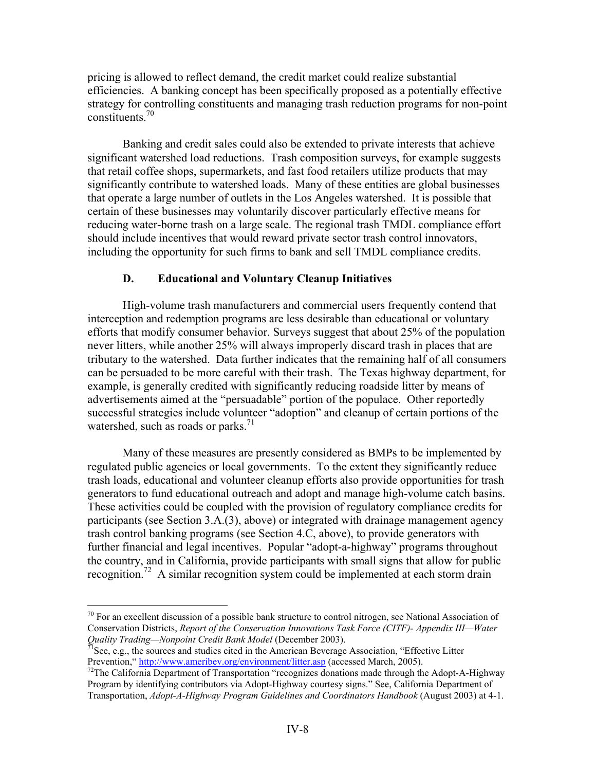pricing is allowed to reflect demand, the credit market could realize substantial efficiencies. A banking concept has been specifically proposed as a potentially effective strategy for controlling constituents and managing trash reduction programs for non-point constituents.70

 Banking and credit sales could also be extended to private interests that achieve significant watershed load reductions. Trash composition surveys, for example suggests that retail coffee shops, supermarkets, and fast food retailers utilize products that may significantly contribute to watershed loads. Many of these entities are global businesses that operate a large number of outlets in the Los Angeles watershed. It is possible that certain of these businesses may voluntarily discover particularly effective means for reducing water-borne trash on a large scale. The regional trash TMDL compliance effort should include incentives that would reward private sector trash control innovators, including the opportunity for such firms to bank and sell TMDL compliance credits.

#### **D. Educational and Voluntary Cleanup Initiatives**

 High-volume trash manufacturers and commercial users frequently contend that interception and redemption programs are less desirable than educational or voluntary efforts that modify consumer behavior. Surveys suggest that about 25% of the population never litters, while another 25% will always improperly discard trash in places that are tributary to the watershed. Data further indicates that the remaining half of all consumers can be persuaded to be more careful with their trash. The Texas highway department, for example, is generally credited with significantly reducing roadside litter by means of advertisements aimed at the "persuadable" portion of the populace. Other reportedly successful strategies include volunteer "adoption" and cleanup of certain portions of the watershed, such as roads or parks. $<sup>71</sup>$ </sup>

 Many of these measures are presently considered as BMPs to be implemented by regulated public agencies or local governments. To the extent they significantly reduce trash loads, educational and volunteer cleanup efforts also provide opportunities for trash generators to fund educational outreach and adopt and manage high-volume catch basins. These activities could be coupled with the provision of regulatory compliance credits for participants (see Section 3.A.(3), above) or integrated with drainage management agency trash control banking programs (see Section 4.C, above), to provide generators with further financial and legal incentives. Popular "adopt-a-highway" programs throughout the country, and in California, provide participants with small signs that allow for public recognition.<sup>72</sup> A similar recognition system could be implemented at each storm drain

 $70$  For an excellent discussion of a possible bank structure to control nitrogen, see National Association of Conservation Districts, *Report of the Conservation Innovations Task Force (CITF)- Appendix III—Water* 

*Quality Trading—Nonpoint Credit Bank Model* (December 2003).<br><sup>71</sup>See, e.g., the sources and studies cited in the American Beverage Association, "Effective Litter Prevention," http://www.ameribev.org/environment/litter.as

<sup>&</sup>lt;sup>72</sup>The California Department of Transportation "recognizes donations made through the Adopt-A-Highway Program by identifying contributors via Adopt-Highway courtesy signs." See, California Department of Transportation, *Adopt-A-Highway Program Guidelines and Coordinators Handbook* (August 2003) at 4-1.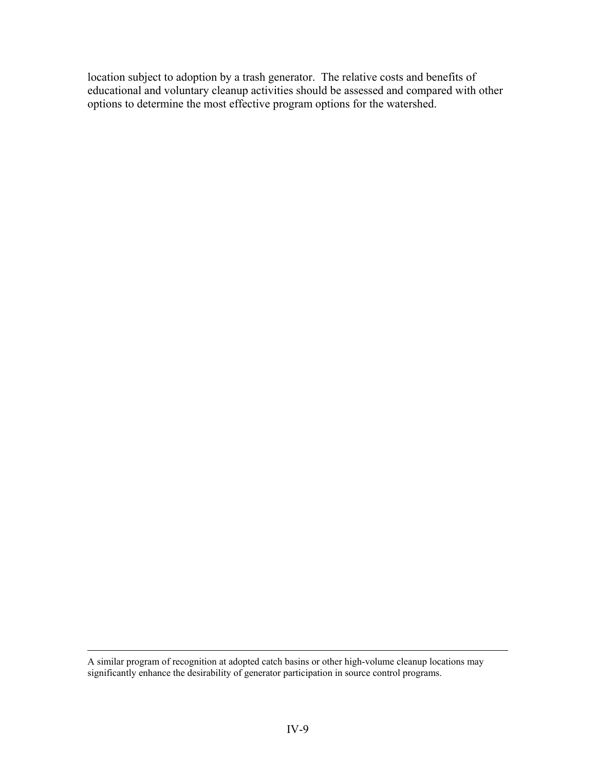location subject to adoption by a trash generator. The relative costs and benefits of educational and voluntary cleanup activities should be assessed and compared with other options to determine the most effective program options for the watershed.

A similar program of recognition at adopted catch basins or other high-volume cleanup locations may significantly enhance the desirability of generator participation in source control programs.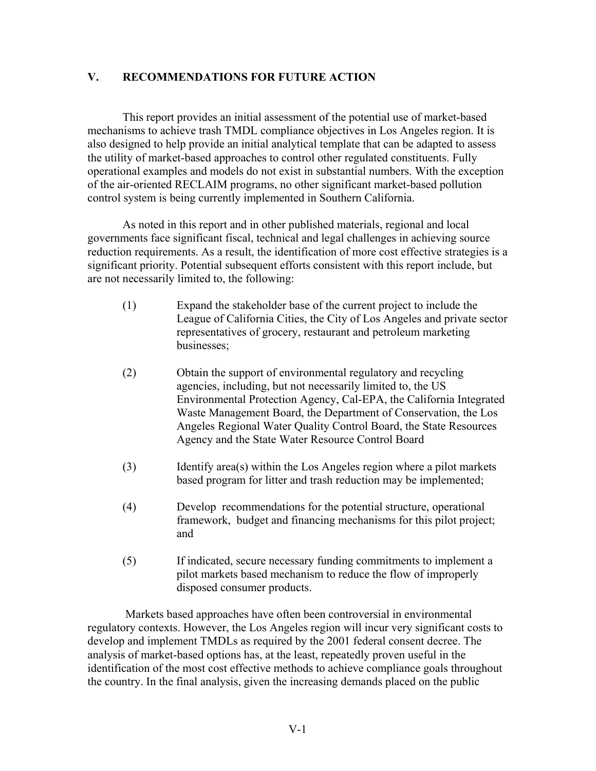# **V. RECOMMENDATIONS FOR FUTURE ACTION**

This report provides an initial assessment of the potential use of market-based mechanisms to achieve trash TMDL compliance objectives in Los Angeles region. It is also designed to help provide an initial analytical template that can be adapted to assess the utility of market-based approaches to control other regulated constituents. Fully operational examples and models do not exist in substantial numbers. With the exception of the air-oriented RECLAIM programs, no other significant market-based pollution control system is being currently implemented in Southern California.

As noted in this report and in other published materials, regional and local governments face significant fiscal, technical and legal challenges in achieving source reduction requirements. As a result, the identification of more cost effective strategies is a significant priority. Potential subsequent efforts consistent with this report include, but are not necessarily limited to, the following:

- (1) Expand the stakeholder base of the current project to include the League of California Cities, the City of Los Angeles and private sector representatives of grocery, restaurant and petroleum marketing businesses;
- (2) Obtain the support of environmental regulatory and recycling agencies, including, but not necessarily limited to, the US Environmental Protection Agency, Cal-EPA, the California Integrated Waste Management Board, the Department of Conservation, the Los Angeles Regional Water Quality Control Board, the State Resources Agency and the State Water Resource Control Board
- (3) Identify area(s) within the Los Angeles region where a pilot markets based program for litter and trash reduction may be implemented;
- (4) Develop recommendations for the potential structure, operational framework, budget and financing mechanisms for this pilot project; and
- (5) If indicated, secure necessary funding commitments to implement a pilot markets based mechanism to reduce the flow of improperly disposed consumer products.

 Markets based approaches have often been controversial in environmental regulatory contexts. However, the Los Angeles region will incur very significant costs to develop and implement TMDLs as required by the 2001 federal consent decree. The analysis of market-based options has, at the least, repeatedly proven useful in the identification of the most cost effective methods to achieve compliance goals throughout the country. In the final analysis, given the increasing demands placed on the public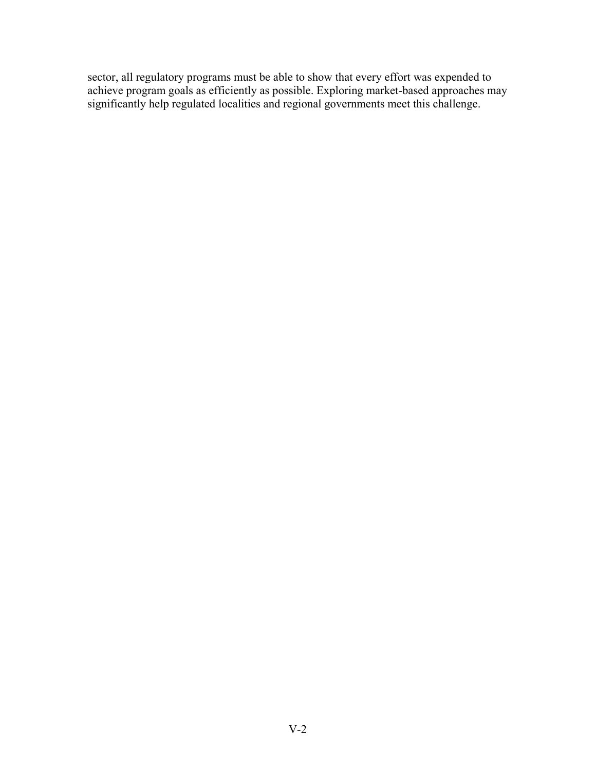sector, all regulatory programs must be able to show that every effort was expended to achieve program goals as efficiently as possible. Exploring market-based approaches may significantly help regulated localities and regional governments meet this challenge.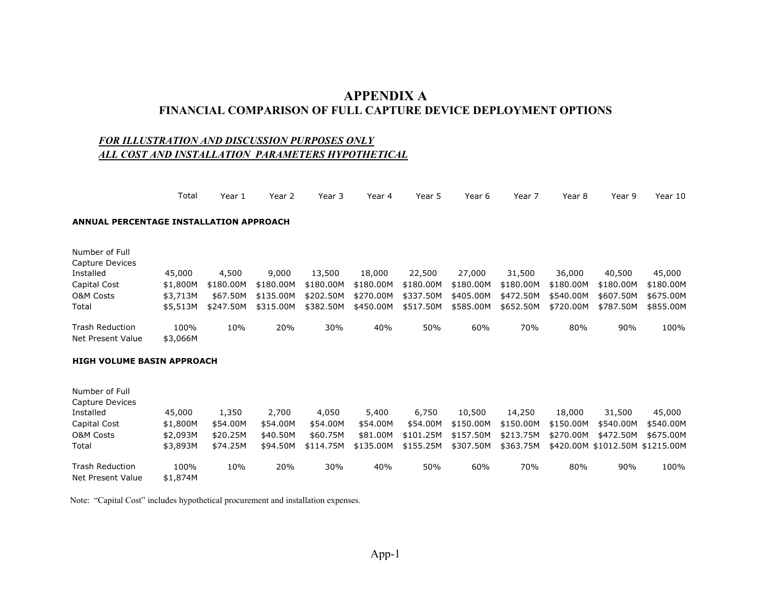# **APPENDIX A FINANCIAL COMPARISON OF FULL CAPTURE DEVICE DEPLOYMENT OPTIONS**

#### *FOR ILLUSTRATION AND DISCUSSION PURPOSES ONLY ALL COST AND INSTALLATION PARAMETERS HYPOTHETICAL*

|                                                | Total    | Year 1    | Year 2    | Year 3    | Year 4    | Year 5    | Year 6    | Year 7    | Year 8    | Year 9    | Year 10                         |
|------------------------------------------------|----------|-----------|-----------|-----------|-----------|-----------|-----------|-----------|-----------|-----------|---------------------------------|
| <b>ANNUAL PERCENTAGE INSTALLATION APPROACH</b> |          |           |           |           |           |           |           |           |           |           |                                 |
| Number of Full<br>Capture Devices              |          |           |           |           |           |           |           |           |           |           |                                 |
| Installed                                      | 45,000   | 4,500     | 9,000     | 13,500    | 18,000    | 22,500    | 27,000    | 31,500    | 36,000    | 40,500    | 45,000                          |
| Capital Cost                                   | \$1,800M | \$180.00M | \$180.00M | \$180.00M | \$180.00M | \$180.00M | \$180.00M | \$180.00M | \$180.00M | \$180.00M | \$180.00M                       |
| <b>O&amp;M Costs</b>                           | \$3,713M | \$67.50M  | \$135,00M | \$202.50M | \$270,00M | \$337.50M | \$405.00M | \$472.50M | \$540,00M | \$607.50M | \$675.00M                       |
| Total                                          | \$5,513M | \$247.50M | \$315.00M | \$382.50M | \$450.00M | \$517.50M | \$585.00M | \$652.50M | \$720.00M | \$787.50M | \$855.00M                       |
| <b>Trash Reduction</b>                         | 100%     | 10%       | 20%       | 30%       | 40%       | 50%       | 60%       | 70%       | 80%       | 90%       | 100%                            |
| Net Present Value                              | \$3,066M |           |           |           |           |           |           |           |           |           |                                 |
| <b>HIGH VOLUME BASIN APPROACH</b>              |          |           |           |           |           |           |           |           |           |           |                                 |
| Number of Full                                 |          |           |           |           |           |           |           |           |           |           |                                 |
| Capture Devices                                |          |           |           |           |           |           |           |           |           |           |                                 |
| Installed                                      | 45,000   | 1,350     | 2,700     | 4,050     | 5,400     | 6,750     | 10,500    | 14,250    | 18,000    | 31,500    | 45,000                          |
| Capital Cost                                   | \$1,800M | \$54.00M  | \$54.00M  | \$54.00M  | \$54.00M  | \$54.00M  | \$150.00M | \$150.00M | \$150.00M | \$540.00M | \$540.00M                       |
| <b>O&amp;M Costs</b>                           | \$2,093M | \$20.25M  | \$40.50M  | \$60.75M  | \$81.00M  | \$101.25M | \$157.50M | \$213.75M | \$270,00M | \$472.50M | \$675.00M                       |
| Total                                          | \$3,893M | \$74.25M  | \$94.50M  | \$114.75M | \$135.00M | \$155.25M | \$307.50M | \$363.75M |           |           | \$420.00M \$1012.50M \$1215.00M |
| Trash Reduction                                | 100%     | 10%       | 20%       | 30%       | 40%       | 50%       | 60%       | 70%       | 80%       | 90%       | 100%                            |

Note: "Capital Cost" includes hypothetical procurement and installation expenses.

Net Present Value \$1,874M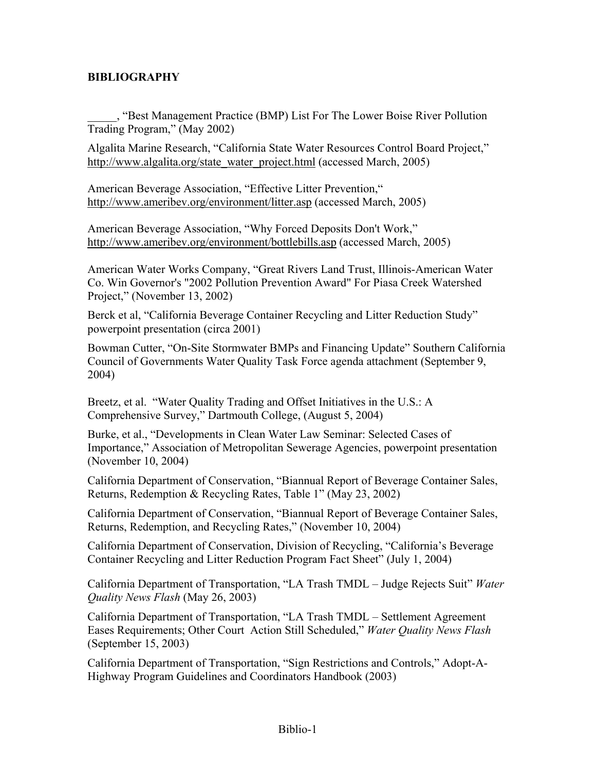# **BIBLIOGRAPHY**

\_\_\_\_\_, "Best Management Practice (BMP) List For The Lower Boise River Pollution Trading Program," (May 2002)

Algalita Marine Research, "California State Water Resources Control Board Project," http://www.algalita.org/state\_water\_project.html (accessed March, 2005)

American Beverage Association, "Effective Litter Prevention," http://www.ameribev.org/environment/litter.asp (accessed March, 2005)

American Beverage Association, "Why Forced Deposits Don't Work," http://www.ameribev.org/environment/bottlebills.asp (accessed March, 2005)

American Water Works Company, "Great Rivers Land Trust, Illinois-American Water Co. Win Governor's "2002 Pollution Prevention Award" For Piasa Creek Watershed Project," (November 13, 2002)

Berck et al, "California Beverage Container Recycling and Litter Reduction Study" powerpoint presentation (circa 2001)

Bowman Cutter, "On-Site Stormwater BMPs and Financing Update" Southern California Council of Governments Water Quality Task Force agenda attachment (September 9, 2004)

Breetz, et al. "Water Quality Trading and Offset Initiatives in the U.S.: A Comprehensive Survey," Dartmouth College, (August 5, 2004)

Burke, et al., "Developments in Clean Water Law Seminar: Selected Cases of Importance," Association of Metropolitan Sewerage Agencies, powerpoint presentation (November 10, 2004)

California Department of Conservation, "Biannual Report of Beverage Container Sales, Returns, Redemption & Recycling Rates, Table 1" (May 23, 2002)

California Department of Conservation, "Biannual Report of Beverage Container Sales, Returns, Redemption, and Recycling Rates," (November 10, 2004)

California Department of Conservation, Division of Recycling, "California's Beverage Container Recycling and Litter Reduction Program Fact Sheet" (July 1, 2004)

California Department of Transportation, "LA Trash TMDL – Judge Rejects Suit" *Water Quality News Flash* (May 26, 2003)

California Department of Transportation, "LA Trash TMDL – Settlement Agreement Eases Requirements; Other Court Action Still Scheduled," *Water Quality News Flash*  (September 15, 2003)

California Department of Transportation, "Sign Restrictions and Controls," Adopt-A-Highway Program Guidelines and Coordinators Handbook (2003)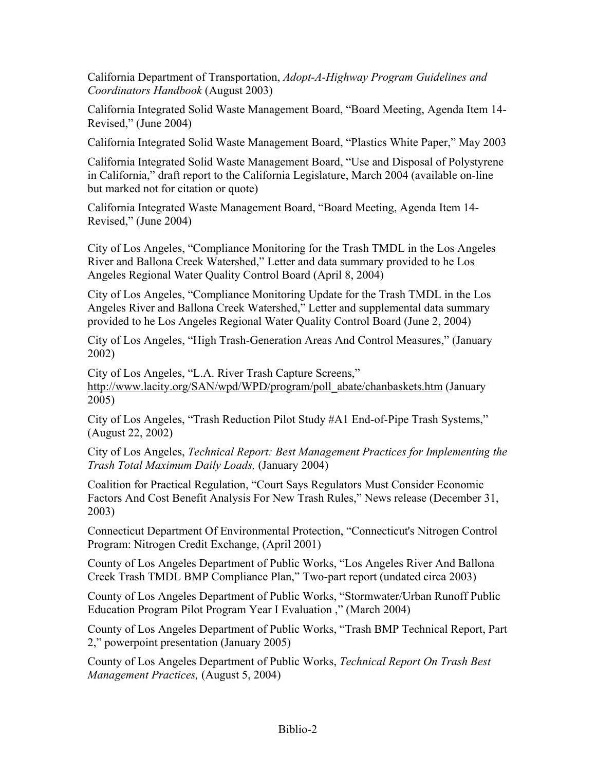California Department of Transportation, *Adopt-A-Highway Program Guidelines and Coordinators Handbook* (August 2003)

California Integrated Solid Waste Management Board, "Board Meeting, Agenda Item 14- Revised," (June 2004)

California Integrated Solid Waste Management Board, "Plastics White Paper," May 2003

California Integrated Solid Waste Management Board, "Use and Disposal of Polystyrene in California," draft report to the California Legislature, March 2004 (available on-line but marked not for citation or quote)

California Integrated Waste Management Board, "Board Meeting, Agenda Item 14- Revised," (June 2004)

City of Los Angeles, "Compliance Monitoring for the Trash TMDL in the Los Angeles River and Ballona Creek Watershed," Letter and data summary provided to he Los Angeles Regional Water Quality Control Board (April 8, 2004)

City of Los Angeles, "Compliance Monitoring Update for the Trash TMDL in the Los Angeles River and Ballona Creek Watershed," Letter and supplemental data summary provided to he Los Angeles Regional Water Quality Control Board (June 2, 2004)

City of Los Angeles, "High Trash-Generation Areas And Control Measures," (January 2002)

City of Los Angeles, "L.A. River Trash Capture Screens," http://www.lacity.org/SAN/wpd/WPD/program/poll\_abate/chanbaskets.htm (January 2005)

City of Los Angeles, "Trash Reduction Pilot Study #A1 End-of-Pipe Trash Systems," (August 22, 2002)

City of Los Angeles, *Technical Report: Best Management Practices for Implementing the Trash Total Maximum Daily Loads,* (January 2004)

Coalition for Practical Regulation, "Court Says Regulators Must Consider Economic Factors And Cost Benefit Analysis For New Trash Rules," News release (December 31, 2003)

Connecticut Department Of Environmental Protection, "Connecticut's Nitrogen Control Program: Nitrogen Credit Exchange, (April 2001)

County of Los Angeles Department of Public Works, "Los Angeles River And Ballona Creek Trash TMDL BMP Compliance Plan," Two-part report (undated circa 2003)

County of Los Angeles Department of Public Works, "Stormwater/Urban Runoff Public Education Program Pilot Program Year I Evaluation ," (March 2004)

County of Los Angeles Department of Public Works, "Trash BMP Technical Report, Part 2," powerpoint presentation (January 2005)

County of Los Angeles Department of Public Works, *Technical Report On Trash Best Management Practices,* (August 5, 2004)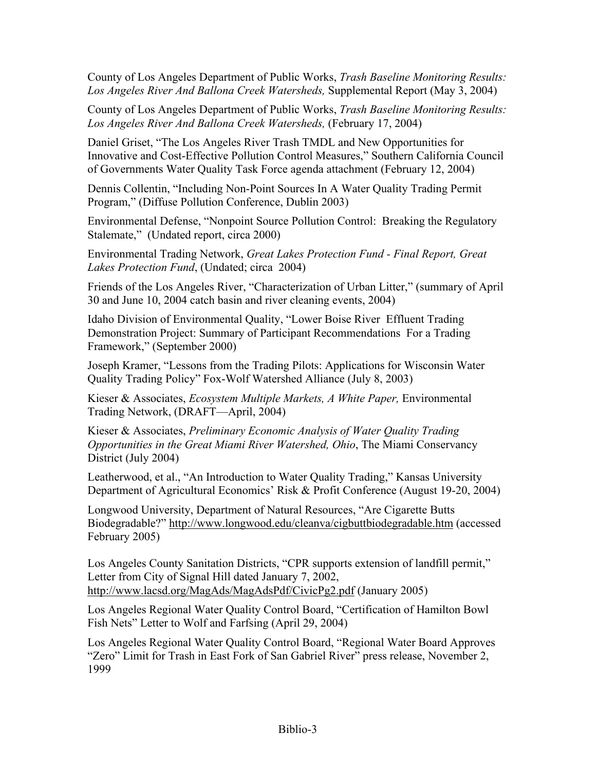County of Los Angeles Department of Public Works, *Trash Baseline Monitoring Results: Los Angeles River And Ballona Creek Watersheds,* Supplemental Report (May 3, 2004)

County of Los Angeles Department of Public Works, *Trash Baseline Monitoring Results: Los Angeles River And Ballona Creek Watersheds,* (February 17, 2004)

Daniel Griset, "The Los Angeles River Trash TMDL and New Opportunities for Innovative and Cost-Effective Pollution Control Measures," Southern California Council of Governments Water Quality Task Force agenda attachment (February 12, 2004)

Dennis Collentin, "Including Non-Point Sources In A Water Quality Trading Permit Program," (Diffuse Pollution Conference, Dublin 2003)

Environmental Defense, "Nonpoint Source Pollution Control: Breaking the Regulatory Stalemate," (Undated report, circa 2000)

Environmental Trading Network, *Great Lakes Protection Fund - Final Report, Great Lakes Protection Fund*, (Undated; circa 2004)

Friends of the Los Angeles River, "Characterization of Urban Litter," (summary of April 30 and June 10, 2004 catch basin and river cleaning events, 2004)

Idaho Division of Environmental Quality, "Lower Boise River Effluent Trading Demonstration Project: Summary of Participant Recommendations For a Trading Framework," (September 2000)

Joseph Kramer, "Lessons from the Trading Pilots: Applications for Wisconsin Water Quality Trading Policy" Fox-Wolf Watershed Alliance (July 8, 2003)

Kieser & Associates, *Ecosystem Multiple Markets, A White Paper,* Environmental Trading Network, (DRAFT—April, 2004)

Kieser & Associates, *Preliminary Economic Analysis of Water Quality Trading Opportunities in the Great Miami River Watershed, Ohio*, The Miami Conservancy District (July 2004)

Leatherwood, et al., "An Introduction to Water Quality Trading," Kansas University Department of Agricultural Economics' Risk & Profit Conference (August 19-20, 2004)

Longwood University, Department of Natural Resources, "Are Cigarette Butts Biodegradable?" http://www.longwood.edu/cleanva/cigbuttbiodegradable.htm (accessed February 2005)

Los Angeles County Sanitation Districts, "CPR supports extension of landfill permit," Letter from City of Signal Hill dated January 7, 2002, http://www.lacsd.org/MagAds/MagAdsPdf/CivicPg2.pdf (January 2005)

Los Angeles Regional Water Quality Control Board, "Certification of Hamilton Bowl Fish Nets" Letter to Wolf and Farfsing (April 29, 2004)

Los Angeles Regional Water Quality Control Board, "Regional Water Board Approves "Zero" Limit for Trash in East Fork of San Gabriel River" press release, November 2, 1999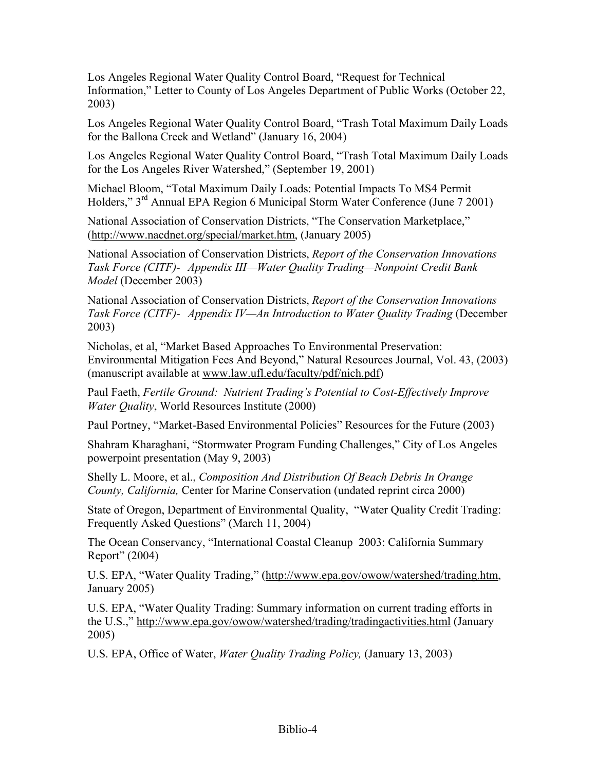Los Angeles Regional Water Quality Control Board, "Request for Technical Information," Letter to County of Los Angeles Department of Public Works (October 22, 2003)

Los Angeles Regional Water Quality Control Board, "Trash Total Maximum Daily Loads for the Ballona Creek and Wetland" (January 16, 2004)

Los Angeles Regional Water Quality Control Board, "Trash Total Maximum Daily Loads for the Los Angeles River Watershed," (September 19, 2001)

Michael Bloom, "Total Maximum Daily Loads: Potential Impacts To MS4 Permit Holders," 3rd Annual EPA Region 6 Municipal Storm Water Conference (June 7 2001)

National Association of Conservation Districts, "The Conservation Marketplace," (http://www.nacdnet.org/special/market.htm, (January 2005)

National Association of Conservation Districts, *Report of the Conservation Innovations Task Force (CITF)- Appendix III—Water Quality Trading—Nonpoint Credit Bank Model* (December 2003)

National Association of Conservation Districts, *Report of the Conservation Innovations Task Force (CITF)- Appendix IV—An Introduction to Water Quality Trading* (December 2003)

Nicholas, et al, "Market Based Approaches To Environmental Preservation: Environmental Mitigation Fees And Beyond," Natural Resources Journal, Vol. 43, (2003) (manuscript available at www.law.ufl.edu/faculty/pdf/nich.pdf)

Paul Faeth, *Fertile Ground: Nutrient Trading's Potential to Cost-Effectively Improve Water Quality*, World Resources Institute (2000)

Paul Portney, "Market-Based Environmental Policies" Resources for the Future (2003)

Shahram Kharaghani, "Stormwater Program Funding Challenges," City of Los Angeles powerpoint presentation (May 9, 2003)

Shelly L. Moore, et al., *Composition And Distribution Of Beach Debris In Orange County, California,* Center for Marine Conservation (undated reprint circa 2000)

State of Oregon, Department of Environmental Quality, "Water Quality Credit Trading: Frequently Asked Questions" (March 11, 2004)

The Ocean Conservancy, "International Coastal Cleanup 2003: California Summary Report" (2004)

U.S. EPA, "Water Quality Trading," (http://www.epa.gov/owow/watershed/trading.htm, January 2005)

U.S. EPA, "Water Quality Trading: Summary information on current trading efforts in the U.S.," http://www.epa.gov/owow/watershed/trading/tradingactivities.html (January 2005)

U.S. EPA, Office of Water, *Water Quality Trading Policy,* (January 13, 2003)